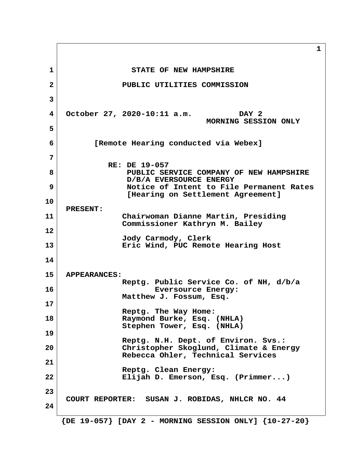**1 1** STATE OF NEW HAMPSHIRE  **2 PUBLIC UTILITIES COMMISSION 3 4 October 27, 2020-10:11 a.m. DAY 2 MORNING SESSION ONLY 5 6 [Remote Hearing conducted via Webex] 7 RE: DE 19-057 8 PUBLIC SERVICE COMPANY OF NEW HAMPSHIRE D/B/A EVERSOURCE ENERGY 9 Notice of Intent to File Permanent Rates [Hearing on Settlement Agreement] 10 PRESENT: 11 Chairwoman Dianne Martin, Presiding Commissioner Kathryn M. Bailey 12 Jody Carmody, Clerk 13 Eric Wind, PUC Remote Hearing Host 14 15 APPEARANCES: Reptg. Public Service Co. of NH, d/b/a 16 Eversource Energy: Matthew J. Fossum, Esq. 17 Reptg. The Way Home: 18 Raymond Burke, Esq. (NHLA) Stephen Tower, Esq. (NHLA) 19 Reptg. N.H. Dept. of Environ. Svs.: 20 Christopher Skoglund, Climate & Energy Rebecca Ohler, Technical Services 21 Reptg. Clean Energy: 22 Elijah D. Emerson, Esq. (Primmer...)** 23<br>COURT REPORTER: SUSAN J. ROBIDAS, NHLCR NO. 44 **24 {DE 19-057} [DAY 2 - MORNING SESSION ONLY] {10-27-20}**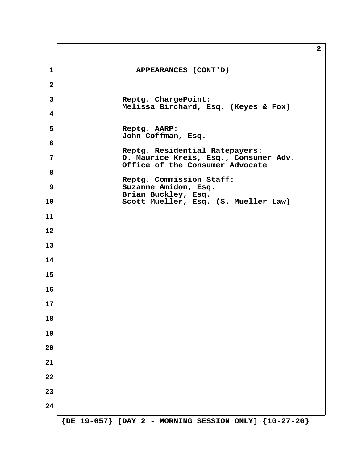|                |                                                                                                            | $\mathbf{2}$ |
|----------------|------------------------------------------------------------------------------------------------------------|--------------|
| $\mathbf{1}$   | APPEARANCES (CONT'D)                                                                                       |              |
| $\mathbf{2}$   |                                                                                                            |              |
| $\overline{3}$ | Reptg. ChargePoint:<br>Melissa Birchard, Esq. (Keyes & Fox)                                                |              |
| 4              |                                                                                                            |              |
| 5              | Reptg. AARP:<br>John Coffman, Esq.                                                                         |              |
| 6              |                                                                                                            |              |
| 7              | Reptg. Residential Ratepayers:<br>D. Maurice Kreis, Esq., Consumer Adv.<br>Office of the Consumer Advocate |              |
| 8              | Reptg. Commission Staff:                                                                                   |              |
| 9              | Suzanne Amidon, Esq.<br>Brian Buckley, Esq.                                                                |              |
| 10             | Scott Mueller, Esq. (S. Mueller Law)                                                                       |              |
| 11             |                                                                                                            |              |
| 12             |                                                                                                            |              |
| 13             |                                                                                                            |              |
| 14             |                                                                                                            |              |
| 15             |                                                                                                            |              |
| 16             |                                                                                                            |              |
| 17             |                                                                                                            |              |
| 18             |                                                                                                            |              |
| 19             |                                                                                                            |              |
| 20             |                                                                                                            |              |
| 21             |                                                                                                            |              |
| 22             |                                                                                                            |              |
| 23             |                                                                                                            |              |
| 24             |                                                                                                            |              |
|                | ${DE 19-057}$ [DAY 2 - MORNING SESSION ONLY] ${10-27-20}$                                                  |              |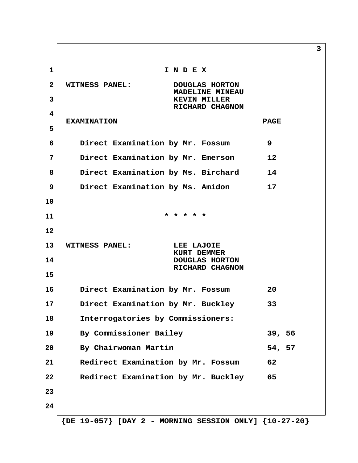**1 I N D E X 2 WITNESS PANEL: DOUGLAS HORTON MADELINE MINEAU 3 KEVIN MILLER RICHARD CHAGNON 4 EXAMINATION PAGE 5 6 Direct Examination by Mr. Fossum 9 7 Direct Examination by Mr. Emerson 12 8 Direct Examination by Ms. Birchard 14 9 Direct Examination by Ms. Amidon 17 10 11 \* \* \* \* \* 12 13 WITNESS PANEL: LEE LAJOIE KURT DEMMER 14 DOUGLAS HORTON RICHARD CHAGNON 15 16 Direct Examination by Mr. Fossum 20 17 Direct Examination by Mr. Buckley 33 18 Interrogatories by Commissioners: 19 By Commissioner Bailey 39, 56 20 By Chairwoman Martin 54, 57 21 Redirect Examination by Mr. Fossum 62 22 Redirect Examination by Mr. Buckley 65 23 24**

**3**

 **{DE 19-057} [DAY 2 - MORNING SESSION ONLY] {10-27-20}**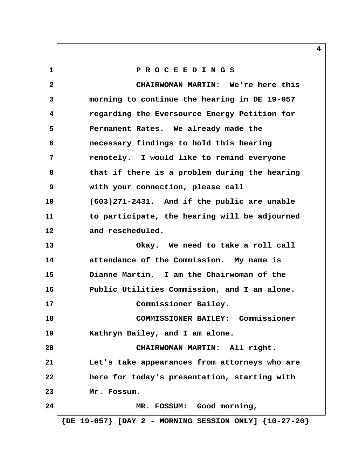**1 P R O C E E D I N G S 2 CHAIRWOMAN MARTIN: We're here this 3 morning to continue the hearing in DE 19-057 4 regarding the Eversource Energy Petition for 5 Permanent Rates. We already made the 6 necessary findings to hold this hearing 7 remotely. I would like to remind everyone 8 that if there is a problem during the hearing 9 with your connection, please call 10 (603)271-2431. And if the public are unable 11 to participate, the hearing will be adjourned 12 and rescheduled. 13 Okay. We need to take a roll call 14 attendance of the Commission. My name is 15 Dianne Martin. I am the Chairwoman of the 16 Public Utilities Commission, and I am alone. 17 Commissioner Bailey. 18 COMMISSIONER BAILEY: Commissioner 19 Kathryn Bailey, and I am alone. 20 CHAIRWOMAN MARTIN: All right. 21 Let's take appearances from attorneys who are 22 here for today's presentation, starting with 23 Mr. Fossum. 24 MR. FOSSUM: Good morning, {DE 19-057} [DAY 2 - MORNING SESSION ONLY] {10-27-20}**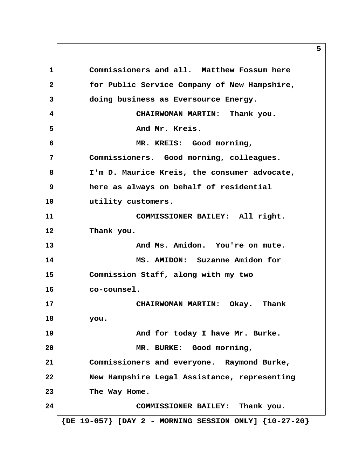**1 Commissioners and all. Matthew Fossum here 2 for Public Service Company of New Hampshire, 3 doing business as Eversource Energy. 4 CHAIRWOMAN MARTIN: Thank you.** 5 And Mr. Kreis.  **6 MR. KREIS: Good morning, 7 Commissioners. Good morning, colleagues. 8 I'm D. Maurice Kreis, the consumer advocate, 9 here as always on behalf of residential 10 utility customers. 11 COMMISSIONER BAILEY: All right. 12 Thank you. 13 And Ms. Amidon. You're on mute. 14 MS. AMIDON: Suzanne Amidon for 15 Commission Staff, along with my two 16 co-counsel. 17 CHAIRWOMAN MARTIN: Okay. Thank 18 you. 19 And for today I have Mr. Burke. 20 MR. BURKE: Good morning, 21 Commissioners and everyone. Raymond Burke, 22 New Hampshire Legal Assistance, representing 23 The Way Home. 24 COMMISSIONER BAILEY: Thank you. {DE 19-057} [DAY 2 - MORNING SESSION ONLY] {10-27-20}**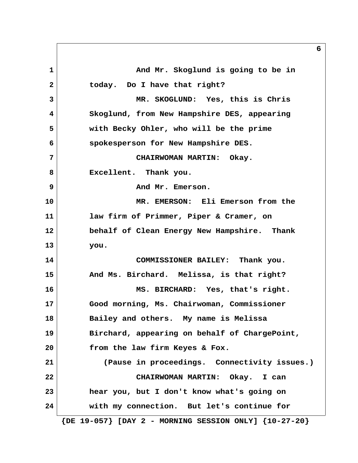1 and Mr. Skoglund is going to be in  **2 today. Do I have that right? 3 MR. SKOGLUND: Yes, this is Chris 4 Skoglund, from New Hampshire DES, appearing 5 with Becky Ohler, who will be the prime 6 spokesperson for New Hampshire DES. 7 CHAIRWOMAN MARTIN: Okay. 8 Excellent. Thank you. 9 And Mr. Emerson. 10 MR. EMERSON: Eli Emerson from the 11 law firm of Primmer, Piper & Cramer, on 12 behalf of Clean Energy New Hampshire. Thank 13 you. 14 COMMISSIONER BAILEY: Thank you. 15 And Ms. Birchard. Melissa, is that right? 16 MS. BIRCHARD: Yes, that's right. 17 Good morning, Ms. Chairwoman, Commissioner 18 Bailey and others. My name is Melissa 19 Birchard, appearing on behalf of ChargePoint, 20 from the law firm Keyes & Fox. 21 (Pause in proceedings. Connectivity issues.) 22 CHAIRWOMAN MARTIN: Okay. I can 23 hear you, but I don't know what's going on 24 with my connection. But let's continue for {DE 19-057} [DAY 2 - MORNING SESSION ONLY] {10-27-20}**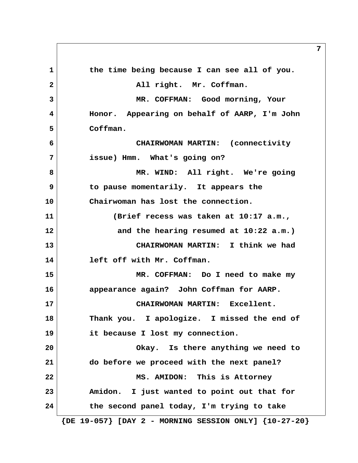**1 the time being because I can see all of you.** 2 All right. Mr. Coffman.  **3 MR. COFFMAN: Good morning, Your 4 Honor. Appearing on behalf of AARP, I'm John 5 Coffman. 6 CHAIRWOMAN MARTIN: (connectivity 7 issue) Hmm. What's going on?** 8 MR. WIND: All right. We're going  **9 to pause momentarily. It appears the 10 Chairwoman has lost the connection. 11 (Brief recess was taken at 10:17 a.m., 12 and the hearing resumed at 10:22 a.m.) 13 CHAIRWOMAN MARTIN: I think we had 14 left off with Mr. Coffman. 15 MR. COFFMAN: Do I need to make my 16 appearance again? John Coffman for AARP. 17 CHAIRWOMAN MARTIN: Excellent. 18 Thank you. I apologize. I missed the end of 19 it because I lost my connection. 20 Okay. Is there anything we need to 21 do before we proceed with the next panel? 22 MS. AMIDON: This is Attorney 23 Amidon. I just wanted to point out that for 24 the second panel today, I'm trying to take {DE 19-057} [DAY 2 - MORNING SESSION ONLY] {10-27-20}**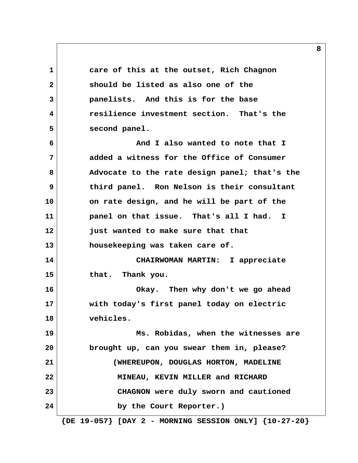**1 care of this at the outset, Rich Chagnon 2 should be listed as also one of the 3 panelists. And this is for the base 4 resilience investment section. That's the 5 second panel. 6 And I also wanted to note that I 7 added a witness for the Office of Consumer 8 Advocate to the rate design panel; that's the 9 third panel. Ron Nelson is their consultant 10 on rate design, and he will be part of the 11 panel on that issue. That's all I had. I 12 just wanted to make sure that that 13 housekeeping was taken care of. 14 CHAIRWOMAN MARTIN: I appreciate 15 that. Thank you. 16 Okay. Then why don't we go ahead 17 with today's first panel today on electric 18 vehicles. 19 Ms. Robidas, when the witnesses are 20 brought up, can you swear them in, please? 21 (WHEREUPON, DOUGLAS HORTON, MADELINE 22 MINEAU, KEVIN MILLER and RICHARD 23 CHAGNON were duly sworn and cautioned 24 by the Court Reporter.)**

 **{DE 19-057} [DAY 2 - MORNING SESSION ONLY] {10-27-20}**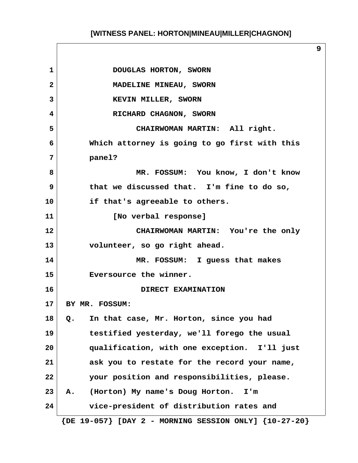**1** DOUGLAS HORTON, SWORN **2** MADELINE MINEAU, SWORN **3 KEVIN MILLER, SWORN 4** RICHARD CHAGNON, SWORN  **5 CHAIRWOMAN MARTIN: All right. 6 Which attorney is going to go first with this 7 panel? 8 MR. FOSSUM: You know, I don't know 9 that we discussed that. I'm fine to do so, 10 if that's agreeable to others. 11 [No verbal response] 12 CHAIRWOMAN MARTIN: You're the only 13 volunteer, so go right ahead. 14 MR. FOSSUM: I guess that makes 15 Eversource the winner. 16 DIRECT EXAMINATION 17 BY MR. FOSSUM: 18 Q. In that case, Mr. Horton, since you had 19 testified yesterday, we'll forego the usual 20 qualification, with one exception. I'll just 21 ask you to restate for the record your name, 22 your position and responsibilities, please. 23 A. (Horton) My name's Doug Horton. I'm 24 vice-president of distribution rates and {DE 19-057} [DAY 2 - MORNING SESSION ONLY] {10-27-20}**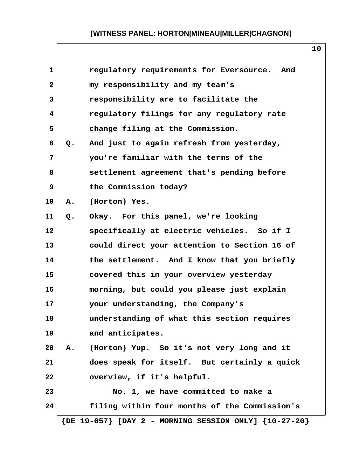| $\mathbf{1}$ |    | regulatory requirements for Eversource.<br>And                |
|--------------|----|---------------------------------------------------------------|
| $\mathbf{2}$ |    | my responsibility and my team's                               |
| 3            |    | responsibility are to facilitate the                          |
| 4            |    | regulatory filings for any regulatory rate                    |
| 5            |    | change filing at the Commission.                              |
| 6            | Q. | And just to again refresh from yesterday,                     |
| 7            |    | you're familiar with the terms of the                         |
| 8            |    | settlement agreement that's pending before                    |
| 9            |    | the Commission today?                                         |
| 10           | Α. | (Horton) Yes.                                                 |
| 11           | Q. | Okay. For this panel, we're looking                           |
| 12           |    | specifically at electric vehicles. So if I                    |
| 13           |    | could direct your attention to Section 16 of                  |
| 14           |    | the settlement. And I know that you briefly                   |
| 15           |    | covered this in your overview yesterday                       |
| 16           |    | morning, but could you please just explain                    |
| 17           |    | your understanding, the Company's                             |
| 18           |    | understanding of what this section requires                   |
| 19           |    | and anticipates.                                              |
| 20           | Α. | (Horton) Yup. So it's not very long and it                    |
| 21           |    | does speak for itself. But certainly a quick                  |
| 22           |    | overview, if it's helpful.                                    |
| 23           |    | No. 1, we have committed to make a                            |
| 24           |    | filing within four months of the Commission's                 |
|              |    | $\{DE 19-057\}$ [DAY 2 - MORNING SESSION ONLY] $\{10-27-20\}$ |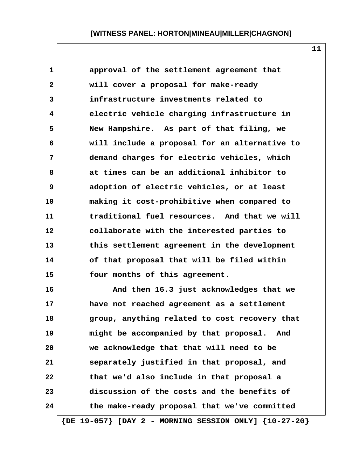| $\mathbf{1}$ | approval of the settlement agreement that     |
|--------------|-----------------------------------------------|
| $\mathbf{2}$ | will cover a proposal for make-ready          |
| 3            | infrastructure investments related to         |
| 4            | electric vehicle charging infrastructure in   |
| 5            | New Hampshire. As part of that filing, we     |
| 6            | will include a proposal for an alternative to |
| 7            | demand charges for electric vehicles, which   |
| 8            | at times can be an additional inhibitor to    |
| 9            | adoption of electric vehicles, or at least    |
| 10           | making it cost-prohibitive when compared to   |
| 11           | traditional fuel resources. And that we will  |
| 12           | collaborate with the interested parties to    |
| 13           | this settlement agreement in the development  |
| 14           | of that proposal that will be filed within    |
| 15           | four months of this agreement.                |
| 16           | And then 16.3 just acknowledges that we       |
| 17           | have not reached agreement as a settlement    |
| 18           | group, anything related to cost recovery that |
| 19           | might be accompanied by that proposal. And    |
| 20           | we acknowledge that that will need to be      |

**11**

 **{DE 19-057} [DAY 2 - MORNING SESSION ONLY] {10-27-20}**

**21 separately justified in that proposal, and**

**22 that we'd also include in that proposal a**

**23 discussion of the costs and the benefits of**

**24 the make-ready proposal that we've committed**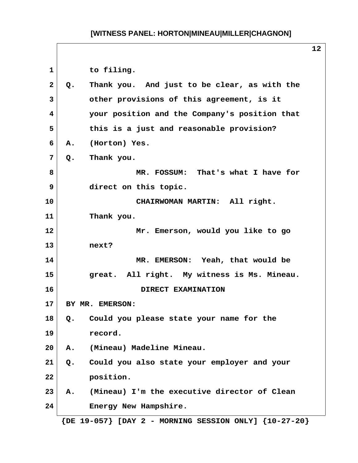1 to filing.  **2 Q. Thank you. And just to be clear, as with the 3 other provisions of this agreement, is it 4 your position and the Company's position that 5 this is a just and reasonable provision? 6 A. (Horton) Yes. 7 Q. Thank you. 8 MR. FOSSUM: That's what I have for 9 direct on this topic. 10 CHAIRWOMAN MARTIN: All right. 11 Thank you. 12 Mr. Emerson, would you like to go 13 next? 14 MR. EMERSON: Yeah, that would be 15 great. All right. My witness is Ms. Mineau. 16 DIRECT EXAMINATION 17 BY MR. EMERSON: 18 Q. Could you please state your name for the 19 record. 20 A. (Mineau) Madeline Mineau. 21 Q. Could you also state your employer and your 22 position. 23 A. (Mineau) I'm the executive director of Clean 24 Energy New Hampshire. {DE 19-057} [DAY 2 - MORNING SESSION ONLY] {10-27-20}**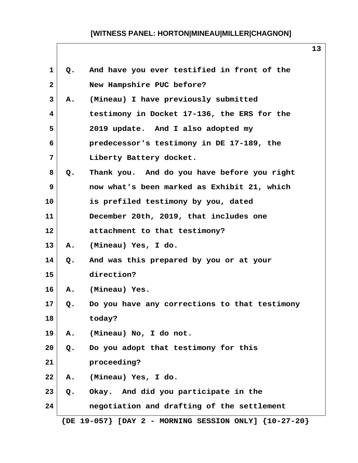| 1               | Q.    | And have you ever testified in front of the                   |
|-----------------|-------|---------------------------------------------------------------|
| $\mathbf{2}$    |       | New Hampshire PUC before?                                     |
| 3               | Α.    | (Mineau) I have previously submitted                          |
| 4               |       | testimony in Docket 17-136, the ERS for the                   |
| 5               |       | 2019 update. And I also adopted my                            |
| 6               |       | predecessor's testimony in DE 17-189, the                     |
| 7               |       | Liberty Battery docket.                                       |
| 8               | Q.    | Thank you. And do you have before you right                   |
| 9               |       | now what's been marked as Exhibit 21, which                   |
| 10              |       | is prefiled testimony by you, dated                           |
| 11              |       | December 20th, 2019, that includes one                        |
| $12 \,$         |       | attachment to that testimony?                                 |
| 13              | A.    | (Mineau) Yes, I do.                                           |
| 14              | Q.    | And was this prepared by you or at your                       |
| 15              |       | direction?                                                    |
| 16              | Α.    | (Mineau) Yes.                                                 |
| 17 <sub>2</sub> | Q.    | Do you have any corrections to that testimony                 |
| 18              |       | today?                                                        |
| 19              | Α.    | (Mineau) No, I do not.                                        |
| 20              | Q.    | Do you adopt that testimony for this                          |
| 21              |       | proceeding?                                                   |
| 22              | Α.    | (Mineau) Yes, I do.                                           |
| 23              | $Q$ . | Okay. And did you participate in the                          |
| 24              |       | negotiation and drafting of the settlement                    |
|                 |       | $\{DE 19-057\}$ [DAY 2 - MORNING SESSION ONLY] $\{10-27-20\}$ |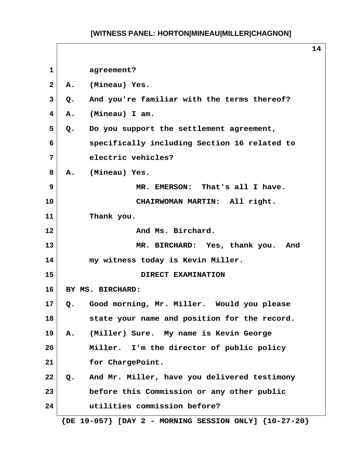|              |                                                               | 14 |
|--------------|---------------------------------------------------------------|----|
| $\mathbf{1}$ | agreement?                                                    |    |
| $\mathbf{2}$ | (Mineau) Yes.<br>Α.                                           |    |
| 3            | And you're familiar with the terms thereof?<br>Q.             |    |
| 4            | (Mineau) I am.<br>Α.                                          |    |
| 5            | Do you support the settlement agreement,<br>Q.                |    |
| 6            | specifically including Section 16 related to                  |    |
| 7            | electric vehicles?                                            |    |
| 8            | (Mineau) Yes.<br><b>A.</b>                                    |    |
| $\mathbf{9}$ | MR. EMERSON: That's all I have.                               |    |
| 10           | CHAIRWOMAN MARTIN: All right.                                 |    |
| 11           | Thank you.                                                    |    |
| 12           | And Ms. Birchard.                                             |    |
| 13           | MR. BIRCHARD: Yes, thank you. And                             |    |
| 14           | my witness today is Kevin Miller.                             |    |
| 15           | DIRECT EXAMINATION                                            |    |
| 16           | BY MS. BIRCHARD:                                              |    |
| 17           | Good morning, Mr. Miller. Would you please<br>Q.              |    |
| 18           | state your name and position for the record.                  |    |
| 19           | (Miller) Sure. My name is Kevin George<br>Α.                  |    |
| 20           | Miller. I'm the director of public policy                     |    |
| 21           | for ChargePoint.                                              |    |
| 22           | And Mr. Miller, have you delivered testimony<br>$Q_{\bullet}$ |    |
| 23           | before this Commission or any other public                    |    |
| 24           | utilities commission before?                                  |    |
|              | $\{DE 19-057\}$ [DAY 2 - MORNING SESSION ONLY] $\{10-27-20\}$ |    |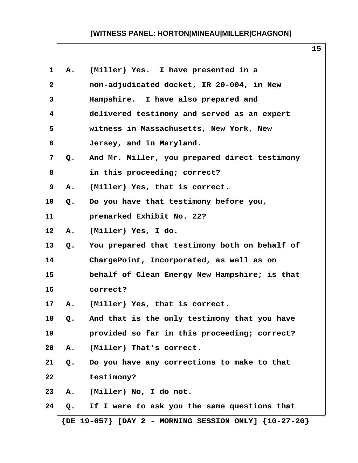**15**

| 1              | Α. | (Miller) Yes. I have presented in a           |
|----------------|----|-----------------------------------------------|
| $\mathbf{2}$   |    | non-adjudicated docket, IR 20-004, in New     |
| 3              |    | Hampshire. I have also prepared and           |
| 4              |    | delivered testimony and served as an expert   |
| 5              |    | witness in Massachusetts, New York, New       |
| 6              |    | Jersey, and in Maryland.                      |
| $\overline{7}$ | Q. | And Mr. Miller, you prepared direct testimony |
| 8              |    | in this proceeding; correct?                  |
| 9              | Α. | (Miller) Yes, that is correct.                |
| 10             | Q. | Do you have that testimony before you,        |
| 11             |    | premarked Exhibit No. 22?                     |
| 12             | Α. | (Miller) Yes, I do.                           |
| 13             | Q. | You prepared that testimony both on behalf of |
| 14             |    | ChargePoint, Incorporated, as well as on      |
| 15             |    | behalf of Clean Energy New Hampshire; is that |
| 16             |    | correct?                                      |
| 17             | Α. | (Miller) Yes, that is correct.                |
| 18             | Q. | And that is the only testimony that you have  |
| 19             |    | provided so far in this proceeding; correct?  |
| 20             | Α. | (Miller) That's correct.                      |
| 21             | Q. | Do you have any corrections to make to that   |
| 22             |    | testimony?                                    |
| 23             | Α. | (Miller) No, I do not.                        |
| 24             | Q. | If I were to ask you the same questions that  |
|                |    |                                               |

 **{DE 19-057} [DAY 2 - MORNING SESSION ONLY] {10-27-20}**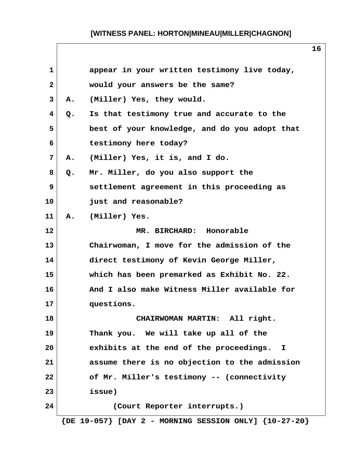| $\mathbf{1}$ |    | appear in your written testimony live today,                  |
|--------------|----|---------------------------------------------------------------|
| $\mathbf{2}$ |    | would your answers be the same?                               |
| 3            | Α. | (Miller) Yes, they would.                                     |
| 4            | Q. | Is that testimony true and accurate to the                    |
| 5            |    | best of your knowledge, and do you adopt that                 |
| 6            |    | testimony here today?                                         |
| 7            | Α. | (Miller) Yes, it is, and I do.                                |
| 8            | Q. | Mr. Miller, do you also support the                           |
| 9            |    | settlement agreement in this proceeding as                    |
| 10           |    | just and reasonable?                                          |
| 11           | Α. | (Miller) Yes.                                                 |
| 12           |    | MR. BIRCHARD: Honorable                                       |
| 13           |    | Chairwoman, I move for the admission of the                   |
| 14           |    | direct testimony of Kevin George Miller,                      |
| 15           |    | which has been premarked as Exhibit No. 22.                   |
| 16           |    | And I also make Witness Miller available for                  |
| 17           |    | questions.                                                    |
| 18           |    | CHAIRWOMAN MARTIN: All right.                                 |
| 19           |    | Thank you. We will take up all of the                         |
| 20           |    | exhibits at the end of the proceedings. I                     |
| 21           |    | assume there is no objection to the admission                 |
| 22           |    | of Mr. Miller's testimony -- (connectivity                    |
| 23           |    | issue)                                                        |
| 24           |    | (Court Reporter interrupts.)                                  |
|              |    | $\{DE 19-057\}$ [DAY 2 - MORNING SESSION ONLY] $\{10-27-20\}$ |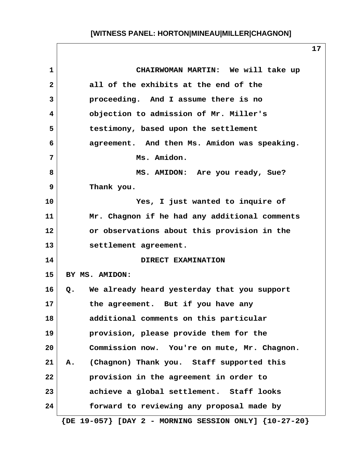| $\mathbf{1}$ | CHAIRWOMAN MARTIN: We will take up                            |
|--------------|---------------------------------------------------------------|
| $\mathbf{2}$ | all of the exhibits at the end of the                         |
| 3            | proceeding. And I assume there is no                          |
| 4            | objection to admission of Mr. Miller's                        |
| 5            | testimony, based upon the settlement                          |
| 6            | agreement. And then Ms. Amidon was speaking.                  |
| 7            | Ms. Amidon.                                                   |
| 8            | MS. AMIDON: Are you ready, Sue?                               |
| 9            | Thank you.                                                    |
| 10           | Yes, I just wanted to inquire of                              |
| 11           | Mr. Chagnon if he had any additional comments                 |
| 12           | or observations about this provision in the                   |
| 13           | settlement agreement.                                         |
| 14           | DIRECT EXAMINATION                                            |
| 15           | BY MS. AMIDON:                                                |
| 16           | Q. We already heard yesterday that you support                |
| 17           | the agreement. But if you have any                            |
| 18           | additional comments on this particular                        |
| 19           | provision, please provide them for the                        |
| 20           | Commission now. You're on mute, Mr. Chagnon.                  |
| 21           | (Chagnon) Thank you. Staff supported this<br>Α.               |
| 22           | provision in the agreement in order to                        |
| 23           | achieve a global settlement. Staff looks                      |
| 24           | forward to reviewing any proposal made by                     |
|              | $\{DE 19-057\}$ [DAY 2 - MORNING SESSION ONLY] $\{10-27-20\}$ |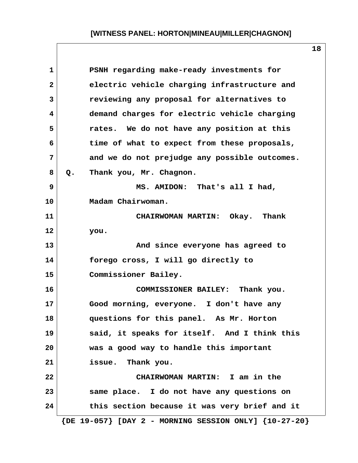| $\mathbf{1}$    | PSNH regarding make-ready investments for                     |
|-----------------|---------------------------------------------------------------|
| $\mathbf{2}$    | electric vehicle charging infrastructure and                  |
| 3               | reviewing any proposal for alternatives to                    |
| 4               | demand charges for electric vehicle charging                  |
| 5               | rates. We do not have any position at this                    |
| 6               | time of what to expect from these proposals,                  |
| $7\phantom{.0}$ | and we do not prejudge any possible outcomes.                 |
| 8               | Thank you, Mr. Chagnon.<br>Q.                                 |
| 9               | MS. AMIDON: That's all I had,                                 |
| 10              | Madam Chairwoman.                                             |
| 11              | CHAIRWOMAN MARTIN: Okay. Thank                                |
| 12              | you.                                                          |
| 13              | And since everyone has agreed to                              |
| 14              | forego cross, I will go directly to                           |
| 15              | Commissioner Bailey.                                          |
| 16              | COMMISSIONER BAILEY: Thank you.                               |
| 17              | Good morning, everyone. I don't have any                      |
| 18              | questions for this panel. As Mr. Horton                       |
| 19              | said, it speaks for itself. And I think this                  |
| 20              | was a good way to handle this important                       |
| 21              | Thank you.<br>issue.                                          |
| 22              | CHAIRWOMAN MARTIN: I am in the                                |
| 23              | same place. I do not have any questions on                    |
| 24              | this section because it was very brief and it                 |
|                 | $\{DE 19-057\}$ [DAY 2 - MORNING SESSION ONLY] $\{10-27-20\}$ |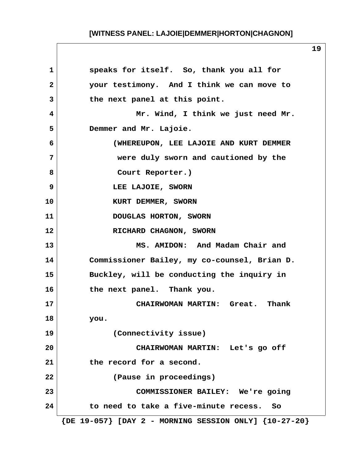**1 speaks for itself. So, thank you all for 2 your testimony. And I think we can move to 3 the next panel at this point. 4 Mr. Wind, I think we just need Mr. 5 Demmer and Mr. Lajoie. 6 (WHEREUPON, LEE LAJOIE AND KURT DEMMER 7 were duly sworn and cautioned by the** 8 Court Reporter.)  **9 LEE LAJOIE, SWORN** 10 KURT DEMMER, SWORN **11 DOUGLAS HORTON, SWORN** 12 RICHARD CHAGNON, SWORN **13 MS. AMIDON: And Madam Chair and 14 Commissioner Bailey, my co-counsel, Brian D. 15 Buckley, will be conducting the inquiry in 16 the next panel. Thank you. 17 CHAIRWOMAN MARTIN: Great. Thank 18 you. 19 (Connectivity issue) 20 CHAIRWOMAN MARTIN: Let's go off 21 the record for a second. 22 (Pause in proceedings) 23 COMMISSIONER BAILEY: We're going 24 to need to take a five-minute recess. So {DE 19-057} [DAY 2 - MORNING SESSION ONLY] {10-27-20}**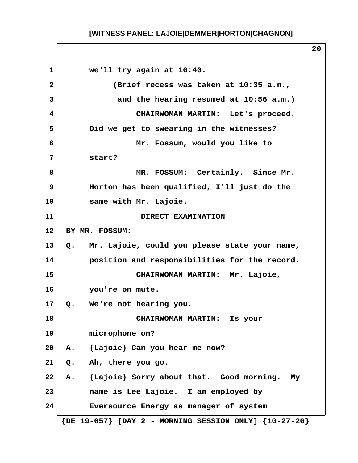**1 we'll try again at 10:40. 2 (Brief recess was taken at 10:35 a.m., 3 and the hearing resumed at 10:56 a.m.) 4 CHAIRWOMAN MARTIN: Let's proceed. 5 Did we get to swearing in the witnesses? 6 Mr. Fossum, would you like to 7 start? 8 MR. FOSSUM: Certainly. Since Mr. 9 Horton has been qualified, I'll just do the 10 same with Mr. Lajoie. 11 DIRECT EXAMINATION 12 BY MR. FOSSUM: 13 Q. Mr. Lajoie, could you please state your name, 14 position and responsibilities for the record. 15 CHAIRWOMAN MARTIN: Mr. Lajoie, 16 you're on mute. 17 Q. We're not hearing you. 18 CHAIRWOMAN MARTIN: Is your 19 microphone on? 20 A. (Lajoie) Can you hear me now? 21 Q. Ah, there you go. 22 A. (Lajoie) Sorry about that. Good morning. My 23 name is Lee Lajoie. I am employed by 24 Eversource Energy as manager of system {DE 19-057} [DAY 2 - MORNING SESSION ONLY] {10-27-20}**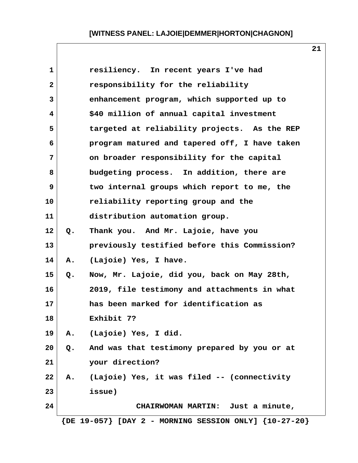| 1            |    | resiliency. In recent years I've had                          |
|--------------|----|---------------------------------------------------------------|
| $\mathbf{2}$ |    | responsibility for the reliability                            |
| 3            |    | enhancement program, which supported up to                    |
| 4            |    | \$40 million of annual capital investment                     |
| 5            |    | targeted at reliability projects. As the REP                  |
| 6            |    | program matured and tapered off, I have taken                 |
| 7            |    | on broader responsibility for the capital                     |
| 8            |    | budgeting process. In addition, there are                     |
| 9            |    | two internal groups which report to me, the                   |
| 10           |    | reliability reporting group and the                           |
| 11           |    | distribution automation group.                                |
| 12           | Q. | Thank you. And Mr. Lajoie, have you                           |
| 13           |    | previously testified before this Commission?                  |
| 14           | Α. | (Lajoie) Yes, I have.                                         |
| 15           | Q. | Now, Mr. Lajoie, did you, back on May 28th,                   |
| 16           |    | 2019, file testimony and attachments in what                  |
| 17           |    | has been marked for identification as                         |
| 18           |    | Exhibit 7?                                                    |
| 19           | Α. | (Lajoie) Yes, I did.                                          |
| 20           | Q. | And was that testimony prepared by you or at                  |
| 21           |    | your direction?                                               |
| 22           | Α. | (Lajoie) Yes, it was filed -- (connectivity                   |
| 23           |    | issue)                                                        |
| 24           |    | CHAIRWOMAN MARTIN: Just a minute,                             |
|              |    | $\{DE 19-057\}$ [DAY 2 - MORNING SESSION ONLY] $\{10-27-20\}$ |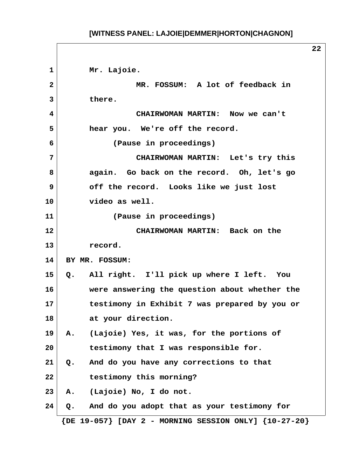1 Mr. Lajoie.  **2 MR. FOSSUM: A lot of feedback in 3 there. 4 CHAIRWOMAN MARTIN: Now we can't 5 hear you. We're off the record. 6 (Pause in proceedings) 7 CHAIRWOMAN MARTIN: Let's try this 8 again. Go back on the record. Oh, let's go 9 off the record. Looks like we just lost 10 video as well. 11 (Pause in proceedings) 12 CHAIRWOMAN MARTIN: Back on the 13 record. 14 BY MR. FOSSUM: 15 Q. All right. I'll pick up where I left. You 16 were answering the question about whether the 17 testimony in Exhibit 7 was prepared by you or 18 at your direction. 19 A. (Lajoie) Yes, it was, for the portions of 20 testimony that I was responsible for. 21 Q. And do you have any corrections to that 22 testimony this morning? 23 A. (Lajoie) No, I do not. 24 Q. And do you adopt that as your testimony for {DE 19-057} [DAY 2 - MORNING SESSION ONLY] {10-27-20}**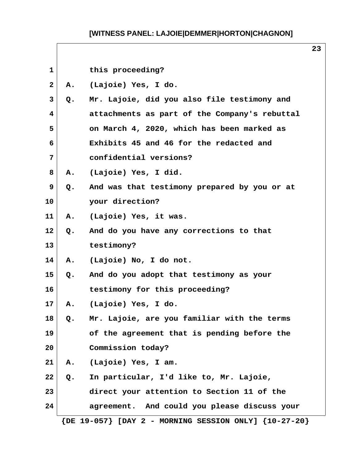| $\mathbf{1}$ |       | this proceeding?                                              |  |
|--------------|-------|---------------------------------------------------------------|--|
| $\mathbf{2}$ | Α.    | (Lajoie) Yes, I do.                                           |  |
| 3            | Q.    | Mr. Lajoie, did you also file testimony and                   |  |
| 4            |       | attachments as part of the Company's rebuttal                 |  |
| 5            |       | on March 4, 2020, which has been marked as                    |  |
| 6            |       | Exhibits 45 and 46 for the redacted and                       |  |
| 7            |       | confidential versions?                                        |  |
| 8            | Α.    | (Lajoie) Yes, I did.                                          |  |
| 9            | Q.    | And was that testimony prepared by you or at                  |  |
| 10           |       | your direction?                                               |  |
| 11           | Α.    | (Lajoie) Yes, it was.                                         |  |
| 12           | Q.    | And do you have any corrections to that                       |  |
| 13           |       | testimony?                                                    |  |
| 14           |       | A. (Lajoie) No, I do not.                                     |  |
| 15           | Q.    | And do you adopt that testimony as your                       |  |
| 16           |       | testimony for this proceeding?                                |  |
| 17           | Α.    | (Lajoie) Yes, I do.                                           |  |
| 18           | $Q$ . | Mr. Lajoie, are you familiar with the terms                   |  |
| 19           |       | of the agreement that is pending before the                   |  |
| 20           |       | Commission today?                                             |  |
| 21           | Α.    | (Lajoie) Yes, I am.                                           |  |
| 22           | Q.    | In particular, I'd like to, Mr. Lajoie,                       |  |
| 23           |       | direct your attention to Section 11 of the                    |  |
| 24           |       | agreement. And could you please discuss your                  |  |
|              |       | $\{DE 19-057\}$ [DAY 2 - MORNING SESSION ONLY] $\{10-27-20\}$ |  |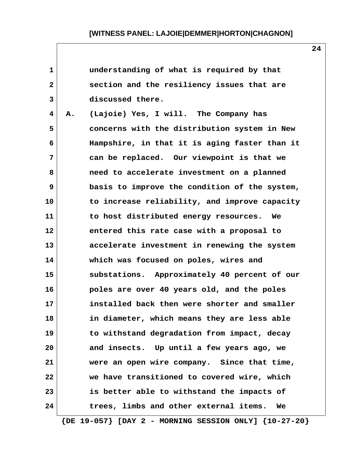| 1  | understanding of what is required by that                     |
|----|---------------------------------------------------------------|
| 2  | section and the resiliency issues that are                    |
| 3  | discussed there.                                              |
| 4  | (Lajoie) Yes, I will. The Company has<br>Α.                   |
| 5  | concerns with the distribution system in New                  |
| 6  | Hampshire, in that it is aging faster than it                 |
| 7  | can be replaced. Our viewpoint is that we                     |
| 8  | need to accelerate investment on a planned                    |
| 9  | basis to improve the condition of the system,                 |
| 10 | to increase reliability, and improve capacity                 |
| 11 | to host distributed energy resources. We                      |
| 12 | entered this rate case with a proposal to                     |
| 13 | accelerate investment in renewing the system                  |
| 14 | which was focused on poles, wires and                         |
| 15 | substations. Approximately 40 percent of our                  |
| 16 | poles are over 40 years old, and the poles                    |
| 17 | installed back then were shorter and smaller                  |
| 18 | in diameter, which means they are less able                   |
| 19 | to withstand degradation from impact, decay                   |
| 20 | and insects. Up until a few years ago, we                     |
| 21 | were an open wire company. Since that time,                   |
| 22 | we have transitioned to covered wire, which                   |
| 23 | is better able to withstand the impacts of                    |
| 24 | trees, limbs and other external items.<br>We                  |
|    | $\{DE 19-057\}$ [DAY 2 - MORNING SESSION ONLY] $\{10-27-20\}$ |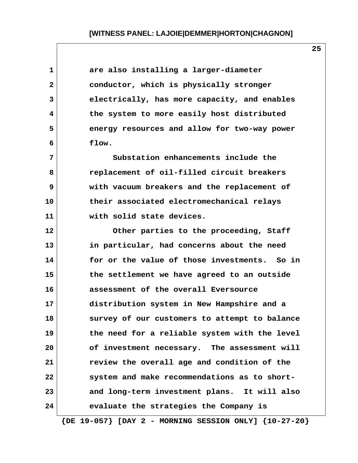| 1            | are also installing a larger-diameter                         |
|--------------|---------------------------------------------------------------|
| $\mathbf{2}$ | conductor, which is physically stronger                       |
| 3            | electrically, has more capacity, and enables                  |
| 4            | the system to more easily host distributed                    |
| 5            | energy resources and allow for two-way power                  |
| 6            | flow.                                                         |
| 7            | Substation enhancements include the                           |
| 8            | replacement of oil-filled circuit breakers                    |
| 9            | with vacuum breakers and the replacement of                   |
| 10           | their associated electromechanical relays                     |
| 11           | with solid state devices.                                     |
| 12           | Other parties to the proceeding, Staff                        |
| 13           | in particular, had concerns about the need                    |
| 14           | for or the value of those investments. So in                  |
| 15           | the settlement we have agreed to an outside                   |
| 16           | assessment of the overall Eversource                          |
| 17           | distribution system in New Hampshire and a                    |
| 18           | survey of our customers to attempt to balance                 |
| 19           | the need for a reliable system with the level                 |
| 20           | of investment necessary. The assessment will                  |
| 21           | review the overall age and condition of the                   |
| 22           | system and make recommendations as to short-                  |
| 23           | and long-term investment plans. It will also                  |
| 24           | evaluate the strategies the Company is                        |
|              | $\{DE 19-057\}$ [DAY 2 - MORNING SESSION ONLY] $\{10-27-20\}$ |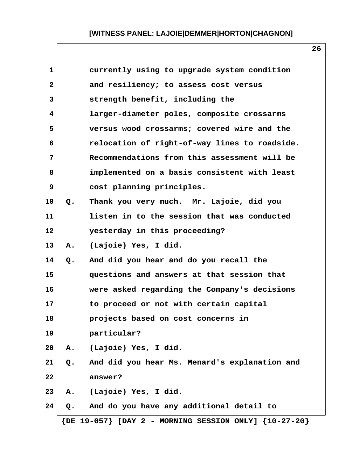| $\mathbf{1}$ |       | currently using to upgrade system condition                   |
|--------------|-------|---------------------------------------------------------------|
| $\mathbf{2}$ |       | and resiliency; to assess cost versus                         |
| 3            |       | strength benefit, including the                               |
| 4            |       | larger-diameter poles, composite crossarms                    |
| 5            |       | versus wood crossarms; covered wire and the                   |
| 6            |       | relocation of right-of-way lines to roadside.                 |
| 7            |       | Recommendations from this assessment will be                  |
| 8            |       | implemented on a basis consistent with least                  |
| 9            |       | cost planning principles.                                     |
| 10           | $Q$ . | Thank you very much. Mr. Lajoie, did you                      |
| 11           |       | listen in to the session that was conducted                   |
| 12           |       | yesterday in this proceeding?                                 |
| 13           | Α.    | (Lajoie) Yes, I did.                                          |
| 14           | Q.    | And did you hear and do you recall the                        |
| 15           |       | questions and answers at that session that                    |
| 16           |       | were asked regarding the Company's decisions                  |
| 17           |       | to proceed or not with certain capital                        |
| 18           |       | projects based on cost concerns in                            |
| 19           |       | particular?                                                   |
| 20           | Α.    | (Lajoie) Yes, I did.                                          |
| 21           | Q.    | And did you hear Ms. Menard's explanation and                 |
| 22           |       | answer?                                                       |
| 23           | Α.    | (Lajoie) Yes, I did.                                          |
| 24           | Q.    | And do you have any additional detail to                      |
|              |       | $\{DE 19-057\}$ [DAY 2 - MORNING SESSION ONLY] $\{10-27-20\}$ |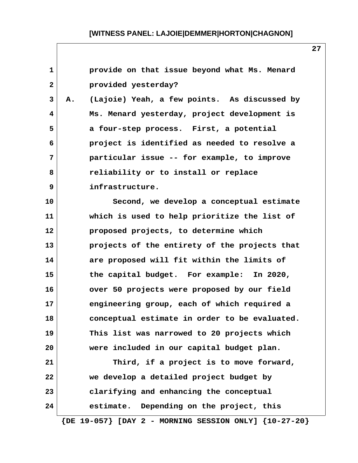| $\mathbf{1}$   |    | provide on that issue beyond what Ms. Menard                  |
|----------------|----|---------------------------------------------------------------|
| $\overline{2}$ |    | provided yesterday?                                           |
| 3              | А. | (Lajoie) Yeah, a few points. As discussed by                  |
| 4              |    | Ms. Menard yesterday, project development is                  |
| 5              |    | a four-step process. First, a potential                       |
| 6              |    | project is identified as needed to resolve a                  |
| 7              |    | particular issue -- for example, to improve                   |
| 8              |    | reliability or to install or replace                          |
| 9              |    | infrastructure.                                               |
| 10             |    | Second, we develop a conceptual estimate                      |
| 11             |    | which is used to help prioritize the list of                  |
| 12             |    | proposed projects, to determine which                         |
| 13             |    | projects of the entirety of the projects that                 |
| 14             |    | are proposed will fit within the limits of                    |
| 15             |    | the capital budget. For example: In 2020,                     |
| 16             |    | over 50 projects were proposed by our field                   |
| 17             |    | engineering group, each of which required a                   |
| 18             |    | conceptual estimate in order to be evaluated.                 |
| 19             |    | This list was narrowed to 20 projects which                   |
| 20             |    | were included in our capital budget plan.                     |
| 21             |    | Third, if a project is to move forward,                       |
| 22             |    | we develop a detailed project budget by                       |
| 23             |    | clarifying and enhancing the conceptual                       |
| 24             |    | estimate. Depending on the project, this                      |
|                |    | $\{DE 19-057\}$ [DAY 2 - MORNING SESSION ONLY] $\{10-27-20\}$ |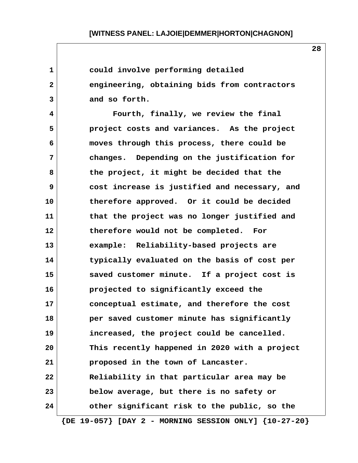| 1            | could involve performing detailed                             |
|--------------|---------------------------------------------------------------|
| $\mathbf{2}$ | engineering, obtaining bids from contractors                  |
| 3            | and so forth.                                                 |
| 4            | Fourth, finally, we review the final                          |
| 5            | project costs and variances. As the project                   |
| 6            | moves through this process, there could be                    |
| 7            | changes. Depending on the justification for                   |
| 8            | the project, it might be decided that the                     |
| 9            | cost increase is justified and necessary, and                 |
| 10           | therefore approved. Or it could be decided                    |
| 11           | that the project was no longer justified and                  |
| 12           | therefore would not be completed. For                         |
| 13           | example: Reliability-based projects are                       |
| 14           | typically evaluated on the basis of cost per                  |
| 15           | saved customer minute. If a project cost is                   |
| 16           | projected to significantly exceed the                         |
| 17           | conceptual estimate, and therefore the cost                   |
| 18           | per saved customer minute has significantly                   |
| 19           | increased, the project could be cancelled.                    |
| 20           | This recently happened in 2020 with a project                 |
| 21           | proposed in the town of Lancaster.                            |
| 22           | Reliability in that particular area may be                    |
| 23           | below average, but there is no safety or                      |
| 24           | other significant risk to the public, so the                  |
|              | $\{DE 19-057\}$ [DAY 2 - MORNING SESSION ONLY] $\{10-27-20\}$ |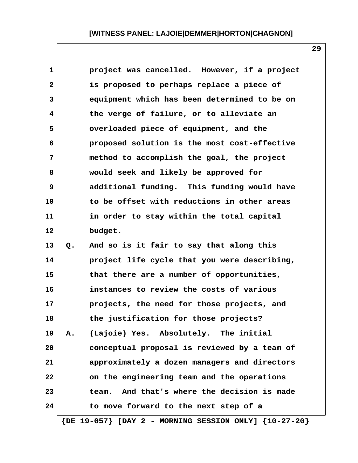|    | project was cancelled. However, if a project   |
|----|------------------------------------------------|
|    | is proposed to perhaps replace a piece of      |
|    | equipment which has been determined to be on   |
|    | the verge of failure, or to alleviate an       |
|    | overloaded piece of equipment, and the         |
|    | proposed solution is the most cost-effective   |
|    | method to accomplish the goal, the project     |
|    | would seek and likely be approved for          |
|    | additional funding. This funding would have    |
|    | to be offset with reductions in other areas    |
|    | in order to stay within the total capital      |
|    | budget.                                        |
| Q. | And so is it fair to say that along this       |
|    | project life cycle that you were describing,   |
|    | that there are a number of opportunities,      |
|    | instances to review the costs of various       |
|    | projects, the need for those projects, and     |
|    | the justification for those projects?          |
| А. | (Lajoie) Yes. Absolutely. The initial          |
|    | conceptual proposal is reviewed by a team of   |
|    | approximately a dozen managers and directors   |
|    | on the engineering team and the operations     |
|    | And that's where the decision is made<br>team. |
|    | to move forward to the next step of a          |
|    |                                                |

 **{DE 19-057} [DAY 2 - MORNING SESSION ONLY] {10-27-20}**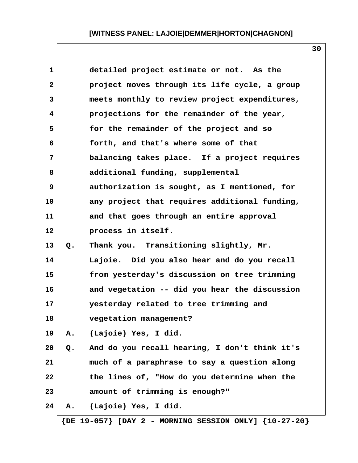| $\mathbf 1$  |    | detailed project estimate or not. As the                      |
|--------------|----|---------------------------------------------------------------|
| $\mathbf{2}$ |    | project moves through its life cycle, a group                 |
| 3            |    | meets monthly to review project expenditures,                 |
| 4            |    | projections for the remainder of the year,                    |
| 5            |    | for the remainder of the project and so                       |
| 6            |    | forth, and that's where some of that                          |
| 7            |    | balancing takes place. If a project requires                  |
| 8            |    | additional funding, supplemental                              |
| 9            |    | authorization is sought, as I mentioned, for                  |
| 10           |    | any project that requires additional funding,                 |
| 11           |    | and that goes through an entire approval                      |
| 12           |    | process in itself.                                            |
| 13           | Q. | Thank you. Transitioning slightly, Mr.                        |
| 14           |    | Lajoie. Did you also hear and do you recall                   |
| 15           |    | from yesterday's discussion on tree trimming                  |
| 16           |    | and vegetation -- did you hear the discussion                 |
| 17           |    | yesterday related to tree trimming and                        |
| 18           |    | vegetation management?                                        |
| 19           | Α. | (Lajoie) Yes, I did.                                          |
| 20           | Q. | And do you recall hearing, I don't think it's                 |
| 21           |    | much of a paraphrase to say a question along                  |
| 22           |    | the lines of, "How do you determine when the                  |
| 23           |    | amount of trimming is enough?"                                |
| 24           | А. | (Lajoie) Yes, I did.                                          |
|              |    | $\{DE~19-057\}$ [DAY 2 - MORNING SESSION ONLY] $\{10-27-20\}$ |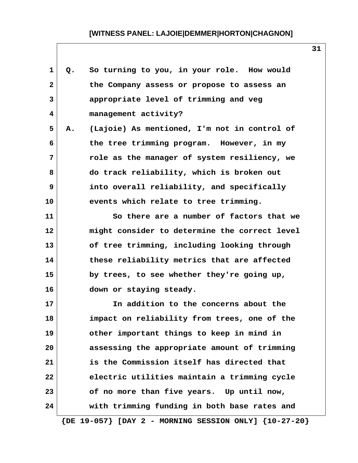| $\mathbf 1$  | Q. | So turning to you, in your role. How would                    |
|--------------|----|---------------------------------------------------------------|
| $\mathbf{2}$ |    | the Company assess or propose to assess an                    |
| 3            |    | appropriate level of trimming and veg                         |
| 4            |    | management activity?                                          |
| 5            | Α. | (Lajoie) As mentioned, I'm not in control of                  |
| 6            |    | the tree trimming program. However, in my                     |
| 7            |    | role as the manager of system resiliency, we                  |
| 8            |    | do track reliability, which is broken out                     |
| 9            |    | into overall reliability, and specifically                    |
| 10           |    | events which relate to tree trimming.                         |
| 11           |    | So there are a number of factors that we                      |
| 12           |    | might consider to determine the correct level                 |
| 13           |    | of tree trimming, including looking through                   |
| 14           |    | these reliability metrics that are affected                   |
| 15           |    | by trees, to see whether they're going up,                    |
| 16           |    | down or staying steady.                                       |
| 17           |    | In addition to the concerns about the                         |
| 18           |    | impact on reliability from trees, one of the                  |
| 19           |    | other important things to keep in mind in                     |
| 20           |    | assessing the appropriate amount of trimming                  |
| 21           |    | is the Commission itself has directed that                    |
| 22           |    | electric utilities maintain a trimming cycle                  |
| 23           |    | of no more than five years. Up until now,                     |
| 24           |    | with trimming funding in both base rates and                  |
|              |    | $\{DE 19-057\}$ [DAY 2 - MORNING SESSION ONLY] $\{10-27-20\}$ |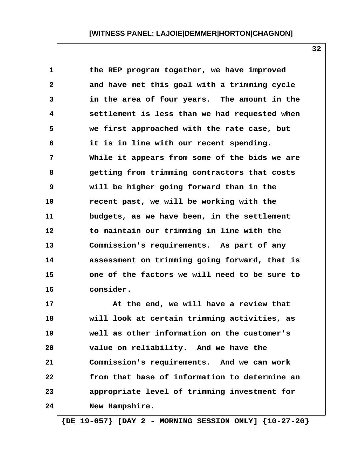| $\mathbf{1}$ | the REP program together, we have improved    |
|--------------|-----------------------------------------------|
| $\mathbf{2}$ | and have met this goal with a trimming cycle  |
| 3            | in the area of four years. The amount in the  |
| 4            | settlement is less than we had requested when |
| 5            | we first approached with the rate case, but   |
| 6            | it is in line with our recent spending.       |
| 7            | While it appears from some of the bids we are |
| 8            | getting from trimming contractors that costs  |
| 9            | will be higher going forward than in the      |
| 10           | recent past, we will be working with the      |
| 11           | budgets, as we have been, in the settlement   |
| 12           | to maintain our trimming in line with the     |
| 13           | Commission's requirements. As part of any     |
| 14           | assessment on trimming going forward, that is |
| 15           | one of the factors we will need to be sure to |
| 16           | consider.                                     |
|              |                                               |

**17 At the end, we will have a review that 18 will look at certain trimming activities, as 19 well as other information on the customer's 20 value on reliability. And we have the 21 Commission's requirements. And we can work 22 from that base of information to determine an 23 appropriate level of trimming investment for 24 New Hampshire.**

 **{DE 19-057} [DAY 2 - MORNING SESSION ONLY] {10-27-20}**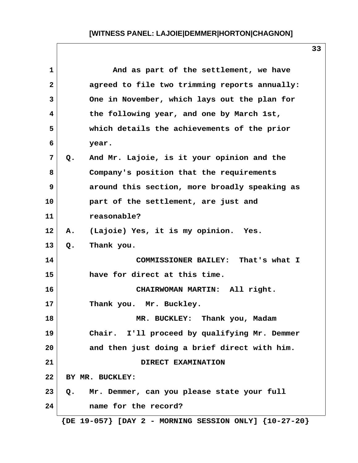| $\mathbf{1}$   | And as part of the settlement, we have                        |
|----------------|---------------------------------------------------------------|
| $\mathbf{2}$   | agreed to file two trimming reports annually:                 |
| 3              | One in November, which lays out the plan for                  |
| 4              | the following year, and one by March 1st,                     |
| 5              | which details the achievements of the prior                   |
| 6              | year.                                                         |
| $\overline{7}$ | And Mr. Lajoie, is it your opinion and the<br>Q.              |
| 8              | Company's position that the requirements                      |
| 9              | around this section, more broadly speaking as                 |
| 10             | part of the settlement, are just and                          |
| 11             | reasonable?                                                   |
| 12             | Α.<br>(Lajoie) Yes, it is my opinion. Yes.                    |
| 13             | Thank you.<br>Q.                                              |
| 14             | COMMISSIONER BAILEY: That's what I                            |
| 15             | have for direct at this time.                                 |
| 16             | CHAIRWOMAN MARTIN: All right.                                 |
| 17             | Thank you. Mr. Buckley.                                       |
| 18             | MR. BUCKLEY: Thank you, Madam                                 |
| 19             | Chair. I'll proceed by qualifying Mr. Demmer                  |
| 20             | and then just doing a brief direct with him.                  |
| 21             | DIRECT EXAMINATION                                            |
| 22             | BY MR. BUCKLEY:                                               |
| 23             | Mr. Demmer, can you please state your full<br>$Q$ .           |
| 24             | name for the record?                                          |
|                | $\{DE 19-057\}$ [DAY 2 - MORNING SESSION ONLY] $\{10-27-20\}$ |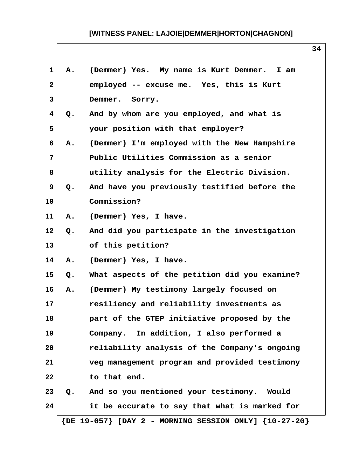| 1            | Α. | (Demmer) Yes. My name is Kurt Demmer. I am                    |
|--------------|----|---------------------------------------------------------------|
| $\mathbf{2}$ |    | employed -- excuse me. Yes, this is Kurt                      |
| 3            |    | Demmer. Sorry.                                                |
| 4            | Q. | And by whom are you employed, and what is                     |
| 5            |    | your position with that employer?                             |
| 6            | Α. | (Demmer) I'm employed with the New Hampshire                  |
| 7            |    | Public Utilities Commission as a senior                       |
| 8            |    | utility analysis for the Electric Division.                   |
| 9            | Q. | And have you previously testified before the                  |
| 10           |    | Commission?                                                   |
| 11           | Α. | (Demmer) Yes, I have.                                         |
| 12           | Q. | And did you participate in the investigation                  |
| 13           |    | of this petition?                                             |
| 14           | Α. | (Demmer) Yes, I have.                                         |
| 15           | Q. | What aspects of the petition did you examine?                 |
| 16           | Α. | (Demmer) My testimony largely focused on                      |
| 17           |    | resiliency and reliability investments as                     |
| 18           |    | part of the GTEP initiative proposed by the                   |
| 19           |    | Company. In addition, I also performed a                      |
| 20           |    | reliability analysis of the Company's ongoing                 |
| 21           |    | veg management program and provided testimony                 |
| 22           |    | to that end.                                                  |
| 23           | Q. | And so you mentioned your testimony. Would                    |
| 24           |    | it be accurate to say that what is marked for                 |
|              |    | $\{DE 19-057\}$ [DAY 2 - MORNING SESSION ONLY] $\{10-27-20\}$ |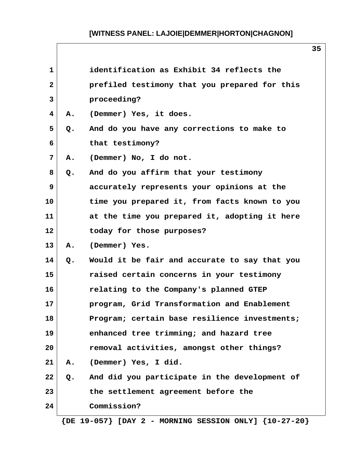| $\mathbf{1}$ |    | identification as Exhibit 34 reflects the                 |
|--------------|----|-----------------------------------------------------------|
| $\mathbf{2}$ |    | prefiled testimony that you prepared for this             |
| 3            |    | proceeding?                                               |
| 4            | Α. | (Demmer) Yes, it does.                                    |
| 5            | Q. | And do you have any corrections to make to                |
| 6            |    | that testimony?                                           |
| 7            | Α. | (Demmer) No, I do not.                                    |
| 8            | Q. | And do you affirm that your testimony                     |
| 9            |    | accurately represents your opinions at the                |
| 10           |    | time you prepared it, from facts known to you             |
| 11           |    | at the time you prepared it, adopting it here             |
| 12           |    | today for those purposes?                                 |
| 13           | Α. | (Demmer) Yes.                                             |
| 14           | Q. | Would it be fair and accurate to say that you             |
| 15           |    | raised certain concerns in your testimony                 |
| 16           |    | relating to the Company's planned GTEP                    |
| 17           |    | program, Grid Transformation and Enablement               |
| 18           |    | Program; certain base resilience investments;             |
| 19           |    | enhanced tree trimming; and hazard tree                   |
| 20           |    | removal activities, amongst other things?                 |
| 21           | Α. | (Demmer) Yes, I did.                                      |
| 22           | Q. | And did you participate in the development of             |
| 23           |    | the settlement agreement before the                       |
| 24           |    | Commission?                                               |
|              |    | ${DE 19-057}$ [DAY 2 - MORNING SESSION ONLY] ${10-27-20}$ |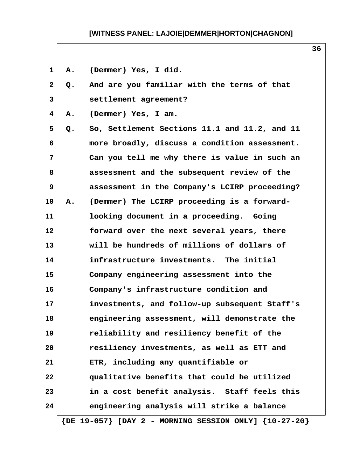| 1            | Α. | (Demmer) Yes, I did.                                          |
|--------------|----|---------------------------------------------------------------|
| $\mathbf{2}$ | Q. | And are you familiar with the terms of that                   |
| 3            |    | settlement agreement?                                         |
| 4            | Α. | (Demmer) Yes, I am.                                           |
| 5            | Q. | So, Settlement Sections 11.1 and 11.2, and 11                 |
| 6            |    | more broadly, discuss a condition assessment.                 |
| 7            |    | Can you tell me why there is value in such an                 |
| 8            |    | assessment and the subsequent review of the                   |
| 9            |    | assessment in the Company's LCIRP proceeding?                 |
| 10           | Α. | (Demmer) The LCIRP proceeding is a forward-                   |
| 11           |    | looking document in a proceeding. Going                       |
| 12           |    | forward over the next several years, there                    |
| 13           |    | will be hundreds of millions of dollars of                    |
| 14           |    | infrastructure investments. The initial                       |
| 15           |    | Company engineering assessment into the                       |
| 16           |    | Company's infrastructure condition and                        |
| 17           |    | investments, and follow-up subsequent Staff's                 |
| 18           |    | engineering assessment, will demonstrate the                  |
| 19           |    | reliability and resiliency benefit of the                     |
| 20           |    | resiliency investments, as well as ETT and                    |
| 21           |    | ETR, including any quantifiable or                            |
| 22           |    | qualitative benefits that could be utilized                   |
| 23           |    | in a cost benefit analysis. Staff feels this                  |
| 24           |    | engineering analysis will strike a balance                    |
|              |    | $\{DE 19-057\}$ [DAY 2 - MORNING SESSION ONLY] $\{10-27-20\}$ |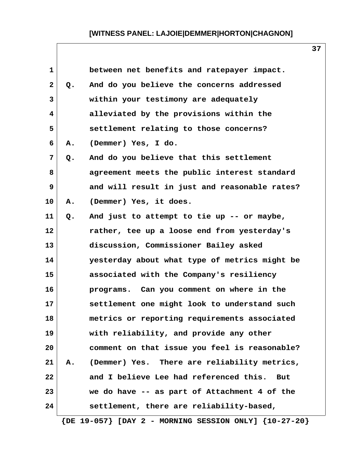| $\mathbf{1}$ |    | between net benefits and ratepayer impact.           |
|--------------|----|------------------------------------------------------|
| $\mathbf{2}$ | Q. | And do you believe the concerns addressed            |
| 3            |    | within your testimony are adequately                 |
| 4            |    | alleviated by the provisions within the              |
| 5            |    | settlement relating to those concerns?               |
| 6            | А. | (Demmer) Yes, I do.                                  |
| 7            | Q. | And do you believe that this settlement              |
| 8            |    | agreement meets the public interest standard         |
| 9            |    | and will result in just and reasonable rates?        |
| 10           | Α. | (Demmer) Yes, it does.                               |
| 11           | Q. | And just to attempt to tie up -- or maybe,           |
| 12           |    | rather, tee up a loose end from yesterday's          |
| 13           |    | discussion, Commissioner Bailey asked                |
| 14           |    | yesterday about what type of metrics might be        |
| 15           |    | associated with the Company's resiliency             |
| 16           |    | programs. Can you comment on where in the            |
| 17           |    | settlement one might look to understand such         |
| 18           |    | metrics or reporting requirements associated         |
| 19           |    | with reliability, and provide any other              |
| 20           |    | comment on that issue you feel is reasonable?        |
| 21           | Α. | (Demmer) Yes. There are reliability metrics,         |
| 22           |    | and I believe Lee had referenced this.<br><b>But</b> |
| 23           |    | we do have -- as part of Attachment 4 of the         |
| 24           |    | settlement, there are reliability-based,             |
|              |    |                                                      |

 **{DE 19-057} [DAY 2 - MORNING SESSION ONLY] {10-27-20}**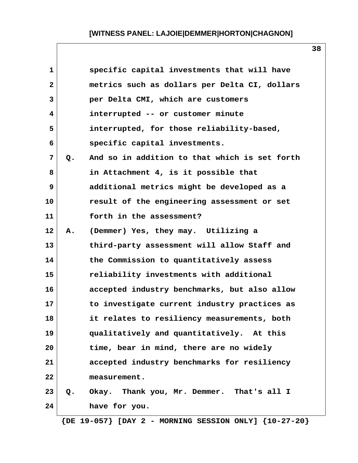| $\mathbf{1}$ |    | specific capital investments that will have   |
|--------------|----|-----------------------------------------------|
| $\mathbf{2}$ |    | metrics such as dollars per Delta CI, dollars |
| 3            |    | per Delta CMI, which are customers            |
| 4            |    | interrupted -- or customer minute             |
| 5            |    | interrupted, for those reliability-based,     |
| 6            |    | specific capital investments.                 |
| 7            | Q. | And so in addition to that which is set forth |
| 8            |    | in Attachment 4, is it possible that          |
| 9            |    | additional metrics might be developed as a    |
| 10           |    | result of the engineering assessment or set   |
| 11           |    | forth in the assessment?                      |
| 12           | Α. | (Demmer) Yes, they may. Utilizing a           |
| 13           |    | third-party assessment will allow Staff and   |
| 14           |    | the Commission to quantitatively assess       |
| 15           |    | reliability investments with additional       |
| 16           |    | accepted industry benchmarks, but also allow  |
| 17           |    | to investigate current industry practices as  |
| 18           |    | it relates to resiliency measurements, both   |
| 19           |    | qualitatively and quantitatively. At this     |
| 20           |    | time, bear in mind, there are no widely       |
| 21           |    | accepted industry benchmarks for resiliency   |
| 22           |    | measurement.                                  |
| 23           | Q. | Okay. Thank you, Mr. Demmer. That's all I     |
| 24           |    | have for you.                                 |
|              |    |                                               |

 **{DE 19-057} [DAY 2 - MORNING SESSION ONLY] {10-27-20}**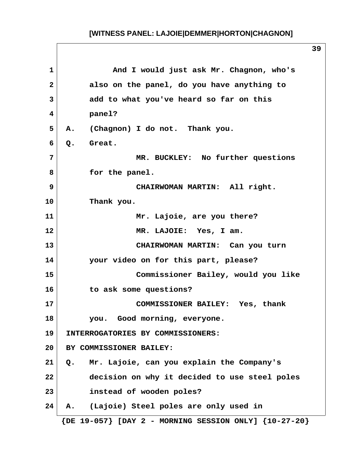**1 And I would just ask Mr. Chagnon, who's 2 also on the panel, do you have anything to 3 add to what you've heard so far on this 4 panel? 5 A. (Chagnon) I do not. Thank you.** 6 O. Great.  **7 MR. BUCKLEY: No further questions** 8 **6 for the panel. 9 CHAIRWOMAN MARTIN: All right. 10 Thank you. 11 Mr. Lajoie, are you there? 12 MR. LAJOIE: Yes, I am. 13 CHAIRWOMAN MARTIN: Can you turn 14 your video on for this part, please? 15 Commissioner Bailey, would you like 16 to ask some questions? 17 COMMISSIONER BAILEY: Yes, thank 18 you. Good morning, everyone. 19 INTERROGATORIES BY COMMISSIONERS: 20 BY COMMISSIONER BAILEY: 21 Q. Mr. Lajoie, can you explain the Company's 22 decision on why it decided to use steel poles 23 instead of wooden poles? 24 A. (Lajoie) Steel poles are only used in {DE 19-057} [DAY 2 - MORNING SESSION ONLY] {10-27-20}**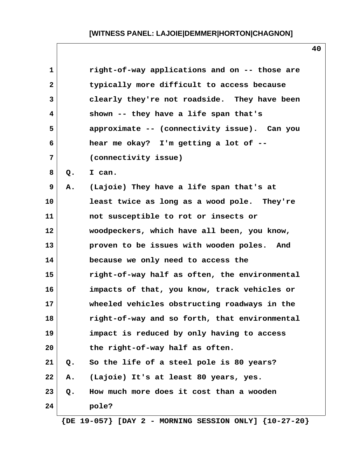| $\mathbf{1}$ |    | right-of-way applications and on -- those are |
|--------------|----|-----------------------------------------------|
| $\mathbf{2}$ |    | typically more difficult to access because    |
| 3            |    | clearly they're not roadside. They have been  |
| 4            |    | shown -- they have a life span that's         |
| 5            |    | approximate -- (connectivity issue). Can you  |
| 6            |    | hear me okay? I'm getting a lot of --         |
| 7            |    | (connectivity issue)                          |
| 8            | Q. | I can.                                        |
| 9            | Α. | (Lajoie) They have a life span that's at      |
| 10           |    | least twice as long as a wood pole. They're   |
| 11           |    | not susceptible to rot or insects or          |
| 12           |    | woodpeckers, which have all been, you know,   |
| 13           |    | proven to be issues with wooden poles. And    |
| 14           |    | because we only need to access the            |
| 15           |    | right-of-way half as often, the environmental |
| 16           |    | impacts of that, you know, track vehicles or  |
| 17           |    | wheeled vehicles obstructing roadways in the  |
| 18           |    | right-of-way and so forth, that environmental |
| 19           |    | impact is reduced by only having to access    |
| 20           |    | the right-of-way half as often.               |
| 21           | Q. | So the life of a steel pole is 80 years?      |
| 22           | Α. | (Lajoie) It's at least 80 years, yes.         |
| 23           | Q. | How much more does it cost than a wooden      |
| 24           |    | pole?                                         |
|              |    |                                               |

 **{DE 19-057} [DAY 2 - MORNING SESSION ONLY] {10-27-20}**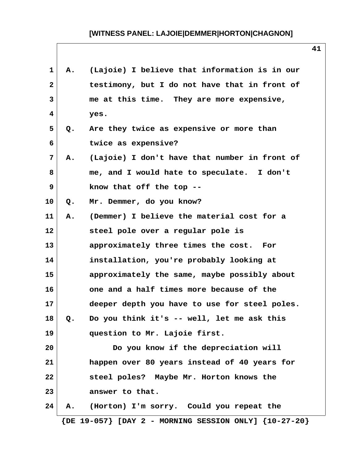| $\mathbf{1}$    | Α.             | (Lajoie) I believe that information is in our                 |
|-----------------|----------------|---------------------------------------------------------------|
| $\mathbf{2}$    |                | testimony, but I do not have that in front of                 |
| 3               |                | me at this time. They are more expensive,                     |
| 4               |                | yes.                                                          |
| 5               | Q.             | Are they twice as expensive or more than                      |
| 6               |                | twice as expensive?                                           |
| 7               | Α.             | (Lajoie) I don't have that number in front of                 |
| 8               |                | me, and I would hate to speculate. I don't                    |
| 9               |                | know that off the top --                                      |
| 10 <sub>1</sub> | Q <sub>z</sub> | Mr. Demmer, do you know?                                      |
| 11              | Α.             | (Demmer) I believe the material cost for a                    |
| $12 \,$         |                | steel pole over a regular pole is                             |
| 13              |                | approximately three times the cost. For                       |
| 14              |                | installation, you're probably looking at                      |
| 15              |                | approximately the same, maybe possibly about                  |
| 16              |                | one and a half times more because of the                      |
| 17              |                | deeper depth you have to use for steel poles.                 |
| 18              | Q.             | Do you think it's -- well, let me ask this                    |
| 19              |                | question to Mr. Lajoie first.                                 |
| 20              |                | Do you know if the depreciation will                          |
| 21              |                | happen over 80 years instead of 40 years for                  |
| 22              |                | steel poles? Maybe Mr. Horton knows the                       |
| 23              |                | answer to that.                                               |
| 24              | А.             | (Horton) I'm sorry. Could you repeat the                      |
|                 |                | $\{DE 19-057\}$ [DAY 2 - MORNING SESSION ONLY] $\{10-27-20\}$ |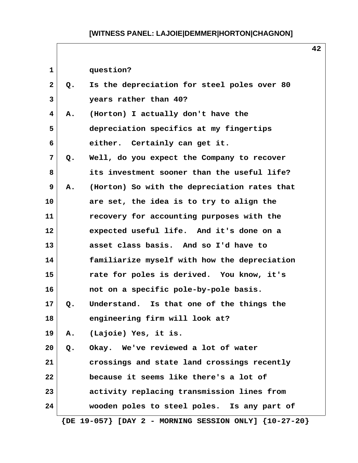| $\mathbf{1}$ |    | question?                                                     |  |
|--------------|----|---------------------------------------------------------------|--|
| $\mathbf{2}$ | Q. | Is the depreciation for steel poles over 80                   |  |
| 3            |    | years rather than 40?                                         |  |
| 4            | Α. | (Horton) I actually don't have the                            |  |
| 5            |    | depreciation specifics at my fingertips                       |  |
| 6            |    | either. Certainly can get it.                                 |  |
| 7            | Q. | Well, do you expect the Company to recover                    |  |
| 8            |    | its investment sooner than the useful life?                   |  |
| 9            | Α. | (Horton) So with the depreciation rates that                  |  |
| 10           |    | are set, the idea is to try to align the                      |  |
| 11           |    | recovery for accounting purposes with the                     |  |
| 12           |    | expected useful life. And it's done on a                      |  |
| 13           |    | asset class basis. And so I'd have to                         |  |
| 14           |    | familiarize myself with how the depreciation                  |  |
| 15           |    | rate for poles is derived. You know, it's                     |  |
| 16           |    | not on a specific pole-by-pole basis.                         |  |
| 17           | Q. | Understand. Is that one of the things the                     |  |
| 18           |    | engineering firm will look at?                                |  |
| 19           | Α. | (Lajoie) Yes, it is.                                          |  |
| 20           | Q. | Okay. We've reviewed a lot of water                           |  |
| 21           |    | crossings and state land crossings recently                   |  |
| 22           |    | because it seems like there's a lot of                        |  |
| 23           |    | activity replacing transmission lines from                    |  |
| 24           |    | wooden poles to steel poles. Is any part of                   |  |
|              |    | $\{DE 19-057\}$ [DAY 2 - MORNING SESSION ONLY] $\{10-27-20\}$ |  |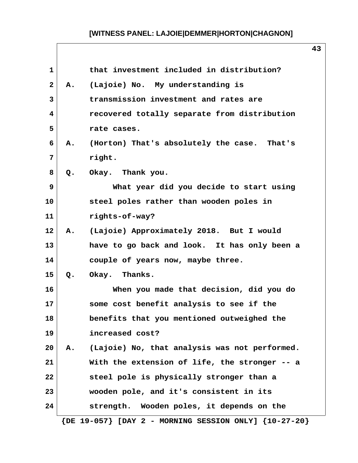| 1            |    | that investment included in distribution?                     |  |
|--------------|----|---------------------------------------------------------------|--|
| $\mathbf{2}$ | Α. | (Lajoie) No. My understanding is                              |  |
| 3            |    | transmission investment and rates are                         |  |
| 4            |    | recovered totally separate from distribution                  |  |
| 5            |    | rate cases.                                                   |  |
| 6            | Α. | (Horton) That's absolutely the case. That's                   |  |
| 7            |    | right.                                                        |  |
| 8            | Q. | Okay. Thank you.                                              |  |
| 9            |    | What year did you decide to start using                       |  |
| 10           |    | steel poles rather than wooden poles in                       |  |
| 11           |    | rights-of-way?                                                |  |
| 12           |    | A. (Lajoie) Approximately 2018. But I would                   |  |
| 13           |    | have to go back and look. It has only been a                  |  |
| 14           |    | couple of years now, maybe three.                             |  |
| 15           | Q. | Okay. Thanks.                                                 |  |
| 16           |    | When you made that decision, did you do                       |  |
| 17           |    | some cost benefit analysis to see if the                      |  |
| 18           |    | benefits that you mentioned outweighed the                    |  |
| 19           |    | increased cost?                                               |  |
| 20           | Α. | (Lajoie) No, that analysis was not performed.                 |  |
| 21           |    | With the extension of life, the stronger -- a                 |  |
| 22           |    | steel pole is physically stronger than a                      |  |
| 23           |    | wooden pole, and it's consistent in its                       |  |
| 24           |    | strength. Wooden poles, it depends on the                     |  |
|              |    | $\{DE 19-057\}$ [DAY 2 - MORNING SESSION ONLY] $\{10-27-20\}$ |  |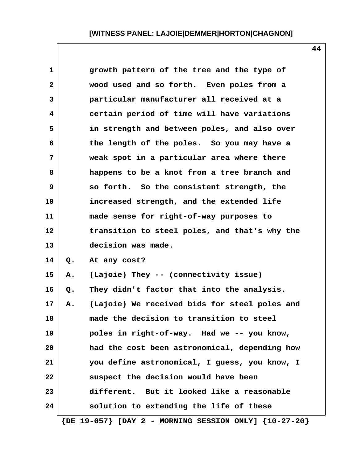| $\mathbf{1}$    |    | growth pattern of the tree and the type of                    |
|-----------------|----|---------------------------------------------------------------|
| $\mathbf{2}$    |    | wood used and so forth. Even poles from a                     |
| 3               |    | particular manufacturer all received at a                     |
| 4               |    | certain period of time will have variations                   |
| 5               |    | in strength and between poles, and also over                  |
| 6               |    | the length of the poles. So you may have a                    |
| $\overline{7}$  |    | weak spot in a particular area where there                    |
| 8               |    | happens to be a knot from a tree branch and                   |
| 9               |    | so forth. So the consistent strength, the                     |
| 10              |    | increased strength, and the extended life                     |
| 11              |    | made sense for right-of-way purposes to                       |
| $12 \,$         |    | transition to steel poles, and that's why the                 |
| 13              |    | decision was made.                                            |
| 14              | Q. | At any cost?                                                  |
| 15              | Α. | (Lajoie) They -- (connectivity issue)                         |
| 16              | Q. | They didn't factor that into the analysis.                    |
| 17 <sub>2</sub> | Α. | (Lajoie) We received bids for steel poles and                 |
| 18              |    | made the decision to transition to steel                      |
| 19              |    | poles in right-of-way. Had we -- you know,                    |
| 20              |    | had the cost been astronomical, depending how                 |
| 21              |    | you define astronomical, I guess, you know, I                 |
| 22              |    | suspect the decision would have been                          |
| 23              |    | different. But it looked like a reasonable                    |
| 24              |    | solution to extending the life of these                       |
|                 |    | $\{DE 19-057\}$ [DAY 2 - MORNING SESSION ONLY] $\{10-27-20\}$ |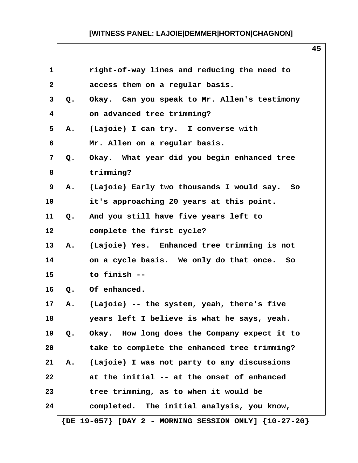| $\mathbf{1}$   |    | right-of-way lines and reducing the need to                   |
|----------------|----|---------------------------------------------------------------|
| $\mathbf{2}$   |    | access them on a regular basis.                               |
| 3              | Q. | Okay. Can you speak to Mr. Allen's testimony                  |
| 4              |    | on advanced tree trimming?                                    |
| 5              | Α. | (Lajoie) I can try. I converse with                           |
| 6              |    | Mr. Allen on a regular basis.                                 |
| $7\phantom{.}$ | Q. | Okay. What year did you begin enhanced tree                   |
| 8              |    | trimming?                                                     |
| 9              | Α. | (Lajoie) Early two thousands I would say. So                  |
| 10             |    | it's approaching 20 years at this point.                      |
| 11             | Q. | And you still have five years left to                         |
| 12             |    | complete the first cycle?                                     |
| 13             | Α. | (Lajoie) Yes. Enhanced tree trimming is not                   |
| 14             |    | on a cycle basis. We only do that once. So                    |
| 15             |    | to finish --                                                  |
| 16             |    | Q. Of enhanced.                                               |
| 17             | Α. | (Lajoie) -- the system, yeah, there's five                    |
| 18             |    | years left I believe is what he says, yeah.                   |
| 19             | Q. | Okay. How long does the Company expect it to                  |
| 20             |    | take to complete the enhanced tree trimming?                  |
| 21             |    | A. (Lajoie) I was not party to any discussions                |
| 22             |    | at the initial -- at the onset of enhanced                    |
| 23             |    | tree trimming, as to when it would be                         |
| 24             |    | completed. The initial analysis, you know,                    |
|                |    | $\{DE 19-057\}$ [DAY 2 - MORNING SESSION ONLY] $\{10-27-20\}$ |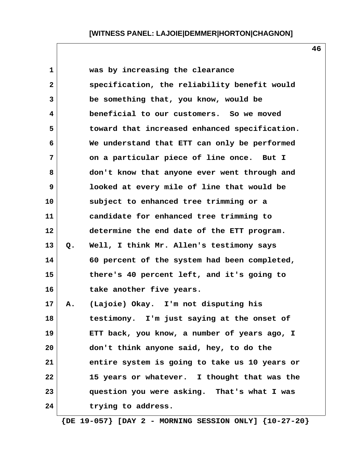| $\mathbf 1$  |       | was by increasing the clearance               |
|--------------|-------|-----------------------------------------------|
| $\mathbf{2}$ |       | specification, the reliability benefit would  |
| 3            |       | be something that, you know, would be         |
| 4            |       | beneficial to our customers. So we moved      |
| 5            |       | toward that increased enhanced specification. |
| 6            |       | We understand that ETT can only be performed  |
| 7            |       | on a particular piece of line once. But I     |
| 8            |       | don't know that anyone ever went through and  |
| 9            |       | looked at every mile of line that would be    |
| 10           |       | subject to enhanced tree trimming or a        |
| 11           |       | candidate for enhanced tree trimming to       |
| 12           |       | determine the end date of the ETT program.    |
| 13           | $Q$ . | Well, I think Mr. Allen's testimony says      |
| 14           |       | 60 percent of the system had been completed,  |
| 15           |       | there's 40 percent left, and it's going to    |
| 16           |       | take another five years.                      |
| 17           | Α.    | (Lajoie) Okay. I'm not disputing his          |
| 18           |       | I'm just saying at the onset of<br>testimony. |
| 19           |       | ETT back, you know, a number of years ago, I  |
| 20           |       | don't think anyone said, hey, to do the       |
| 21           |       | entire system is going to take us 10 years or |
| 22           |       | 15 years or whatever. I thought that was the  |
| 23           |       | question you were asking. That's what I was   |
| 24           |       | trying to address.                            |
|              |       |                                               |

 **{DE 19-057} [DAY 2 - MORNING SESSION ONLY] {10-27-20}**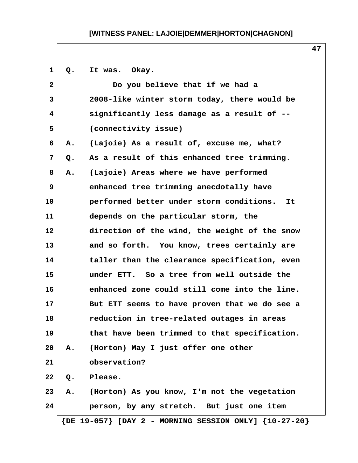| 1            | $Q_{\bullet}$ | It was. Okay.                                             |
|--------------|---------------|-----------------------------------------------------------|
| $\mathbf{2}$ |               | Do you believe that if we had a                           |
| 3            |               | 2008-like winter storm today, there would be              |
| 4            |               | significantly less damage as a result of --               |
| 5            |               | (connectivity issue)                                      |
| 6            | Α.            | (Lajoie) As a result of, excuse me, what?                 |
| 7            | $Q$ .         | As a result of this enhanced tree trimming.               |
| 8            | Α.            | (Lajoie) Areas where we have performed                    |
| 9            |               | enhanced tree trimming anecdotally have                   |
| 10           |               | performed better under storm conditions.<br>It.           |
| 11           |               | depends on the particular storm, the                      |
| 12           |               | direction of the wind, the weight of the snow             |
| 13           |               | and so forth. You know, trees certainly are               |
| 14           |               | taller than the clearance specification, even             |
| 15           |               | under ETT. So a tree from well outside the                |
| 16           |               | enhanced zone could still come into the line.             |
| 17           |               | But ETT seems to have proven that we do see a             |
| 18           |               | reduction in tree-related outages in areas                |
| 19           |               | that have been trimmed to that specification.             |
| 20           | Α.            | (Horton) May I just offer one other                       |
| 21           |               | observation?                                              |
| 22           | Q.            | Please.                                                   |
| 23           | Α.            | (Horton) As you know, I'm not the vegetation              |
| 24           |               | person, by any stretch. But just one item                 |
|              |               | ${DE 19-057}$ [DAY 2 - MORNING SESSION ONLY] ${10-27-20}$ |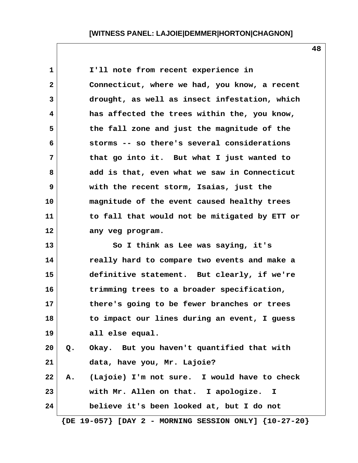**1 I'll note from recent experience in 2 Connecticut, where we had, you know, a recent 3 drought, as well as insect infestation, which 4 has affected the trees within the, you know, 5 the fall zone and just the magnitude of the 6 storms -- so there's several considerations 7 that go into it. But what I just wanted to 8 add is that, even what we saw in Connecticut 9 with the recent storm, Isaias, just the 10 magnitude of the event caused healthy trees 11 to fall that would not be mitigated by ETT or 12 any veg program. 13 So I think as Lee was saying, it's 14 really hard to compare two events and make a 15 definitive statement. But clearly, if we're 16 trimming trees to a broader specification, 17 there's going to be fewer branches or trees 18 to impact our lines during an event, I guess 19 all else equal. 20 Q. Okay. But you haven't quantified that with 21 data, have you, Mr. Lajoie? 22 A. (Lajoie) I'm not sure. I would have to check**

**23 with Mr. Allen on that. I apologize. I 24 believe it's been looked at, but I do not**

 **{DE 19-057} [DAY 2 - MORNING SESSION ONLY] {10-27-20}**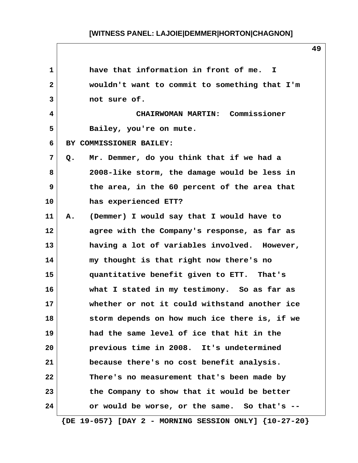| $\mathbf{1}$ | have that information in front of me.<br>$\mathbf{I}$         |
|--------------|---------------------------------------------------------------|
| $\mathbf{2}$ | wouldn't want to commit to something that I'm                 |
| 3            | not sure of.                                                  |
| 4            | CHAIRWOMAN MARTIN: Commissioner                               |
| 5            | Bailey, you're on mute.                                       |
| 6            | BY COMMISSIONER BAILEY:                                       |
| 7            | Mr. Demmer, do you think that if we had a<br>Q.               |
| 8            | 2008-like storm, the damage would be less in                  |
| 9            | the area, in the 60 percent of the area that                  |
| 10           | has experienced ETT?                                          |
| 11           | (Demmer) I would say that I would have to<br>Α.               |
| 12           | agree with the Company's response, as far as                  |
| 13           | having a lot of variables involved. However,                  |
| 14           | my thought is that right now there's no                       |
| 15           | quantitative benefit given to ETT. That's                     |
| 16           | what I stated in my testimony. So as far as                   |
| 17           | whether or not it could withstand another ice                 |
| 18           | storm depends on how much ice there is, if we                 |
| 19           | had the same level of ice that hit in the                     |
| 20           | previous time in 2008. It's undetermined                      |
| 21           | because there's no cost benefit analysis.                     |
| 22           | There's no measurement that's been made by                    |
| 23           | the Company to show that it would be better                   |
| 24           | or would be worse, or the same. So that's --                  |
|              | $\{DE 19-057\}$ [DAY 2 - MORNING SESSION ONLY] $\{10-27-20\}$ |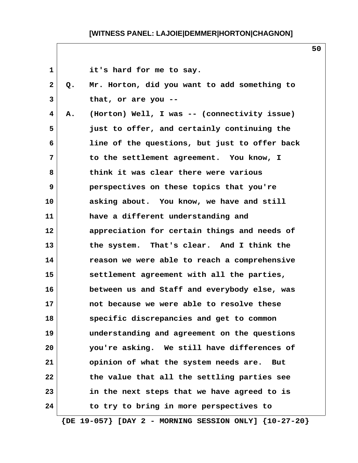|    | it's hard for me to say.                      |
|----|-----------------------------------------------|
| Q. | Mr. Horton, did you want to add something to  |
|    | that, or are you $-$ -                        |
| Α. | (Horton) Well, I was -- (connectivity issue)  |
|    | just to offer, and certainly continuing the   |
|    | line of the questions, but just to offer back |
|    | to the settlement agreement. You know, I      |
|    | think it was clear there were various         |
|    | perspectives on these topics that you're      |
|    | asking about. You know, we have and still     |
|    | have a different understanding and            |
|    | appreciation for certain things and needs of  |
|    | the system. That's clear. And I think the     |
|    | reason we were able to reach a comprehensive  |
|    | settlement agreement with all the parties,    |
|    | between us and Staff and everybody else, was  |
|    | not because we were able to resolve these     |
|    | specific discrepancies and get to common      |
|    | understanding and agreement on the questions  |
|    | you're asking. We still have differences of   |
|    | opinion of what the system needs are.<br>But  |
|    | the value that all the settling parties see   |
|    | in the next steps that we have agreed to is   |
|    | to try to bring in more perspectives to       |
|    |                                               |

 **{DE 19-057} [DAY 2 - MORNING SESSION ONLY] {10-27-20}**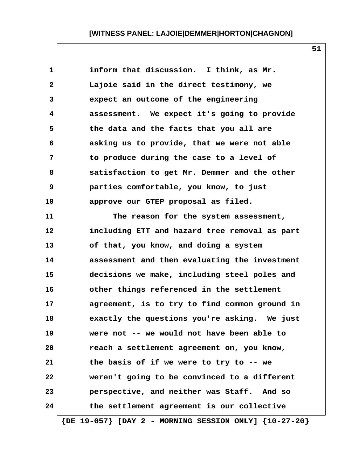**1 inform that discussion. I think, as Mr. 2 Lajoie said in the direct testimony, we 3 expect an outcome of the engineering 4 assessment. We expect it's going to provide 5 the data and the facts that you all are 6 asking us to provide, that we were not able 7 to produce during the case to a level of 8 satisfaction to get Mr. Demmer and the other 9 parties comfortable, you know, to just 10 approve our GTEP proposal as filed. 11 The reason for the system assessment, 12 including ETT and hazard tree removal as part 13 of that, you know, and doing a system 14 assessment and then evaluating the investment 15 decisions we make, including steel poles and 16 other things referenced in the settlement 17 agreement, is to try to find common ground in 18 exactly the questions you're asking. We just 19 were not -- we would not have been able to 20 reach a settlement agreement on, you know, 21 the basis of if we were to try to -- we 22 weren't going to be convinced to a different 23 perspective, and neither was Staff. And so 24 the settlement agreement is our collective {DE 19-057} [DAY 2 - MORNING SESSION ONLY] {10-27-20}**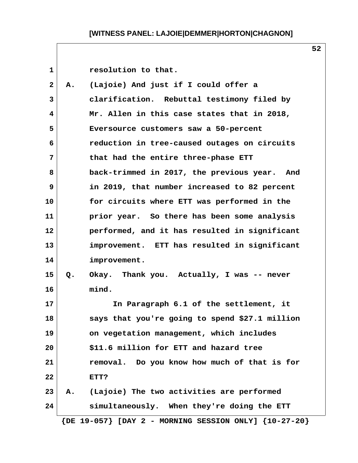| $\mathbf{1}$   |       | resolution to that.                            |
|----------------|-------|------------------------------------------------|
| $\mathbf{2}$   | A.    | (Lajoie) And just if I could offer a           |
| 3              |       | clarification. Rebuttal testimony filed by     |
| 4              |       | Mr. Allen in this case states that in 2018,    |
| 5              |       | Eversource customers saw a 50-percent          |
| 6              |       | reduction in tree-caused outages on circuits   |
| $\overline{7}$ |       | that had the entire three-phase ETT            |
| 8              |       | back-trimmed in 2017, the previous year. And   |
| 9              |       | in 2019, that number increased to 82 percent   |
| 10             |       | for circuits where ETT was performed in the    |
| 11             |       | prior year. So there has been some analysis    |
| 12             |       | performed, and it has resulted in significant  |
| 13             |       | improvement. ETT has resulted in significant   |
| 14             |       | improvement.                                   |
| 15             | $Q$ . | Okay. Thank you. Actually, I was -- never      |
| 16             |       | mind.                                          |
| 17             |       | In Paragraph 6.1 of the settlement, it         |
| 18             |       | says that you're going to spend \$27.1 million |
| 19             |       | on vegetation management, which includes       |
| 20             |       | \$11.6 million for ETT and hazard tree         |
| 21             |       | removal. Do you know how much of that is for   |
| 22             |       | ETT?                                           |
| 23             | Α.    | (Lajoie) The two activities are performed      |
| 24             |       | simultaneously. When they're doing the ETT     |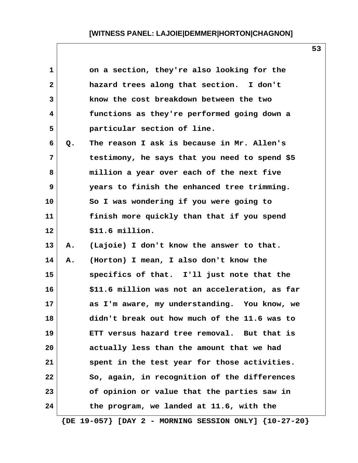| 1            |    | on a section, they're also looking for the                    |
|--------------|----|---------------------------------------------------------------|
| $\mathbf{2}$ |    | hazard trees along that section. I don't                      |
| 3            |    | know the cost breakdown between the two                       |
| 4            |    | functions as they're performed going down a                   |
| 5            |    | particular section of line.                                   |
| 6            | Q. | The reason I ask is because in Mr. Allen's                    |
| 7            |    | testimony, he says that you need to spend \$5                 |
| 8            |    | million a year over each of the next five                     |
| 9            |    | years to finish the enhanced tree trimming.                   |
| 10           |    | So I was wondering if you were going to                       |
| 11           |    | finish more quickly than that if you spend                    |
| 12           |    | \$11.6 million.                                               |
| 13           | Α. | (Lajoie) I don't know the answer to that.                     |
| 14           | Α. | (Horton) I mean, I also don't know the                        |
| 15           |    | specifics of that. I'll just note that the                    |
| 16           |    | \$11.6 million was not an acceleration, as far                |
| 17           |    | as I'm aware, my understanding. You know, we                  |
| 18           |    | didn't break out how much of the 11.6 was to                  |
| 19           |    | ETT versus hazard tree removal. But that is                   |
| 20           |    | actually less than the amount that we had                     |
| 21           |    | spent in the test year for those activities.                  |
| 22           |    | So, again, in recognition of the differences                  |
| 23           |    | of opinion or value that the parties saw in                   |
| 24           |    | the program, we landed at 11.6, with the                      |
|              |    | $\{DE 19-057\}$ [DAY 2 - MORNING SESSION ONLY] $\{10-27-20\}$ |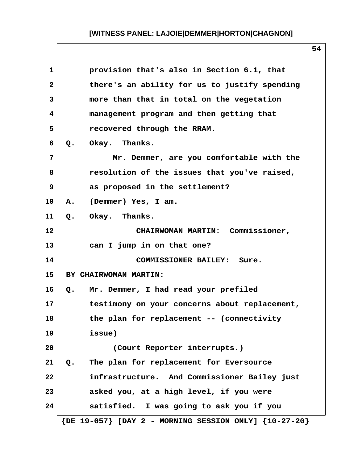| $\mathbf{1}$   | provision that's also in Section 6.1, that                    |
|----------------|---------------------------------------------------------------|
| $\overline{2}$ | there's an ability for us to justify spending                 |
| 3              | more than that in total on the vegetation                     |
| 4              | management program and then getting that                      |
| 5              | recovered through the RRAM.                                   |
| 6              | Q. Okay. Thanks.                                              |
| $\overline{7}$ | Mr. Demmer, are you comfortable with the                      |
| 8              | resolution of the issues that you've raised,                  |
| 9              | as proposed in the settlement?                                |
| 10             | A. (Demmer) Yes, I am.                                        |
| 11             | Q. Okay. Thanks.                                              |
| 12             | CHAIRWOMAN MARTIN: Commissioner,                              |
| 13             | can I jump in on that one?                                    |
| 14             | COMMISSIONER BAILEY: Sure.                                    |
| 15             | BY CHAIRWOMAN MARTIN:                                         |
| 16             | Q. Mr. Demmer, I had read your prefiled                       |
| 17             | testimony on your concerns about replacement,                 |
| 18             | the plan for replacement -- (connectivity                     |
| 19             | issue)                                                        |
| 20             | (Court Reporter interrupts.)                                  |
| 21             | The plan for replacement for Eversource<br>Q.                 |
| 22             | infrastructure. And Commissioner Bailey just                  |
| 23             | asked you, at a high level, if you were                       |
| 24             | satisfied. I was going to ask you if you                      |
|                | $\{DE 19-057\}$ [DAY 2 - MORNING SESSION ONLY] $\{10-27-20\}$ |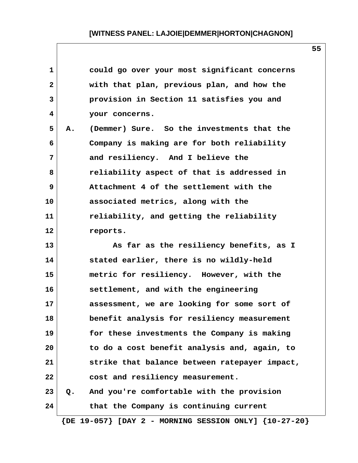| $\mathbf{1}$ |    | could go over your most significant concerns                  |
|--------------|----|---------------------------------------------------------------|
| $\mathbf{2}$ |    | with that plan, previous plan, and how the                    |
| 3            |    | provision in Section 11 satisfies you and                     |
| 4            |    | your concerns.                                                |
| 5            | Α. | (Demmer) Sure. So the investments that the                    |
| 6            |    | Company is making are for both reliability                    |
| 7            |    | and resiliency. And I believe the                             |
| 8            |    | reliability aspect of that is addressed in                    |
| 9            |    | Attachment 4 of the settlement with the                       |
| 10           |    | associated metrics, along with the                            |
| 11           |    | reliability, and getting the reliability                      |
| 12           |    | reports.                                                      |
| 13           |    | As far as the resiliency benefits, as I                       |
| 14           |    | stated earlier, there is no wildly-held                       |
| 15           |    | metric for resiliency. However, with the                      |
| 16           |    | settlement, and with the engineering                          |
| 17           |    | assessment, we are looking for some sort of                   |
| 18           |    | benefit analysis for resiliency measurement                   |
| 19           |    | for these investments the Company is making                   |
| 20           |    | to do a cost benefit analysis and, again, to                  |
| 21           |    | strike that balance between ratepayer impact,                 |
| 22           |    | cost and resiliency measurement.                              |
| 23           | Q. | And you're comfortable with the provision                     |
| 24           |    | that the Company is continuing current                        |
|              |    | $\{DE 19-057\}$ [DAY 2 - MORNING SESSION ONLY] $\{10-27-20\}$ |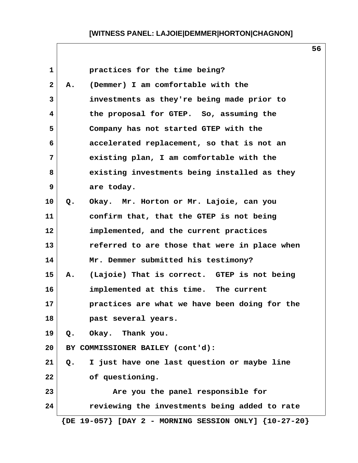| 1            | practices for the time being?                                 |
|--------------|---------------------------------------------------------------|
| $\mathbf{2}$ | (Demmer) I am comfortable with the<br>Α.                      |
| 3            | investments as they're being made prior to                    |
| 4            | the proposal for GTEP. So, assuming the                       |
| 5            | Company has not started GTEP with the                         |
| 6            | accelerated replacement, so that is not an                    |
| 7            | existing plan, I am comfortable with the                      |
| 8            | existing investments being installed as they                  |
| 9            | are today.                                                    |
| 10           | Okay. Mr. Horton or Mr. Lajoie, can you<br>Q.                 |
| 11           | confirm that, that the GTEP is not being                      |
| 12           | implemented, and the current practices                        |
| 13           | referred to are those that were in place when                 |
| 14           | Mr. Demmer submitted his testimony?                           |
| 15           | (Lajoie) That is correct. GTEP is not being<br>А.             |
| 16           | implemented at this time. The current                         |
| 17           | practices are what we have been doing for the                 |
| 18           | past several years.                                           |
| 19           | Okay. Thank you.<br>Q.                                        |
| 20           | BY COMMISSIONER BAILEY (cont'd):                              |
| 21           | I just have one last question or maybe line<br>Q.             |
| 22           | of questioning.                                               |
| 23           | Are you the panel responsible for                             |
| 24           | reviewing the investments being added to rate                 |
|              | $\{DE 19-057\}$ [DAY 2 - MORNING SESSION ONLY] $\{10-27-20\}$ |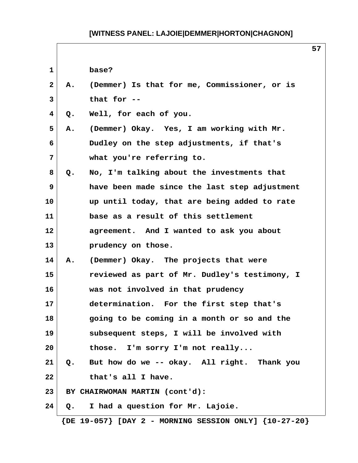$\sqrt{ }$ 

|              |               |                                               | 57 |
|--------------|---------------|-----------------------------------------------|----|
| 1            |               | base?                                         |    |
| $\mathbf{2}$ | Α.            | (Demmer) Is that for me, Commissioner, or is  |    |
| 3            |               | that for --                                   |    |
| 4            | Q.            | Well, for each of you.                        |    |
| 5            | Α.            | (Demmer) Okay. Yes, I am working with Mr.     |    |
| 6            |               | Dudley on the step adjustments, if that's     |    |
| 7            |               | what you're referring to.                     |    |
| 8            | Q.            | No, I'm talking about the investments that    |    |
| 9            |               | have been made since the last step adjustment |    |
| 10           |               | up until today, that are being added to rate  |    |
| 11           |               | base as a result of this settlement           |    |
| 12           |               | agreement. And I wanted to ask you about      |    |
| 13           |               | prudency on those.                            |    |
| 14           | Α.            | (Demmer) Okay. The projects that were         |    |
| 15           |               | reviewed as part of Mr. Dudley's testimony, I |    |
| 16           |               | was not involved in that prudency             |    |
| 17           |               | determination. For the first step that's      |    |
| 18           |               | going to be coming in a month or so and the   |    |
| 19           |               | subsequent steps, I will be involved with     |    |
| 20           |               | those. I'm sorry I'm not really               |    |
| 21           | $Q_{\bullet}$ | But how do we -- okay. All right. Thank you   |    |
| 22           |               | that's all I have.                            |    |
| 23           |               | BY CHAIRWOMAN MARTIN (cont'd):                |    |
| 24           | Q.            | I had a question for Mr. Lajoie.              |    |

 **{DE 19-057} [DAY 2 - MORNING SESSION ONLY] {10-27-20}**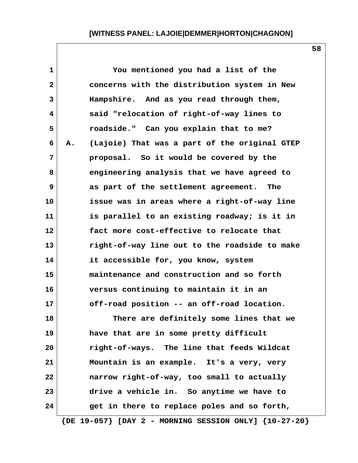| $\mathbf{1}$ | You mentioned you had a list of the                           |  |
|--------------|---------------------------------------------------------------|--|
| $\mathbf{2}$ | concerns with the distribution system in New                  |  |
| 3            | Hampshire. And as you read through them,                      |  |
| 4            | said "relocation of right-of-way lines to                     |  |
| 5            | roadside." Can you explain that to me?                        |  |
| 6            | (Lajoie) That was a part of the original GTEP<br>Α.           |  |
| 7            | proposal. So it would be covered by the                       |  |
| 8            | engineering analysis that we have agreed to                   |  |
| 9            | as part of the settlement agreement. The                      |  |
| 10           | issue was in areas where a right-of-way line                  |  |
| 11           | is parallel to an existing roadway; is it in                  |  |
| 12           | fact more cost-effective to relocate that                     |  |
| 13           | right-of-way line out to the roadside to make                 |  |
| 14           | it accessible for, you know, system                           |  |
| 15           | maintenance and construction and so forth                     |  |
| 16           | versus continuing to maintain it in an                        |  |
| 17           | off-road position -- an off-road location.                    |  |
| 18           | There are definitely some lines that we                       |  |
| 19           | have that are in some pretty difficult                        |  |
| 20           | right-of-ways. The line that feeds Wildcat                    |  |
| 21           | Mountain is an example. It's a very, very                     |  |
| 22           | narrow right-of-way, too small to actually                    |  |
| 23           | drive a vehicle in. So anytime we have to                     |  |
| 24           | get in there to replace poles and so forth,                   |  |
|              | $\{DE 19-057\}$ [DAY 2 - MORNING SESSION ONLY] $\{10-27-20\}$ |  |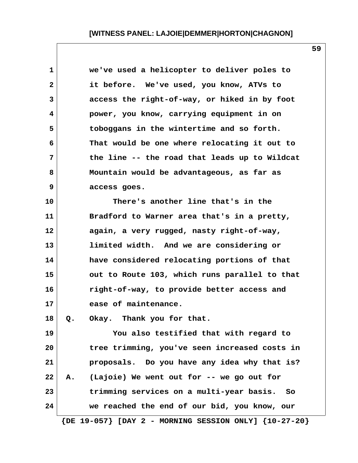| 1  | we've used a helicopter to deliver poles to                   |
|----|---------------------------------------------------------------|
| 2  | it before. We've used, you know, ATVs to                      |
| 3  | access the right-of-way, or hiked in by foot                  |
| 4  | power, you know, carrying equipment in on                     |
| 5  | toboggans in the wintertime and so forth.                     |
| 6  | That would be one where relocating it out to                  |
| 7  | the line -- the road that leads up to Wildcat                 |
| 8  | Mountain would be advantageous, as far as                     |
| 9  | access goes.                                                  |
| 10 | There's another line that's in the                            |
| 11 | Bradford to Warner area that's in a pretty,                   |
| 12 | again, a very rugged, nasty right-of-way,                     |
| 13 | limited width. And we are considering or                      |
| 14 | have considered relocating portions of that                   |
| 15 | out to Route 103, which runs parallel to that                 |
| 16 | right-of-way, to provide better access and                    |
| 17 | ease of maintenance.                                          |
| 18 | Okay. Thank you for that.<br>o.                               |
| 19 | You also testified that with regard to                        |
| 20 | tree trimming, you've seen increased costs in                 |
| 21 | proposals. Do you have any idea why that is?                  |
| 22 | A. (Lajoie) We went out for -- we go out for                  |
| 23 | trimming services on a multi-year basis. So                   |
| 24 | we reached the end of our bid, you know, our                  |
|    | $\{DE 19-057\}$ [DAY 2 - MORNING SESSION ONLY] $\{10-27-20\}$ |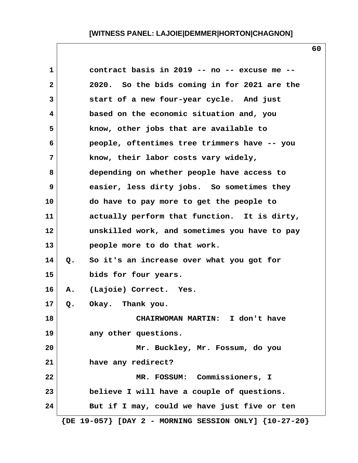| contract basis in 2019 -- no -- excuse me --    |
|-------------------------------------------------|
| 2020. So the bids coming in for 2021 are the    |
| start of a new four-year cycle. And just        |
| based on the economic situation and, you        |
| know, other jobs that are available to          |
| people, oftentimes tree trimmers have -- you    |
| know, their labor costs vary widely,            |
| depending on whether people have access to      |
| easier, less dirty jobs. So sometimes they      |
| do have to pay more to get the people to        |
| actually perform that function. It is dirty,    |
| unskilled work, and sometimes you have to pay   |
| people more to do that work.                    |
| So it's an increase over what you got for<br>Q. |
| bids for four years.                            |
| (Lajoie) Correct. Yes.<br>Α.                    |
| Okay. Thank you.<br>Q.                          |
| <b>CHAIRWOMAN MARTIN:</b><br>I don't have       |
| any other questions.                            |
| Mr. Buckley, Mr. Fossum, do you                 |
| have any redirect?                              |
| MR. FOSSUM: Commissioners, I                    |
| believe I will have a couple of questions.      |
| But if I may, could we have just five or ten    |
|                                                 |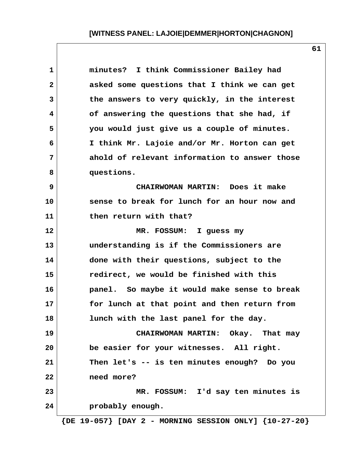| minutes? I think Commissioner Bailey had      |
|-----------------------------------------------|
| asked some questions that I think we can get  |
| the answers to very quickly, in the interest  |
| of answering the questions that she had, if   |
| you would just give us a couple of minutes.   |
| I think Mr. Lajoie and/or Mr. Horton can get  |
| ahold of relevant information to answer those |
| questions.                                    |
| CHAIRWOMAN MARTIN: Does it make               |
| sense to break for lunch for an hour now and  |
| then return with that?                        |
| MR. FOSSUM: I guess my                        |
| understanding is if the Commissioners are     |
| done with their questions, subject to the     |
| redirect, we would be finished with this      |
| panel. So maybe it would make sense to break  |
| for lunch at that point and then return from  |
| lunch with the last panel for the day.        |
| CHAIRWOMAN MARTIN: Okay. That may             |
| be easier for your witnesses. All right.      |
| Then let's -- is ten minutes enough? Do you   |
| need more?                                    |
| MR. FOSSUM: I'd say ten minutes is            |
| probably enough.                              |
|                                               |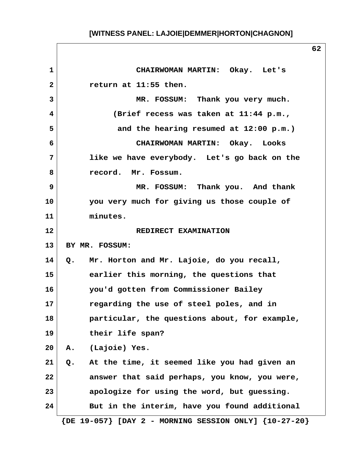| 1              | CHAIRWOMAN MARTIN: Okay. Let's                                |
|----------------|---------------------------------------------------------------|
| $\overline{2}$ | return at 11:55 then.                                         |
| $\overline{3}$ | MR. FOSSUM: Thank you very much.                              |
| 4              | (Brief recess was taken at 11:44 p.m.,                        |
| 5              | and the hearing resumed at 12:00 p.m.)                        |
| 6              | CHAIRWOMAN MARTIN: Okay. Looks                                |
| 7              | like we have everybody. Let's go back on the                  |
| 8              | record. Mr. Fossum.                                           |
| $\mathbf{9}$   | MR. FOSSUM: Thank you. And thank                              |
| 10             | you very much for giving us those couple of                   |
| 11             | minutes.                                                      |
| 12             | REDIRECT EXAMINATION                                          |
| 13             | BY MR. FOSSUM:                                                |
| 14             | Q. Mr. Horton and Mr. Lajoie, do you recall,                  |
| 15             | earlier this morning, the questions that                      |
| 16             | you'd gotten from Commissioner Bailey                         |
| 17             | regarding the use of steel poles, and in                      |
| 18             | particular, the questions about, for example,                 |
| 19             | their life span?                                              |
| 20             | A. (Lajoie) Yes.                                              |
| 21             | At the time, it seemed like you had given an<br>Q.            |
| 22             | answer that said perhaps, you know, you were,                 |
| 23             | apologize for using the word, but guessing.                   |
| 24             | But in the interim, have you found additional                 |
|                | $\{DE 19-057\}$ [DAY 2 - MORNING SESSION ONLY] $\{10-27-20\}$ |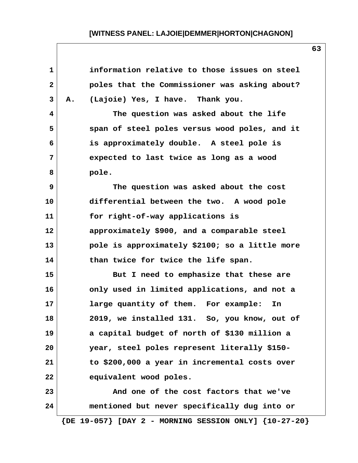| $\mathbf{1}$ | information relative to those issues on steel                  |
|--------------|----------------------------------------------------------------|
| $\mathbf{2}$ | poles that the Commissioner was asking about?                  |
| 3            | (Lajoie) Yes, I have. Thank you.<br>Α.                         |
| 4            | The question was asked about the life                          |
| 5            | span of steel poles versus wood poles, and it                  |
| 6            | is approximately double. A steel pole is                       |
| 7            | expected to last twice as long as a wood                       |
| 8            | pole.                                                          |
| 9            | The question was asked about the cost                          |
| 10           | differential between the two. A wood pole                      |
| 11           | for right-of-way applications is                               |
| 12           | approximately \$900, and a comparable steel                    |
| 13           | pole is approximately \$2100; so a little more                 |
| 14           | than twice for twice the life span.                            |
| 15           | But I need to emphasize that these are                         |
| 16           | only used in limited applications, and not a                   |
| 17           | large quantity of them. For example:<br>In                     |
| 18           | 2019, we installed 131. So, you know, out of                   |
| 19           | a capital budget of north of \$130 million a                   |
| 20           | year, steel poles represent literally \$150-                   |
| 21           | to \$200,000 a year in incremental costs over                  |
| 22           | equivalent wood poles.                                         |
| 23           | And one of the cost factors that we've                         |
| 24           | mentioned but never specifically dug into or                   |
|              | $\{DE\ 19-057\}$ [DAY 2 - MORNING SESSION ONLY] $\{10-27-20\}$ |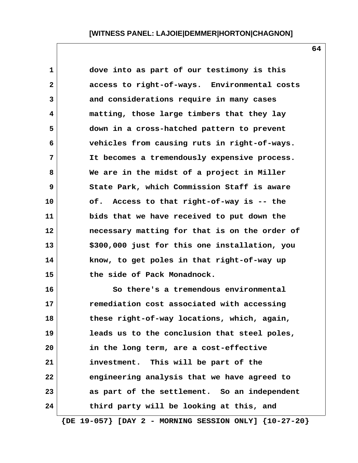**1 dove into as part of our testimony is this 2 access to right-of-ways. Environmental costs 3 and considerations require in many cases 4 matting, those large timbers that they lay 5 down in a cross-hatched pattern to prevent 6 vehicles from causing ruts in right-of-ways. 7 It becomes a tremendously expensive process. 8 We are in the midst of a project in Miller 9 State Park, which Commission Staff is aware 10 of. Access to that right-of-way is -- the 11 bids that we have received to put down the 12 necessary matting for that is on the order of 13 \$300,000 just for this one installation, you 14 know, to get poles in that right-of-way up 15 the side of Pack Monadnock. 16 So there's a tremendous environmental 17 remediation cost associated with accessing**

**18 these right-of-way locations, which, again, 19 leads us to the conclusion that steel poles, 20 in the long term, are a cost-effective 21 investment. This will be part of the 22 engineering analysis that we have agreed to 23 as part of the settlement. So an independent 24 third party will be looking at this, and**

 **{DE 19-057} [DAY 2 - MORNING SESSION ONLY] {10-27-20}**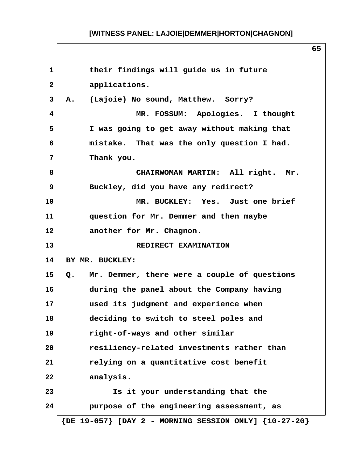1 **their findings will guide us in future 2 applications. 3 A. (Lajoie) No sound, Matthew. Sorry? 4 MR. FOSSUM: Apologies. I thought 5 I was going to get away without making that 6 mistake. That was the only question I had. 7 Thank you. 8 CHAIRWOMAN MARTIN: All right. Mr. 9 Buckley, did you have any redirect? 10 MR. BUCKLEY: Yes. Just one brief 11 question for Mr. Demmer and then maybe 12 another for Mr. Chagnon. 13 REDIRECT EXAMINATION 14 BY MR. BUCKLEY: 15 Q. Mr. Demmer, there were a couple of questions 16 during the panel about the Company having 17 used its judgment and experience when 18 deciding to switch to steel poles and 19 right-of-ways and other similar 20 resiliency-related investments rather than 21 relying on a quantitative cost benefit 22 analysis. 23 Is it your understanding that the 24 purpose of the engineering assessment, as {DE 19-057} [DAY 2 - MORNING SESSION ONLY] {10-27-20}**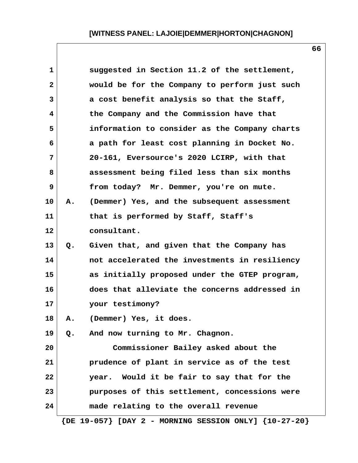| $\mathbf 1$  |    | suggested in Section 11.2 of the settlement,                  |
|--------------|----|---------------------------------------------------------------|
| $\mathbf{2}$ |    | would be for the Company to perform just such                 |
| 3            |    | a cost benefit analysis so that the Staff,                    |
| 4            |    | the Company and the Commission have that                      |
| 5            |    | information to consider as the Company charts                 |
| 6            |    | a path for least cost planning in Docket No.                  |
| 7            |    | 20-161, Eversource's 2020 LCIRP, with that                    |
| 8            |    | assessment being filed less than six months                   |
| 9            |    | from today? Mr. Demmer, you're on mute.                       |
| 10           | Α. | (Demmer) Yes, and the subsequent assessment                   |
| 11           |    | that is performed by Staff, Staff's                           |
| 12           |    | consultant.                                                   |
| 13           | Q. | Given that, and given that the Company has                    |
| 14           |    | not accelerated the investments in resiliency                 |
| 15           |    | as initially proposed under the GTEP program,                 |
| 16           |    | does that alleviate the concerns addressed in                 |
| 17           |    | your testimony?                                               |
| 18           | Α. | (Demmer) Yes, it does.                                        |
| 19           | Q. | And now turning to Mr. Chagnon.                               |
| 20           |    | Commissioner Bailey asked about the                           |
| 21           |    | prudence of plant in service as of the test                   |
| 22           |    | year. Would it be fair to say that for the                    |
| 23           |    | purposes of this settlement, concessions were                 |
| 24           |    | made relating to the overall revenue                          |
|              |    | $\{DE 19-057\}$ [DAY 2 - MORNING SESSION ONLY] $\{10-27-20\}$ |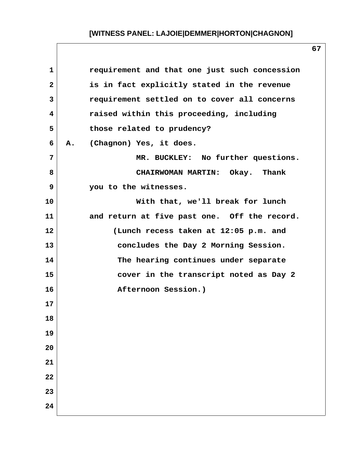| $\mathbf{1}$ | requirement and that one just such concession |
|--------------|-----------------------------------------------|
| $\mathbf{2}$ | is in fact explicitly stated in the revenue   |
| 3            | requirement settled on to cover all concerns  |
| 4            | raised within this proceeding, including      |
| 5            | those related to prudency?                    |
| 6            | (Chagnon) Yes, it does.<br><b>A.</b>          |
| 7            | MR. BUCKLEY: No further questions.            |
| 8            | CHAIRWOMAN MARTIN: Okay. Thank                |
| 9            | you to the witnesses.                         |
| 10           | With that, we'll break for lunch              |
| 11           | and return at five past one. Off the record.  |
| 12           | (Lunch recess taken at 12:05 p.m. and         |
| 13           | concludes the Day 2 Morning Session.          |
| 14           | The hearing continues under separate          |
| 15           | cover in the transcript noted as Day 2        |
| 16           | Afternoon Session.)                           |
| 17           |                                               |
| 18           |                                               |
| 19           |                                               |
| 20           |                                               |
| 21           |                                               |
| 22           |                                               |
| 23           |                                               |
| 24           |                                               |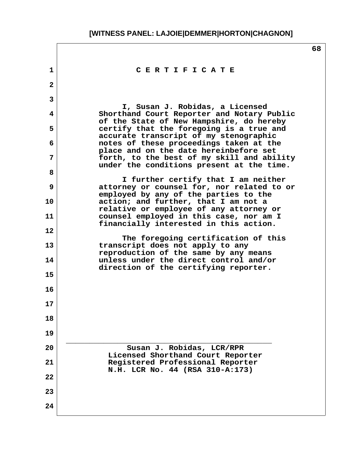$\sqrt{ }$ 

|                |                                                                                                                                   | 68 |
|----------------|-----------------------------------------------------------------------------------------------------------------------------------|----|
| 1              | CERTIFICATE                                                                                                                       |    |
| $\mathbf{2}$   |                                                                                                                                   |    |
| $\overline{3}$ |                                                                                                                                   |    |
| 4              | I, Susan J. Robidas, a Licensed<br>Shorthand Court Reporter and Notary Public                                                     |    |
| 5              | of the State of New Hampshire, do hereby<br>certify that the foregoing is a true and                                              |    |
| 6              | accurate transcript of my stenographic<br>notes of these proceedings taken at the                                                 |    |
| 7              | place and on the date hereinbefore set<br>forth, to the best of my skill and ability<br>under the conditions present at the time. |    |
| 8              | I further certify that I am neither                                                                                               |    |
| 9              | attorney or counsel for, nor related to or<br>employed by any of the parties to the                                               |    |
| 10             | action; and further, that I am not a<br>relative or employee of any attorney or                                                   |    |
| 11             | counsel employed in this case, nor am I<br>financially interested in this action.                                                 |    |
| 12             |                                                                                                                                   |    |
| 13             | The foregoing certification of this<br>transcript does not apply to any<br>reproduction of the same by any means                  |    |
| 14             | unless under the direct control and/or<br>direction of the certifying reporter.                                                   |    |
| 15             |                                                                                                                                   |    |
| 16             |                                                                                                                                   |    |
| 17             |                                                                                                                                   |    |
| 18             |                                                                                                                                   |    |
| 19             |                                                                                                                                   |    |
| 20             | Susan J. Robidas, LCR/RPR                                                                                                         |    |
| 21             | Licensed Shorthand Court Reporter<br>Registered Professional Reporter                                                             |    |
| 22             | N.H. LCR No. 44 (RSA 310-A:173)                                                                                                   |    |
| 23             |                                                                                                                                   |    |
| 24             |                                                                                                                                   |    |
|                |                                                                                                                                   |    |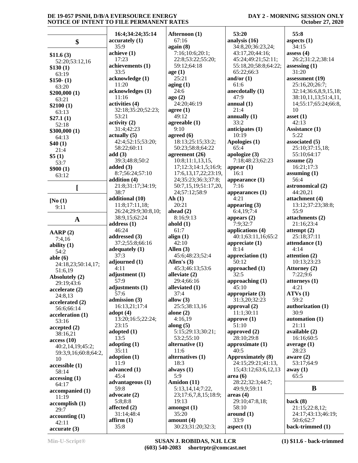#### **DAY 2 - MORNING SESSION ONLY October 27, 2020**

|                                  | 16:4;34:24;35:14          | Afternoon (1)                               | 53:20                       | 55:8                         |
|----------------------------------|---------------------------|---------------------------------------------|-----------------------------|------------------------------|
| \$                               | accuracy(1)               | 67:16                                       | analysis (16)               | aspects (1)                  |
|                                  | 35:9                      | again (8)                                   | 34:8,20;36:23,24;           | 34:15                        |
| \$11.6(3)                        | achieve (1)               | 7:16;10:6;20:1;                             | 43:17,20;44:16;             | assess $(4)$                 |
| 52:20;53:12,16                   | 17:23                     | 22:8;53:22;55:20;                           | 45:24;49:21;52:11;          | 26:2;31:2,2;38:14            |
| \$130(1)                         | achievements (1)          | 59:12;64:18                                 | 55:18,20;58:8;64:22;        | assessing $(1)$              |
| 63:19                            | 33:5                      | age(1)                                      | 65:22;66:3                  | 31:20                        |
| $$150-(1)$                       | acknowledge (1)           | 25:21                                       | and/or $(1)$                | assessment (19)              |
| 63:20                            | 11:20                     | aging(1)                                    | 61:6                        | 25:16,20;26:7;               |
| \$200,000(1)                     | acknowledges (1)          | 24:6                                        | anecdotally (1)             | 32:14;36:6,8,9,15,18;        |
| 63:21                            | 11:16                     | ago(2)                                      | 47:9                        | 38:10,11,13;51:4,11,         |
| \$2100(1)                        | activities (4)            | 24:20:46:19                                 | annual $(1)$                | 14;55:17;65:24;66:8,         |
| 63:13                            | 32:18;35:20;52:23;        | agree $(1)$                                 | 21:4                        | 10                           |
| \$27.1(1)                        | 53:21                     | 49:12                                       | annually $(1)$              | asset $(1)$                  |
| 52:18                            | activity(2)               | agreeable (1)                               | 33:2                        | 42:13                        |
| \$300,000(1)                     | 31:4;42:23                | 9:10                                        | anticipates (1)             | Assistance (1)               |
| 64:13                            | $\text{actually } (5)$    | agreed $(6)$                                | 10:19                       | 5:22                         |
| \$40(1)                          | 42:4;52:15;53:20;         | 18:13;25:15;33:2;                           | Apologies (1)               | associated (5)               |
| 21:4                             | 58:22;60:11               | 50:23;58:8;64:22                            | 65:4                        | 25:10;37:15,18;              |
| \$5(1)                           | add(3)                    | agreement $(26)$                            | apologize (3)               | 55:10;64:17                  |
| 53:7                             | 39:3;48:8;50:2            | 10:8;11:1,13,15,                            | 7:18;48:23;62:23            | assume $(2)$                 |
| \$900(1)                         | added $(3)$               | 17;12:3;14:1,5;16:9;                        | appear $(1)$                | 16:21;17:3                   |
| 63:12                            | 8:7;56:24;57:10           | 17:6, 13, 17, 22; 23: 19,                   | 16:1                        | assuming $(1)$               |
|                                  | addition (4)              | 24;35:23;36:3;37:8;<br>50:7,15,19;51:17,20, | appearance $(1)$<br>7:16    | 56:4                         |
|                                  | 21:8;31:17;34:19;<br>38:7 | 24;57:12;58:9                               |                             | astronomical (2)<br>44:20,21 |
|                                  | additional (10)           | Ah(1)                                       | appearances $(1)$<br>4:21   | attachment (4)               |
| [No(1)]                          | 11:8;17:11,18;            | 20:21                                       | appearing $(3)$             | 13:12;37:23;38:8;            |
| 9:11                             | 26:24;29:9;30:8,10;       | ahead $(2)$                                 | 6:4,19;7:4                  | 55:9                         |
|                                  | 38:9,15;62:24             | 8:16;9:13                                   | appears $(2)$               | attachments (2)              |
| $\mathbf{A}$                     | address $(1)$             | ahold $(1)$                                 | 7:9;32:7                    | 21:16;23:4                   |
|                                  | 46:24                     | 61:7                                        | applications (4)            | attempt $(2)$                |
| AARP(2)                          | addressed (3)             | align $(1)$                                 | 40:1;63:11,16;65:2          | 25:18;37:11                  |
| 7:4,16                           | 37:2;55:8;66:16           | 42:10                                       | appreciate $(1)$            | attendance (1)               |
| ability $(1)$                    | adequately $(1)$          | Allen $(3)$                                 | 8:14                        | 4:14                         |
| 54:2                             | 37:3                      | 45:6;48:23;52:4                             | appreciation (1)            | attention (2)                |
| able $(6)$<br>24:18,23;50:14,17; | adjourned (1)             | Allen's $(3)$                               | 50:12                       | 10:13;23:23                  |
| 51:6,19                          | 4:11                      | 45:3;46:13;53:6                             | approached (1)              | Attorney (2)                 |
| Absolutely (2)                   | adjustment (1)            | alleviate (2)                               | 32:5                        | 7:22;9:6                     |
| 29:19;43:6                       | 57:9                      | 29:4;66:16                                  | approaching (1)             | attorneys (1)                |
| accelerate (2)                   | adjustments (1)           | alleviated (1)                              | 45:10                       | 4:21                         |
| 24:8,13                          | 57:6                      | 37:4                                        | appropriate (3)             | ATVs(1)                      |
| accelerated (2)                  | admission (3)             | allow $(3)$                                 | 31:3,20;32:23               | 59:2                         |
| 56:6;66:14                       | 16:13,21;17:4             | 25:5;38:13,16                               | approval (2)                | authorization (1)            |
| acceleration (1)                 | adopt $(4)$               | alone $(2)$                                 | 11:1;30:11                  | 30:9                         |
| 53:16                            | 13:20;16:5;22:24;         | 4:16,19                                     | approve $(1)$               | automation (1)               |
| accepted(2)                      | 23:15                     | along $(5)$                                 | 51:10                       | 21:11                        |
| 38:16,21                         | adopted $(1)$             | 5:15;29:13;30:21;                           | approved $(2)$              | available (2)                |
| access(10)                       | 13:5                      | 53:2;55:10                                  | 28:10;29:8                  | 16:16:60:5                   |
| 40:2,14,19;45:2;                 | adopting $(1)$            | alternative $(1)$                           | approximate (1)             | average $(1)$                |
| 59:3,9,16;60:8;64:2,             | 35:11                     | 11:6                                        | 40:5                        | 28:23                        |
| 10                               | adoption (1)              | alternatives (1)                            | <b>Approximately (8)</b>    | aware $(2)$                  |
| accessible(1)                    | 11:9                      | 18:3                                        | 24:15;29:21;41:13,          | 53:17:64:9                   |
| 58:14                            | advanced (1)<br>45:4      | always $(1)$<br>5:9                         | 15;43:12;63:6,12,13         | away $(1)$<br>65:5           |
| accessing(1)                     | advantageous (1)          | Amidon (11)                                 | area(6)<br>28:22;32:3;44:7; |                              |
| 64:17                            | 59:8                      | 5:13,14,14;7:22,                            | 49:9,9;59:11                | B                            |
| accompanied (1)                  | advocate (2)              | 23;17:6,7,8,15;18:9;                        | area <sub>4</sub>           |                              |
| 11:19                            | 5:8;8:8                   | 19:13                                       | 29:10;47:8,18;              | back $(8)$                   |
| accomplish(1)                    | affected $(2)$            | amongst $(1)$                               | 58:10                       | 21:15;22:8,12;               |
| 29:7                             | 31:14:48:4                | 35:20                                       | around (1)                  | 24:17;43:13;46:19;           |
| accounting(1)                    | affirm(1)                 | amount $(4)$                                | 33:9                        | 50:6;62:7                    |
| 42:11                            | 35:8                      | 30:23;31:20;32:3;                           | aspect $(1)$                | back-trimmed (1)             |
| accurate(3)                      |                           |                                             |                             |                              |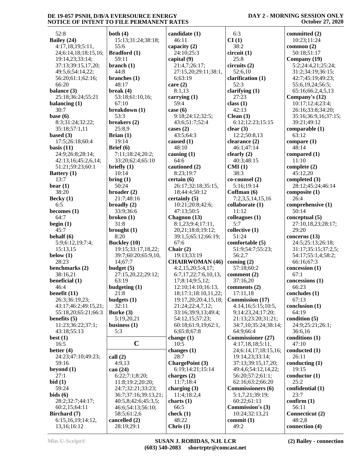| DAY 2 - MORNING SESSION ONLY |  |
|------------------------------|--|
| <b>October 27, 2020</b>      |  |

| 52:8                           | both $(4)$                  | candidate (1)                  | 6:3                                      | committed (2)            |
|--------------------------------|-----------------------------|--------------------------------|------------------------------------------|--------------------------|
| Bailey (24)                    | 15:13;31:24;38:18;          | 46:11                          | CI(1)                                    | 10:23;11:24              |
| 4:17,18,19;5:11,               | 55:6                        | capacity $(2)$                 | 38:2                                     | common $(2)$             |
| 24;6:14,18;18:15,16;           | <b>Bradford</b> (1)         | 24:10;25:3                     | circuit(1)                               | 50:18;51:17              |
| 19:14,23;33:14;                | 59:11                       | capital (9)                    | 25:8                                     | Company (19)             |
| 37:13;39:15,17,20;             | branch $(1)$                | 21:4,7;26:17;                  | circuits(2)                              | 5:2;24:4,21;25:24;       |
| 49:5,6;54:14,22;               | 44:8                        | 27:15,20;29:11;38:1,           | 52:6,10                                  | 31:2;34:19;36:15;        |
| 56:20;61:1;62:16;              | branches $(1)$              | 6;63:19                        | clarification (1)                        | 42:7;45:19;49:23;        |
| 66:20                          | 48:17                       | care $(2)$                     | 52:3                                     | 55:6,19,24;56:5;         |
| balance (3)                    | break $(4)$                 | 8:1,13                         | clarifying $(1)$                         | 65:16;66:2,4,5,13        |
| 25:18;36:24;55:21              | 53:18;61:10,16;             | carrying $(1)$                 | 27:23                                    | Company's (12)           |
| balancing $(1)$                | 67:10                       | 59:4                           | class $(1)$                              | 10:17;12:4;23:4;         |
| 30:7                           | breakdown (1)               | case $(6)$                     | 42:13                                    | 26:16;33:8;34:20;        |
| base $(6)$                     | 53:3                        | 9:18;24:12;32:5;               | Clean $(3)$                              | 35:16;36:9,16;37:15;     |
| 8:3;31:24;32:22;               | breakers (2)                | 43:6;51:7;52:4                 | 6:12;12:23;15:15                         | 39:21;49:12              |
| 35:18;57:1,11                  | 25:8,9                      | cases $(2)$                    | clear $(3)$                              | comparable (1)           |
| based $(3)$                    | Brian $(1)$                 | 43:5;64:3                      | 12:2;50:8,13                             | 63:12                    |
| 17:5;26:18;60:4                | 19:14                       | caused $(1)$                   | clearance $(2)$                          | compare $(1)$            |
| basis $(11)$                   | Brief $(6)$                 | 48:10                          | 46:1;47:14                               | 48:14                    |
| 24:9;26:8;28:14;               | 7:11;18:24;20:2;            | causing $(1)$                  | clearly $(2)$                            | compared (1)             |
| 42:13,16;45:2,6,14;            | 33:20;62:4;65:10            | 64:6                           | 40:3;48:15                               | 11:10                    |
| 51:21;59:23;60:1               | briefly $(1)$               | cautioned (2)                  | CMI(1)                                   | complete $(2)$           |
| Battery (1)                    | 10:14                       | 8:23;19:7                      | 38:3                                     | 45:12,20                 |
| 13:7                           | bring(1)                    | certain(6)                     | co-counsel (2)                           | completed (3)            |
| $\text{hear} \left( 1 \right)$ | 50:24                       | 26:17;32:18;35:15,             | 5:16;19:14                               | 28:12;45:24;46:14        |
| 38:20                          | broader $(2)$               | 18;44:4;50:12<br>certainly (5) | Coffman (6)                              | composite $(1)$<br>26:4  |
| Becky $(1)$<br>6:5             | 21:7;48:16<br>broadly $(2)$ | 10:21;20:8;42:6;               | 7:2,3,5,14,15,16<br>collaborate (1)      | comprehensive (1)        |
| becomes $(1)$                  | 33:9;36:6                   | 47:13:50:5                     | 11:12                                    | 50:14                    |
| 64:7                           | broken $(1)$                | Chagnon (13)                   | colleagues $(1)$                         | conceptual (5)           |
| begin $(1)$                    | 31:8                        | 8:1,23;9:4;17:11,              | 5:7                                      | 27:10,18,23;28:17;       |
| 45:7                           | brought $(1)$               | 20,21;18:8;19:12;              | collective (1)                           | 29:20                    |
| behalf (6)                     | 8:20                        | 39:1,5;65:12;66:19;            | 51:24                                    | concerns (13)            |
| 5:9;6:12,19;7:4;               | <b>Buckley</b> (10)         | 67:6                           | comfortable (5)                          | 24:5;25:13;26:18;        |
| 15:13,15                       | 19:15;33:17,18,22;          | Chair $(2)$                    | 51:9;54:7;55:23;                         | 31:17;35:15;37:2,5;      |
| below $(1)$                    | 39:7;60:20;65:9,10,         | 19:13;33:19                    | 56:2,7                                   | 54:17;55:1,4;58:2;       |
| 28:23                          | 14;67:7                     | <b>CHAIRWOMAN (46)</b>         | coming $(2)$                             | 66:16;67:3               |
| benchmarks (2)                 | budget $(5)$                | 4:2,15,20;5:4,17;              | 57:18;60:2                               | concession (1)           |
| 38:16,21                       | 27:15,20,22;29:12;          | 6:7,17,22;7:6,10,13,           | comment $(2)$                            | 67:1                     |
| beneficial (1)                 | 63:19                       | 17;8:14;9:5,12;                | 37:16,20                                 | concessions (1)          |
| 46:4                           | budgeting (1)               | 12:10;14:10;16:13,             | comments $(2)$                           | 66:23                    |
| benefit $(11)$                 | 21:8                        | 18;17:1;18:10,11,22;           | 17:11,18                                 | concludes (1)            |
| 26:3;36:19,23;                 | budgets $(1)$               | 19:17,20;20:4,15,18;           | Commission (17)                          | 67:13                    |
| 43:17;46:2;49:15,21;           | 32:11                       | 21:24;22:4,7,12;               | 4:14,16;5:15;10:5,                       | conclusion (1)           |
| 55:18,20;65:21;66:3            | Burke $(3)$                 | 33:16;39:9,13;49:4;            | 9;14:23,24;17:20;                        | 64:19                    |
| benefits $(5)$                 | 5:19,20,21                  | 54:12,15;57:23;                | 21:13;23:20;31:21;                       | condition (5)            |
| 11:23;36:22;37:1;              | business $(1)$              | 60:18;61:9,19;62:1,            | 34:7,10;35:24;38:14;                     | 24:9;25:21;26:1;         |
| 43:18:55:13                    | 5:3                         | 6;65:8;67:8                    | 64:9;66:4                                | 36:6,16                  |
| best $(1)$                     | $\mathbf C$                 | change $(1)$                   | <b>Commissioner</b> (27)                 | conditions (1)<br>47:10  |
| 16:5<br>better $(4)$           |                             | 10:5<br>changes $(1)$          | 4:17,18,18;5:11,<br>24;6:14,17;18:15,16; | conducted (1)            |
| 24:23;47:10;49:23;             | call $(2)$                  | 28:7                           | 19:14,23;33:14;                          | 26:11                    |
| 59:16                          | 4:9,13                      | ChargePoint (3)                | 37:13;39:15,17,20;                       | conducting $(1)$         |
| beyond $(1)$                   | can $(24)$                  | 6:19;14:21;15:14               | 49:4,6;54:12,14,22;                      | 19:15                    |
| 27:1                           | 6:22;7:1;8:20;              | charges $(2)$                  | 56:20;57:2;61:1;                         | conductor <sub>(1)</sub> |
| bid(1)                         | 11:8;19:2;20:20;            | 11:7;18:4                      | 62:16;63:2;66:20                         | 25:2                     |
| 59:24                          | 24:7;32:21;33:23;           | charging $(3)$                 | <b>Commissioners</b> (6)                 | confidential (1)         |
| bids(6)                        | 36:7;37:16;39:13,21;        | 11:4;18:2,4                    | 5:1,7,21;39:19;                          | 23:7                     |
| 28:2;32:7;44:17;               | 40:5,8;42:6;45:3,5;         | charts $(1)$                   | 60:22;61:13                              | confirm (1)              |
| 60:2,15;64:11                  | 46:6;54:13;56:10;           | 66:5                           | Commission's (3)                         | 56:11                    |
| Birchard (7)                   | 58:5;61:2,6                 | check $(1)$                    | 10:24;32:13,21                           | Connecticut (2)          |
| 6:15,16,19;14:12,              | cancelled (2)               | 48:22                          | commit $(1)$                             | 48:2,8                   |
| 13,16;16:12                    | 28:19;29:1                  | Chris $(1)$                    | 49:2                                     | connection (4)           |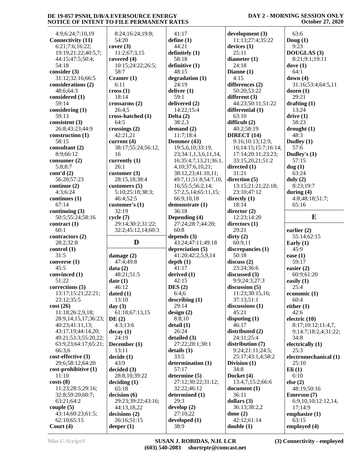#### **DAY 2 - MORNING SESSION ONLY October 27, 2020**

| 4:9;6:24;7:10,19           | 8:24;16:24;19:8;            | 41:17                 | development (3)            | 63:6                  |
|----------------------------|-----------------------------|-----------------------|----------------------------|-----------------------|
| <b>Connectivity (11)</b>   | 54:20                       | define $(1)$          | 11:13;27:4;35:22           | Doug $(1)$            |
| 6:21;7:6;16:22;            | cover(3)                    | 44:21                 | devices $(1)$              | 9:23                  |
| 19:19;21:22;40:5,7;        | 11:2;67:3,15                | definitely (1)        | 25:11                      | <b>DOUGLAS</b> (3)    |
|                            | covered (4)                 | 58:18                 |                            |                       |
| 44:15;47:5;50:4;           |                             |                       | diameter $(1)$             | 8:21;9:1;19:11        |
| 54:18                      | 10:15;24:22;26:5;           | definitive (1)        | 24:18                      | dove $(1)$            |
| consider $(3)$             | 58:7                        | 48:15                 | Dianne $(1)$               | 64:1                  |
| 31:12;32:16;66:5           | Cramer (1)                  | degradation (1)       | 4:15                       | down $(4)$            |
| considerations (2)         | 6:11                        | 24:19                 | differences (2)            | 31:16;53:4;64:5,11    |
| 48:6;64:3                  | $\csc(1)$                   | deliver $(1)$         | 50:20;53:22                | dozen(1)              |
| considered (1)             | 18:14                       | 59:1                  | different (3)              | 29:21                 |
| 59:14                      | crossarms(2)                | delivered (2)         | 44:23;50:11;51:22          | drafting $(1)$        |
| considering (1)            | 26:4,5                      | 14:22;15:4            | differential (1)           | 13:24                 |
| 59:13                      | cross-hatched (1)           | Delta $(2)$           | 63:10                      | drive(1)              |
| consistent (3)             | 64:5                        | 38:2,3                | difficult (2)              | 58:23                 |
| 26:8;43:23;44:9            | crossings $(2)$             | demand $(2)$          | 40:2;58:19                 | $\frac{drought}{1}$   |
| construction (1)           | 42:21,21                    | 11:7;18:4             | DIRECT $(14)$              | 48:3                  |
| 58:15                      | current $(4)$               | Demmer (43)           | 9:16;10:13;12:9,           | Dudley (1)            |
| consultant $(2)$           | 38:17;55:24;56:12,          | 19:5,6,10;33:19,      | 16; 14: 15; 15: 7; 16: 14; | 57:6                  |
|                            |                             |                       |                            |                       |
| 8:9;66:12                  | 16                          | 23;34:1,1,3,6,11,14,  | 17:14;20:11;23:23;         | Dudley's (1)          |
| consumer $(2)$             | currently $(1)$             | 16;35:4,7,13,21;36:1, | 33:15,20,21;51:2           | 57:15                 |
| 5:8:8:7                    | 26:1                        | 4, 10; 37: 6, 10, 21; | directed $(1)$             | dug(1)                |
| cont'd(2)                  | customer $(3)$              | 38:12,23;41:10,11;    | 31:21                      | 63:24                 |
| 56:20;57:23                | 28:15,18;38:4               | 49:7,11;51:8;54:7,10, | direction $(5)$            | duly $(2)$            |
| continue (2)               | customers $(5)$             | 16;55:5;56:2,14;      | 13:15;21:21;22:18;         | 8:23;19:7             |
| 4:3;6:24                   | 5:10;25:18;38:3;            | 57:2,5,14;65:11,15;   | 23:10;47:12                | during $(4)$          |
| continues (1)              | 46:4;52:5                   | 66:9,10,18            | directly $(1)$             | 4:8;48:18;51:7;       |
| 67:14                      | customer's $(1)$            | demonstrate (1)       | 18:14                      | 65:16                 |
| continuing (3)             | 32:19                       | 36:18                 | director $(2)$             |                       |
|                            |                             | Depending (4)         |                            | E                     |
| 50:5;55:24;58:16           | cycle(7)                    |                       | 12:23;14:20                |                       |
| contract (1)               | 29:14;30:2;31:22;           | 27:24;28:7;44:20;     | directors (1)              |                       |
|                            |                             |                       |                            |                       |
| 60:1                       | 32:2;45:12,14;60:3          | 60:8                  | 29:21                      | earlier $(2)$         |
| contractors $(2)$          |                             | depends $(3)$         | $\text{dirty}(2)$          | 55:14;62:15           |
| 28:2;32:8                  | D                           | 43:24;47:11;49:18     | 60:9,11                    | Early $(1)$           |
| control(1)                 |                             | depreciation $(5)$    | discrepancies (1)          | 45:9                  |
| 31:5                       | damage $(2)$                | 41:20;42:2,5,9,14     | 50:18                      | ease $(1)$            |
| converse (1)               | 47:4;49:8                   | depth(1)              | discuss(2)                 | 59:17                 |
| 45:5                       | data(2)                     | 41:17                 | 23:24;36:6                 | easier $(2)$          |
| convinced (1)              | 48:21;51:5                  | derived $(1)$         | discussed (3)              | 60:9;61:20            |
| 51:22                      |                             | 42:15                 | 9:9;24:3;27:3              |                       |
|                            | date(1)                     |                       |                            | easily $(1)$          |
| corrections $(5)$          | 46:12                       | DES(2)                | discussion $(5)$           | 25:4                  |
| 13:17;15:21;22:21;         | dated $(1)$                 | 6:4,6                 | 11:23;30:15,16;            | economic $(1)$        |
| 23:12;35:5                 | 13:10                       | describing (1)        | 37:13:51:1                 | 60:4                  |
| cost(26)                   | day $(3)$                   | 29:14                 | discussions $(1)$          | either $(1)$          |
| 11:18;26:2,9,18;           | 61:18;67:13,15              | design(2)             | 45:21                      | 42:6                  |
| 28:9,14,15,17;36:23;       | DE(2)                       | 8:8,10                | disputing $(1)$            | electric $(10)$       |
| 40:23;41:11,13;            | 4:3;13:6                    | detail(1)             | 46:17                      | 8:17;10:12;11:4,7,    |
| 43:17,19;44:14,20;         | decay(1)                    | 26:24                 | distributed (2)            | 9;14:7;18:2,4;31:22;  |
| 49:21;53:3;55:20,22;       | 24:19                       | detailed (3)          | 24:11;25:4                 | 34:8                  |
| 63:9,23;64:17;65:21;       | December (1)                | 27:22;28:1;30:1       | distribution (7)           | electrically (1)      |
| 66:3,6                     | 13:11                       | details(1)            | 9:24;21:11;24:5;           | 25:3                  |
| cost-effective (3)         | decide(1)                   | 33:5                  | 25:17;43:1,4;58:2          | electromechanical (1) |
| 29:6;58:12;64:20           | 43:9                        | determination (1)     | Division $(1)$             | 25:10                 |
| cost-prohibitive (1)       | decided (3)                 | 57:17                 | 34:8                       | Eli(1)                |
| 11:10                      |                             |                       |                            |                       |
|                            | 28:8,10;39:22               | determine (5)         | Docket (4)                 | 6:10                  |
| costs(8)                   | deciding (1)                | 27:12;30:22;31:12;    | 13:4,7;15:2;66:6           | else (2)              |
| 11:23;28:5;29:16;          | 65:18                       | 32:22;46:12           | document(1)                | 48:19:50:16           |
| 32:8;59:20;60:7;           | decision (6)                | determined (1)        | 36:11                      | Emerson (7)           |
| 63:21;64:2                 | 29:23;39:22;43:16;          | 29:3                  | dollars $(3)$              | 6:9,10,10;12:12,14,   |
| couple $(5)$               | 44:13,18,22                 | develop $(2)$         | 36:13;38:2,2               | 17;14:9               |
| 43:14;60:23;61:5;          | decisions(2)                | 27:10,22              | done $(2)$                 | emphasize (1)         |
| 62:10;65:15<br>Court $(4)$ | 26:16;51:15<br>deeper $(1)$ | developed (1)<br>38:9 | 42:12;61:14<br>double(1)   | 63:15<br>employed (4) |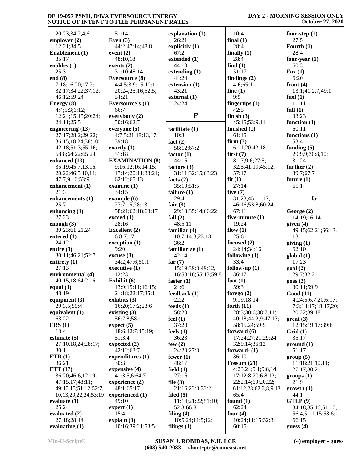**DAY 2 - MORNING SESSION ONLY October 27, 2020**

| 20:23;34:2,4,6        | 51:14                    | explanation (1)     | 10:4                   | four-step $(1)$     |
|-----------------------|--------------------------|---------------------|------------------------|---------------------|
| employer $(2)$        | Even $(3)$               | 26:21               | final $(1)$            | 27:5                |
| 12:21;34:5            | 44:2;47:14;48:8          | explicitly $(1)$    | 28:4                   | Fourth $(1)$        |
| <b>Enablement</b> (1) | event $(2)$              | 67:2                | finally $(1)$          | 28:4                |
| 35:17                 | 48:10,18                 | extended (1)        | 28:4                   | four-year $(1)$     |
| enables $(1)$         | events $(2)$             | 44:10               | find $(1)$             | 60:3                |
| 25:3                  | 31:10;48:14              | extending $(1)$     | 51:17                  | $\text{Fox} (1)$    |
| end $(8)$             | <b>Eversource</b> (8)    | 44:24               | findings $(2)$         | 6:20                |
| 7:18;16:20;17:2;      | 4:4;5:3;9:15;10:1;       | extension (1)       | 4:6;65:1               | front $(4)$         |
| 32:17;34:22;37:12;    | 20:24;25:16;52:5;        | 43:21               | fine $(1)$             | 13:1;41:2,7;49:1    |
| 46:12;59:24           | 54:21                    | external (1)        | 9:9                    | fuel $(1)$          |
| Energy (8)            | Eversource's (1)         | 24:24               | fingertips $(1)$       | 11:11               |
|                       | 66:7                     |                     | 42:5                   |                     |
| 4:4;5:3;6:12;         |                          | $\mathbf{F}$        |                        | full $(1)$          |
| 12:24;15:15;20:24;    | everybody $(2)$          |                     | finish $(3)$           | 33:23               |
| 24:11;25:5            | 50:16;62:7               |                     | 45:15;53:9,11          | function $(1)$      |
| engineering (13)      | everyone $(5)$           | facilitate (1)      | finished $(1)$         | 60:11               |
| 27:17;28:2;29:22;     | 4:7;5:21;18:13,17;       | 10:3                | 61:15                  | functions $(1)$     |
| 36:15,18,24;38:10;    | 39:18                    | fact $(2)$          | firm(3)                | 53:4                |
| 42:18;51:3;55:16;     | exactly $(1)$            | 58:12;67:2          | 6:11,20;42:18          | funding $(5)$       |
| 58:8;64:22;65:24      | 51:18                    | factor $(1)$        | first(7)               | 29:9,9;30:8,10;     |
| enhanced (13)         | <b>EXAMINATION (8)</b>   | 44:16               | 8:17;9:6;27:5;         | 31:24               |
| 35:19;45:7,13,16,     | 9:16;12:16;14:15;        | factors $(3)$       | 32:5;41:19;45:12;      | further $(2)$       |
| 20,22;46:5,10,11;     | 17:14;20:11;33:21;       | 31:11;32:15;63:23   | 57:17                  | 39:7;67:7           |
| 47:7,9,16;53:9        | 62:12;65:13              | facts $(2)$         | fit(1)                 | future $(1)$        |
| enhancement (1)       | examine (1)              | 35:10;51:5          | 27:14                  | 65:1                |
| 21:3                  | 34:15                    | failure $(1)$       | five $(7)$             |                     |
| enhancements (1)      | example $(6)$            | 29:4                | 31:23;45:11,17;        | G                   |
| 25:7                  | 27:7,15;28:13;           | fair $(3)$          | 46:16;53:8;60:24;      |                     |
| enhancing $(1)$       | 58:21;62:18;63:17        | 29:13;35:14;66:22   | 67:11                  | George (2)          |
| 27:23                 | exceed (1)               | fall $(2)$          | five-minute $(1)$      | 14:19;16:14         |
| enough $(3)$          | 28:16                    | 48:5,11             | 19:24                  | given $(4)$         |
| 30:23;61:21,24        | <b>Excellent</b> (2)     | familiar $(4)$      | flow $(1)$             | 49:15;62:21;66:13,  |
| entered $(1)$         | 6:8;7:17                 | 10:7;14:3;23:18;    | 25:6                   | 13                  |
| 24:12                 | exception (1)            | 36:2                | focused $(2)$          | giving(1)           |
| entire $(3)$          | 9:20                     | familiarize (1)     | 24:14;34:16            | 62:10               |
| 30:11;46:21;52:7      | excuse(3)                | 42:14               | following $(1)$        | global(1)           |
| entirety $(1)$        | 34:2;47:6;60:1           | far $(7)$           | 33:4                   | 17:23               |
| 27:13                 | executive $(1)$          | 15:19;39:3;49:12,   | follow-up $(1)$        | goal(2)             |
| environmental (4)     | 12:23                    | 16;53:16;55:13;59:8 | 36:17                  | 29:7:32:2           |
| 40:15,18;64:2,16      | Exhibit (6)              | faster $(1)$        | foot $(1)$             | goes(2)             |
| equal $(1)$           | 13:9;15:11;16:15;        | 24:6                | 59:3                   | 30:11;59:9          |
| 48:19                 | 21:18;22:17;35:1         | feedback(1)         | forego $(2)$           | <b>Good</b> (11)    |
| equipment $(3)$       | exhibits $(3)$           | 22:2                | 9:19:18:14             | 4:24;5:6,7,20;6:17; |
| 29:3,5;59:4           | 16:20;17:2;23:6          | feeds $(1)$         | forth $(11)$           | 7:3;14:17;18:17,20; |
| equivalent (1)        | existing $(3)$           | 58:20               | 28:3;30:6;38:7,11;     | 20:22;39:18         |
| 63:22                 | 56:7,8;58:11             | feel $(1)$          | 40:18;44:2,9;47:13;    | $great (3)$         |
| ERS(1)                | expect (5)               | 37:20               | 58:15,24;59:5          | 12:15;19:17;39:6    |
| 13:4                  | 18:6;42:7;45:19;         | feels $(1)$         | forward $(6)$          | Grid(1)             |
| estimate $(5)$        | 51:3,4                   | 36:23               | 17:24;27:21;29:24;     | 35:17               |
| 27:10,18,24;28:17;    | expected (2)             | few $(2)$           | 32:9,14;36:12          |                     |
| 30:1                  | 42:12;63:7               | 24:20;27:3          | forward- $(1)$         | ground(1)           |
|                       |                          |                     |                        | 51:17               |
| ETR(1)                | expenditures (1)<br>30:3 | fewer $(1)$         | 36:10<br>Fossum $(21)$ | group(5)            |
| 36:21                 |                          | 48:17               |                        | 11:18;21:10,11;     |
| ETT(17)               | expensive (4)            | field $(1)$         | 4:23,24;5:1;9:8,14,    | 27:17;30:2          |
| 36:20;46:6,12,19;     | 41:3,5,6;64:7            | 27:16               | 17;12:8;20:6,8,12;     | groups (1)          |
| 47:15,17;48:11;       | experience (2)           | file $(3)$          | 22:2,14;60:20,22;      | 21:9                |
| 49:10,15;51:12;52:7,  | 48:1;65:17               | 21:16;23:3;33:2     | 61:12,23;62:3,8,9,13;  | growth (1)          |
| 10,13,20,22,24;53:19  | experienced (1)          | filed $(5)$         | 65:4                   | 44:1                |
| evaluate $(1)$        | 49:10                    | 11:14;21:22;51:10;  | found $(1)$            | GTEP <sup>(9)</sup> |
| 25:24                 | expert(1)                | 52:3;66:8           | 62:24                  | 34:18;35:16;51:10;  |
| evaluated $(2)$       | 15:4                     | filing $(4)$        | four $(4)$             | 56:4,5,11,15;58:6;  |
| 27:18;28:14           | explain $(3)$            | 10:5,24;11:5;12:1   | 10:24;11:15;32:3;      | 66:15               |
| evaluating $(1)$      | 10:16;39:21;58:5         | filings $(1)$       | 60:15                  | guess $(4)$         |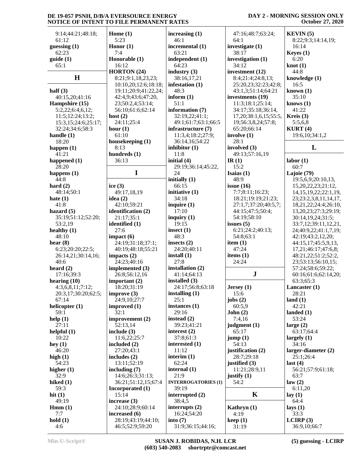# **DAY 2 - MORNING SESSION ONLY October 27, 2020**

| 9:14;44:21;48:18;          | Home $(1)$                         | increasing $(1)$                  | 47:16;48:7;63:24;              | KEYIN(5)                                  |
|----------------------------|------------------------------------|-----------------------------------|--------------------------------|-------------------------------------------|
| 61:12                      | 5:23                               | 46:1                              | 64:1                           | 8:22;9:3;14:14,19;                        |
| guessing $(1)$<br>62:23    | Honor $(1)$<br>7:4                 | incremental (1)<br>63:21          | investigate (1)<br>38:17       | 16:14                                     |
| guide(1)                   | Honorable (1)                      | independent (1)                   | investigation (1)              | Keyes $(1)$<br>6:20                       |
| 65:1                       | 16:12                              | 64:23                             | 34:12                          | knot(1)                                   |
|                            | HORTON (24)                        | industry $(3)$                    | investment (12)                | 44:8                                      |
| H                          | 8:21;9:1,18,23,23;                 | 38:16,17,21                       | 8:4;21:4;24:8,13;              | knowledge (1)                             |
|                            | 10:10,20;12:6;18:18;               | infestation (1)                   | 25:20,23;32:23;42:8;           | 16:5                                      |
| half $(3)$                 | 19:11;20:9;41:22,24;               | 48:3                              | 43:1,3;51:14;64:21             | known $(1)$                               |
| 40:15,20;41:16             | 42:4,9;43:6;47:20,                 | inform $(1)$                      | investments (19)               | 35:10                                     |
| Hampshire (15)             | 23;50:2,4;53:14;                   | 51:1                              | 11:3;18:1;25:14;               | knows $(1)$                               |
| 5:2,22;6:4,6,12;           | 56:10;61:6;62:14                   | information (7)                   | 34:17;35:18;36:14,             | 41:22                                     |
| 11:5;12:24;13:2;           | host $(2)$                         | 32:19,22;41:1;                    | 17, 20; 38: 1, 6, 15; 55: 5,   | Kreis (3)                                 |
| 15:3,15;24:6;25:17;        | 24:11;25:4                         | 49:1;61:7;63:1;66:5               | 19;56:3,8,24;57:8;             | 5:5,6,8                                   |
| 32:24;34:6;58:3            | hour $(1)$                         | infrastructure (7)                | 65:20;66:14                    | KURT(4)                                   |
| handle $(1)$<br>18:20      | 61:10<br>housekeeping (1)          | 11:3,4;18:2;27:9;                 | involve $(1)$<br>28:1          | 19:6, 10:34:1, 2                          |
| happen $(1)$               | 8:13                               | 36:14,16;54:22<br>inhibitor $(1)$ | involved (3)                   | L                                         |
| 41:21                      | hundreds (1)                       | 11:8                              | 49:13;57:16,19                 |                                           |
| happened $(1)$             | 36:13                              | initial (4)                       | IR $(1)$                       | labor(1)                                  |
| 28:20                      |                                    | 29:19;36:14;45:22,                | 15:2                           | 60:7                                      |
| happens $(1)$              | $\mathbf I$                        | 24                                | Isaias $(1)$                   | Lajoie (79)                               |
| 44:8                       |                                    | initially $(1)$                   | 48:9                           | 19:5,6,9;20:10,13,                        |
| hard $(2)$                 | ice $(3)$                          | 66:15                             | issue $(16)$                   | 15,20,22,23;21:12,                        |
| 48:14;50:1                 | 49:17,18,19                        | initiative (1)                    | 7:7;8:11;16:23;                | 14, 15, 19, 22; 22: 1, 19,                |
| hate $(1)$                 | idea $(2)$                         | 34:18                             | 18:21;19:19;21:23;             | 23;23:2,3,8,11,14,17,                     |
| 41:8                       | 42:10;59:21                        | inquire $(1)$                     | 27:1,7;37:20;40:5,7;           | 18,21,22;24:4;26:10,                      |
| hazard $(5)$               | identification (2)                 | 17:10                             | 44:15;47:5;50:4;               | 13,20,23;27:3;29:19;                      |
| 35:19;51:12;52:20;         | 21:17;35:1                         | inquiry $(1)$                     | 54:19;58:10                    | 30:14,19,24;31:5;                         |
| 53:2,19                    | identified (1)                     | 19:15                             | issues $(5)$                   | 33:7,12;39:11,12,21,                      |
| healthy $(1)$              | 27:6                               | insect $(1)$                      | 6:21;24:2;40:13;               | 24;40:9,22;41:1,7,19;                     |
| 48:10                      | impact(6)                          | 48:3                              | 54:8;63:1                      | 42:19;43:2,12,20;                         |
| hear $(8)$                 | 24:19;31:18;37:1;                  | insects $(2)$                     | item $(1)$                     | 44:15,17;45:5,9,13,                       |
| 6:23;20:20;22:5;           | 40:19;48:18;55:21<br>impacts $(2)$ | 24:20;40:11<br>install $(1)$      | 47:24                          | 17,21;46:17;47:6,8;                       |
| 26:14,21;30:14,16;<br>40:6 | 24:23;40:16                        | 27:8                              | items $(1)$<br>24:24           | 48:21,22;51:2;52:2,<br>23;53:13;56:10,15; |
| heard $(2)$                | implemented (3)                    | installation (2)                  |                                | 57:24;58:6;59:22;                         |
| 17:16;39:3                 | 26:8;56:12,16                      | 41:14;64:13                       | $\mathbf J$                    | 60:16;61:6;62:14,20;                      |
| hearing $(10)$             | important $(2)$                    | installed $(3)$                   |                                | 63:3;65:3                                 |
| 4:3,6,8,11;7:12;           | 18:20;31:19                        | 24:17;56:8;63:18                  | Jersey (1)                     | Lancaster (1)                             |
| 20:3,17;30:20;62:5;        | improve $(3)$                      | installing (1)                    | 15:6                           | 28:21                                     |
| 67:14                      | 24:9,10;27:7                       | 25:1                              | jobs $(2)$                     | land $(1)$                                |
| helicopter $(1)$           | improved (1)                       | instances $(1)$                   | 60:5,9                         | 42:21                                     |
| 59:1                       | 32:1                               | 29:16                             | John(2)                        | landed $(1)$                              |
| help(1)                    | improvement (2)                    | instead $(2)$                     | 7:4,16                         | 53:24                                     |
| 27:11                      | 52:13,14                           | 39:23;41:21                       | judgment (1)                   | large $(2)$                               |
| helpful(1)                 | include $(3)$                      | interest $(2)$                    | 65:17                          | 63:17;64:4                                |
| 10:22                      | 11:6,22;25:7                       | 37:8;61:3                         | jump(1)                        | largely $(1)$                             |
| hey $(1)$                  | included $(2)$                     | interested (1)                    | 54:13                          | 34:16                                     |
| 46:20                      | 27:20:43:1                         | 11:12                             | justification (2)              | $larger-diameter (2)$                     |
| high $(1)$<br>54:23        | includes $(2)$<br>13:11;52:19      | interim $(1)$<br>62:24            | 28:7;29:18                     | 25:1;26:4<br>last $(4)$                   |
| higher $(1)$               | including $(7)$                    | internal $(1)$                    | justified (3)<br>11:21;28:9,11 | 56:21;57:9;61:18;                         |
| 32:9                       | 14:6;26:3;31:13;                   | 21:9                              | justify $(1)$                  | 63:7                                      |
| hiked $(1)$                | 36:21;51:12,15;67:4                | <b>INTERROGATORIES (1)</b>        | 54:2                           | law(2)                                    |
| 59:3                       | Incorporated (1)                   | 39:19                             |                                | 6:11,20                                   |
| hit $(1)$                  | 15:14                              | interrupted $(2)$                 | K                              | lay $(1)$                                 |
| 49:19                      | increase $(3)$                     | 38:4,5                            |                                | 64:4                                      |
| Hmm(1)                     | 24:10;28:9;60:14                   | interrupts $(2)$                  | Kathryn (1)                    | lays $(1)$                                |
| 7:7                        | increased $(6)$                    | 16:24:54:20                       | 4:19                           | 33:3                                      |
| hold(1)                    | 28:19;43:19;44:10;                 | into $(7)$                        | keep(1)                        | LCIRP(3)                                  |
| 4:6                        | 46:5;52:9;59:20                    | 31:9;36:15;44:16;                 | 31:19                          | 36:9,10;66:7                              |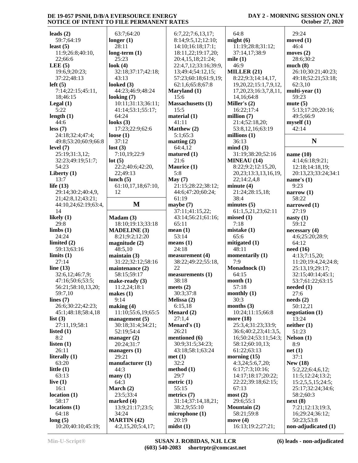# **DAY 2 - MORNING SESSION ONLY October 27, 2020**

| leads $(2)$                   | 63:7:64:20                              | 6:7,22;7:6,13,17;        | 64:8                            | 29:24                             |
|-------------------------------|-----------------------------------------|--------------------------|---------------------------------|-----------------------------------|
| 59:7;64:19                    | longer $(1)$                            | 8:14;9:5,12;12:10;       | might $(6)$                     | moved (1)                         |
| least $(5)$                   | 28:11                                   | 14:10;16:18;17:1;        | 11:19;28:8;31:12;               | 46:4                              |
| 11:9;26:8;40:10,              | $long-term (1)$                         | 18:11,22;19:17,20;       | 37:14,17;38:9                   | moves $(2)$                       |
| 22;66:6                       | 25:23                                   | 20:4,15,18;21:24;        | mile $(1)$                      | 28:6;30:2                         |
| LEE $(5)$                     | look $(4)$                              | 22:4,7,12;33:16;39:9,    | 46:9                            | much(8)                           |
| 19:6,9;20:23;                 | 32:18;37:17;42:18;                      | 13;49:4;54:12,15;        | MILLER $(21)$                   | 26:10;30:21;40:23;                |
| 37:22;48:13                   | 43:13                                   | 57:23;60:18;61:9,19;     | 8:22;9:3;14:14,17,              | 49:18;52:21;53:18;                |
| left(5)                       | looked $(3)$                            | 62:1,6;65:8;67:8         | 19, 20, 22; 15: 1, 7, 9, 12,    | 62:3,10                           |
| 7:14;22:15;45:11,             | 44:23;46:9;48:24                        | Maryland (1)             | 17, 20, 23; 16: 3, 7, 8, 11,    | multi-year $(1)$                  |
| 18:46:15                      | looking $(7)$                           | 15:6                     | 14,16;64:8                      | 59:23                             |
| Legal $(1)$                   | 10:11;31:13;36:11;                      | <b>Massachusetts (1)</b> | Miller's $(2)$                  | mute $(5)$                        |
| 5:22                          | 41:14;53:1;55:17;                       | 15:5                     | 16:22;17:4                      | 5:13;17:20;20:16;                 |
| length $(1)$                  | 64:24                                   | material (1)             | million $(7)$                   | 49:5;66:9                         |
| 44:6                          | looks $(3)$                             | 41:11                    | 21:4;52:18,20;                  | myself(1)                         |
| less(7)                       | 17:23;22:9;62:6                         | <b>Matthew</b> (2)       | 53:8,12,16;63:19                | 42:14                             |
| 24:18;32:4;47:4;              | loose $(1)$                             | 5:1;65:3                 | millions $(1)$                  |                                   |
| 49:8;53:20;60:9;66:8          | 37:12                                   | matting $(2)$            | 36:13                           | N                                 |
| level $(7)$                   | lost(3)                                 | 64:4,12                  | mind(3)                         |                                   |
| 25:19;31:3,12;                | 7:10,19;22:9                            | matured $(1)$            | 31:19;38:20;52:16               | name $(10)$                       |
| 32:23;49:19;51:7;             | lot(5)                                  | 21:6                     | <b>MINEAU (14)</b>              | 4:14;6:18;9:21;                   |
| 54:23                         | 22:2;40:6;42:20,                        | Maurice (1)              | 8:22;9:2;12:15,20,              | 12:18;14:18,19;                   |
| Liberty (1)                   | 22;49:13                                | 5:8                      | 20, 23; 13: 3, 13, 16, 19,      | 20:13,23;33:24;34:1               |
| 13:7                          | lunch $(5)$                             | May (7)                  | 22;14:2,4,8                     | name's $(1)$                      |
| life $(13)$                   | 61:10,17,18;67:10,                      | 21:15;28:22;38:12;       | minute $(4)$                    | 9:23                              |
| 29:14;30:2;40:4,9,            | 12                                      | 44:6;47:20;60:24;        | 21:24;28:15,18;                 | narrow $(1)$                      |
| 21;42:8,12;43:21;             |                                         | 61:19                    | 38:4                            | 58:22                             |
| 44:10,24;62:19;63:4,          | M                                       | maybe $(7)$              | minutes $(5)$                   | narrowed (1)                      |
| 14                            |                                         | 37:11;41:15,22;          | 61:1,5,21,23;62:11              | 27:19                             |
| likely $(1)$                  | Madam(3)                                | 43:14;56:21;61:16;       | missed(1)                       | nasty $(1)$                       |
| 29:8                          | 18:10;19:13;33:18                       | 65:11                    | 7:18                            | 59:12                             |
| limbs(1)                      | <b>MADELINE</b> (3)                     | mean(1)                  | mistake(1)                      | necessary(4)                      |
| 24:24                         | 8:21;9:2;12:20                          | 53:14                    | 65:6                            | 4:6;25:20;28:9;                   |
| limited $(2)$                 | magnitude $(2)$                         | means $(1)$              | mitigated $(1)$                 | 64:12                             |
| 59:13;63:16                   | 48:5,10                                 | 24:18                    | 48:11                           | need $(16)$                       |
| limits(1)                     | maintain $(3)$                          | measurement (4)          | momentarily (1)                 | 4:13;7:15,20;                     |
| 27:14                         | 31:22;32:12;58:16                       | 38:22;49:22;55:18,       | 7:9                             | 11:20;19:4,24;24:8;               |
| line $(13)$                   | maintenance (2)                         | 22                       | Monadnock (1)                   | 25:13,19;29:17;                   |
| 32:6,12;46:7,9;               | 58:15;59:17                             | measurements (1)         | 64:15                           | 32:15;40:14;45:1;                 |
| 47:16:50:6:53:5;              | make-ready $(3)$                        | 38:18                    | month $(1)$                     | 53:7;61:22;63:15                  |
| 56:21;58:10,13,20;            | 11:2,24;18:1                            | meets $(2)$              | 57:18                           | needed (1)                        |
| 59:7,10                       | makes $(1)$                             | 30:3;37:8                | monthly $(1)$                   | 27:6                              |
| lines $(7)$                   | 9:14                                    | Melissa (2)              | 30:3                            | $\boldsymbol{\text{needs}}$ (2)   |
| 26:6;30:22;42:23;             | making $(4)$                            | 6:15,18                  | months $(3)$                    | 50:12,21                          |
| 45:1;48:18;58:4,18            | 11:10;55:6,19;65:5                      | Menard (2)               | 10:24;11:15;66:8                | negotiation $(1)$                 |
| list $(3)$                    | management $(5)$                        | 27:1,4                   | more (18)                       | 13:24                             |
| 27:11,19;58:1                 | 30:18;31:4;34:21;                       | Menard's $(1)$           | 25:3,4;31:23;33:9;              | neither(1)                        |
| listed $(1)$                  | 52:19;54:4                              | 26:21                    | 36:6;40:2,23;41:3,5,            | 51:23                             |
| 8:2                           | manager $(2)$                           | mentioned (6)            | 16;50:24;53:11;54:3;            | Nelson(1)                         |
| listen $(1)$                  | 20:24;31:7                              | 30:9;31:5;34:23;         | 58:12;60:10,13;                 | 8:9                               |
| 26:11                         | managers $(1)$                          | 43:18;58:1;63:24         | 61:22;63:13                     | net(1)                            |
| literally (1)                 | 29:21                                   | met(1)                   | morning $(15)$                  | 37:1                              |
| 63:20                         | manufacturer(1)                         | 32:2                     | 4:3,24;5:6,7,20;                | <b>New (18)</b>                   |
| little $(1)$                  | 44:3                                    | method (1)               | 6:17;7:3;10:16;                 | 5:2,22;6:4,6,12;                  |
| 63:13                         | $\mathbf{many}$ (1)                     | 29:7                     | 14:17;18:17;20:22;              | 11:5;12:24;13:2;                  |
| live $(1)$                    | 64:3                                    | metric(1)                | 22:22;39:18;62:15;              | 15:2,5,5,15;24:5;                 |
| 16:1                          | March $(2)$                             | 55:15                    | 67:13                           | 25:17;32:24;34:6;                 |
|                               |                                         | metrics $(7)$            | most(2)                         | 58:2;60:3                         |
| location(1)                   | 23:5;33:4                               |                          |                                 |                                   |
| 58:17                         | marked $(4)$                            | 31:14;37:14,18,21;       | 29:6;55:1                       | next(8)                           |
| locations(1)                  | 13:9;21:17;23:5;                        | 38:2,9;55:10             | <b>Mountain (2)</b>             | 7:21;12:13;19:3,                  |
| 64:18                         | 34:24                                   | microphone(1)            | 58:21;59:8                      | 16;29:24;36:12;                   |
| long(5)<br>10:20;40:10;45:19; | <b>MARTIN</b> (42)<br>4:2,15,20;5:4,17; | 20:19<br>mids(1)         | move $(4)$<br>16:13;19:2;27:21; | 50:23;53:8<br>non-adjudicated (1) |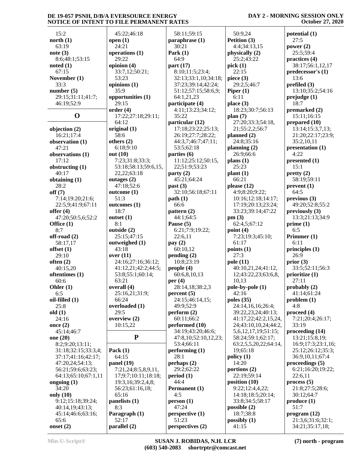15:2 **north (1)** 63:19 **note (3)** 8:6;48:1;53:15 **noted (1)** 67:15 **November (1)** 33:3 **number (5)** 29:15;31:11;41:7; 46:19;52:9 **O** 17 **objection (2)** 16:21;17:4 **observation (1)** 47:21 **observations (1)** 17:12 **obstructing (1)** 40:17 **obtaining (1)** 28:2 **off (7)** 7:14;19:20;21:6; 22:5,9;41:9;67:11 **offer (4)** 47:20;50:5,6;52:2 **Office (1)** 8:7 **off-road (2)** 58:17,17 **offset (1)** 29:10 **often (2)** 40:15,20 **oftentimes (1)** 60:6 **Ohler (1)** 6:5 **oil-filled (1)** 25:8 **old (1)** 24:16 **once (2)** 45:14;46:7 **one (20)** 8:2;9:20;13:11; 31:18;32:15;33:3,4; 37:17;41:16;42:17; 47:20,24;54:13; 56:21;59:6;63:23; 64:13;65:10;67:1,11 **ongoing (1)** 34:20 **only (10)** 9:12;15:18;39:24; 40:14,19;43:13; 45:14;46:6;63:16;  $65.6$ **onset (2)**

 45:22;46:18 **open (1)** 24:21 **operations (1)** 29:22 **opinion (4)** 33:7,12;50:21; 53:23 **opinions (1)** 35:9 **opportunities (1)** 29:15 **order (4)** 17:22;27:18;29:11; 64:12 **original (1)** 58:6 **others (2)** 6:18;9:10 **out (10)** 7:23;31:8;33:3; 53:18;58:13;59:6,15, 22,22;63:18 **outages (2)** 47:18;52:6 **outcome (1)** 51:3 **outcomes (1)** 18:7 **outset (1)** 8:1 **outside (2)** 25:15;47:15 **outweighed (1)** 43:18 **over (11)** 24:16;27:16;36:12; 41:12,21;42:2;44:5; 53:8;55:1;60:14; 63:21 **overall (4)** 25:16,21;31:9; 66:24 **overloaded (1)** 29:5 **overview (2)** 10:15,22 **P Pack (1)** 64:15 **panel (19)** 7:21,24;8:5,8,9,11, 17;9:7;10:11;18:18; 19:3,16;39:2,4,8; 56:23;61:16,18; 65:16 **panelists (1)** 8:3 **Paragraph (1)** 52:17 **parallel (2)**

 58:11;59:15 **paraphrase (1)** 30:21 **Park (1)** 64:9 **part (17)** 8:10;11:5;23:4; 32:13;33:1,10;34:18; 37:23;39:14;42:24; 51:12;57:15;58:6,9; 64:1,21,23 **participate (4)** 4:11;13:23;34:12; 35:22 **particular (12)** 17:18;23:22;25:13; 26:19;27:7;28:22; 44:3,7;46:7;47:11; 53:5;62:18 **parties (6)** 11:12;25:12;50:15, 22;51:9;53:23 **party (2)** 45:21;64:24 **past (3)** 32:10;56:18;67:11 **path (1)**  $66.6$ **pattern (2)** 44:1;64:5 **Pause (5)** 6:21;7:9;19:22; 22:6,11 **pay (2)** 60:10,12 **pending (2)** 10:8;23:19 **people (4)** 60:6,8,10,13 **per (4)** 28:14,18;38:2,3 **percent (5)** 24:15;46:14,15; 49:9;52:9 **perform (2)** 60:11;66:2 **performed (10)** 34:19;43:20;46:6; 47:8,10;52:10,12,23; 53:4;66:11 **performing (1)** 28:1 **perhaps (2)** 29:2;62:22 **period (1)** 44:4 **Permanent (1)** 4:5 **person (1)** 47:24 **perspective (1)** 51:23 **perspectives (2)**

 50:9,24 **Petition (3)** 4:4;34:13,15 **physically (2)** 25:2;43:22 **pick (1)** 22:15 **piece (3)** 29:2,5;46:7 **Piper (1)** 6:11 **place (3)** 18:23;30:7;56:13 **plan (7)** 27:20;33:3;54:18, 21;55:2,2;56:7 **planned (2)** 24:8;35:16 **planning (2)** 26:9;66:6 **plans (1)** 25:23 **plant (1)** 66:21 **please (12)** 4:9;8:20;9:22; 10:16;12:18;14:17; 17:19;20:13;23:24; 33:23;39:14;47:22 **pm (3)** 62:4,5;67:12 **point (4)** 7:23;19:3;45:10; 61:17 **points (1)** 27:3 **pole (11)** 40:10,21,24;41:12, 12;43:22,23;63:6,8, 10,13 **pole-by-pole (1)** 42:16 **poles (35)** 24:14,16,16;26:4; 39:22,23,24;40:13; 41:17,22;42:2,15,24, 24;43:10,10,24;44:2, 5,6,12,17,19;51:15; 58:24;59:1;62:17; 63:2,5,5,20,22;64:14, 19;65:18 **policy (1)** 14:20 **portions (2)** 22:19;59:14 **position (10)** 9:22;12:4,4,22; 14:18;18:5;20:14; 33:8;34:5;58:17 **possible (2)** 18:7;38:8 **possibly (1)** 41:15

#### **DAY 2 - MORNING SESSION ONLY October 27, 2020**

**potential (1)** 27:5 **power (2)** 25:5;59:4 **practices (4)** 38:17;56:1,12,17 **predecessor's (1)** 13:6 **prefiled (3)** 13:10;35:2;54:16 **prejudge (1)** 18:7 **premarked (2)** 15:11;16:15 **prepared (10)** 13:14;15:3,7,13; 21:20;22:17;23:9; 35:2,10,11 **presentation (1)** 4:22 **presented (1)** 15:1 **pretty (2)** 58:19;59:11 **prevent (1)** 64:5 **previous (3)** 49:20;52:8;55:2 **previously (3)** 13:3;21:13;34:9 **prime (1)** 6:5 **Primmer (1)** 6:11 **principles (1)** 26:9 **prior (3)** 33:5;52:11;56:3 **prioritize (1)** 27:11 **probably (2)** 41:14;61:24 **problem (1)** 4:8 **proceed (4)** 7:21;20:4;26:17; 33:19 **proceeding (14)** 13:21;15:8,19; 16:9;17:3;23:1,16; 25:12;26:12;35:3; 36:9,10,11;67:4 **proceedings (5)** 6:21;16:20;19:22; 22:6,11 **process (5)** 21:8;27:5;28:6; 30:12;64:7 **produce (1)** 51:7 **program (12)** 21:3,6;31:6;32:1; 34:21;35:17,18;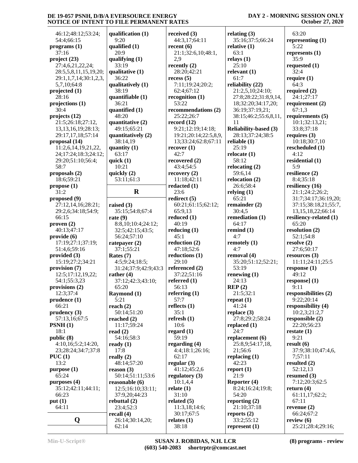| 46:12;48:12;53:24;      | qualification (1)            |
|-------------------------|------------------------------|
| 54:4;66:15              | 9:20                         |
| programs (1)            | qualified (1)                |
| 37:16                   | 20:9                         |
| project (23)            | qualifying (1)               |
| 27:4,6,21,22,24;        | 33:19                        |
| 28:5,5,8,11,15,19,20;   | qualitative (1)              |
| 29:1,1,7,14;30:1,2,3,   | 36:22                        |
| 5,7,10;64:8             | qualitatively (1)            |
| projected (1)           | 38:19                        |
| 28:16                   | quantifiable (1)             |
| projections (1)         | 36:21                        |
| 30:4                    | quantified (1)               |
| projects (12)           | 48:20                        |
| 21:5;26:18;27:12,       | quantitative (2)             |
| 13, 13, 16, 19; 28: 13; | 49:15;65:21                  |
| 29:17,17,18;57:14       | quantitatively (2            |
| proposal (14)           | 38:14,19                     |
| 11:2,6,14,19,21,22,     | quantity (1)                 |
| 24;17:24;18:3;24:12;    | 63:17                        |
| 29:20;51:10;56:4;       | quick $(1)$                  |
| 58:7                    | 10:21                        |
| proposals (2)           | quickly (2)                  |
| 18:6;59:21              | 53:11;61:3                   |
| propose(1)<br>31:2      | $\bf R$                      |
| proposed (9)            |                              |
| 27:12,14,16;28:21;      | raised $(3)$                 |
| 29:2,6;34:18;54:9;      | 35:15;54:8;67:               |
| 66:15                   | rate $(9)$                   |
| proven(2)               | 8:8,10;10:4;24               |
| 40:13;47:17             | 32:5;42:15;43:               |
| provide (6)             | 56:24;57:10                  |
| 17:19;27:1;37:19;       | ratepayer (2)                |
| 51:4,6;59:16            | 37:1;55:21                   |
| provided (3)            | Rates (7)                    |
| 15:19;27:2;34:21        | 4:5;9:24;18:5;               |
| provision (7)           | 31:24;37:9;42:               |
| 12:5;17:12,19,22;       | rather $(4)$                 |
| 54:1;55:3,23            | 37:12;42:3;43:               |
| provisions (2)          | 65:20                        |
| 12:3;37:4               | <b>Raymond</b> (1)           |
| prudence (1)<br>66:21   | 5:21                         |
| prudency (3)            | reach $(2)$<br>50:14;51:20   |
| 57:13,16;67:5           | reached (2)                  |
| PSNH(1)                 | 11:17;59:24                  |
| 18:1                    | read $(2)$                   |
| public (8)              | 54:16;58:3                   |
| 4:10,16;5:2;14:20,      | ready $(1)$                  |
| 23;28:24;34:7;37:8      | 17:8                         |
| PUC(1)                  | really $(2)$                 |
| 13:2                    | 48:14;57:20                  |
| purpose (1)             | reason (3)                   |
| 65:24                   | 50:14;51:11;53               |
| purposes (4)            | reasonable (6)               |
| 35:12;42:11;44:11;      | 12:5;16:10;33:               |
| 66:23                   | 37:9,20;44:23                |
| put(1)                  | rebuttal $(2)$               |
| 64:11                   | 23:4;52:3                    |
| Q                       | recall (4)<br>26:14;30:14,20 |
|                         | 62:14                        |

| cation (1)                   | received (3)                                 | relating $(3)$                    |
|------------------------------|----------------------------------------------|-----------------------------------|
| cd(1)                        | 44:3,17;64:11<br>recent $(6)$                | 35:16;37:5;66:2<br>relative (1)   |
| ing(1)                       | 21:1;32:6,10;48:1,<br>2,9                    | 63:1<br>relays $(1)$              |
|                              | recently $(2)$                               | 25:10                             |
| tive $(1)$                   | 28:20;42:21<br>recess(5)                     | relevant $(1)$<br>61:7            |
| tively (1)                   | 7:11;19:24;20:2;                             | reliability (22)                  |
|                              | 62:4;67:12                                   | 21:2,5,10;24:10                   |
| ïable (1)                    | recognition $(1)$<br>53:22                   | 27:8;28:22;31:8<br>18;32:20;34:17 |
| ïed (1)                      | recommendations (2)                          | 36:19;37:19,21                    |
| ative $(2)$                  | 25:22;26:7<br>record $(12)$                  | 38:15;46:2;55:6<br>11             |
| 5:65:21                      | 9:21;12:19;14:18;                            | <b>Reliability-based</b>          |
| atively (2)<br>1,19          | 19:21;20:14;22:5,8,9,<br>13;33:24;62:8;67:11 | 28:13;37:24;38<br>reliable $(1)$  |
| y (1)                        | recover(1)                                   | 25:19                             |
|                              | 42:7                                         | relocate $(1)$                    |
| 1)                           | recovered $(2)$<br>43:4;54:5                 | 58:12<br>relocating $(2)$         |
| (2)                          | recovery(2)                                  | 59:6,14                           |
| 1;61:3                       | 11:18;42:11<br>redacted (1)                  | relocation (2)<br>26:6;58:4       |
| $\mathbf R$                  | 23:6                                         | relying(1)                        |
| $\mathbf{3}$                 | redirect $(5)$                               | 65:21                             |
| 5;54:8;67:4                  | 60:21;61:15;62:12;<br>65:9,13                | remainder (2)<br>30:4,5           |
|                              | reduced (1)                                  | remediation (1)                   |
| 0;10:4;24:12;<br>42:15;43:5; | 40:19<br>reducing $(1)$                      | 64:17<br>remind $(1)$             |
| 4;57:10                      | 45:1                                         | 4:7                               |
| er (2)                       | reduction (2)                                | remotely $(1)$                    |
| 55:21<br>7)                  | 47:18;52:6<br>reductions (1)                 | 4:7<br>removal (4)                |
| :24;18:5;                    | 29:10                                        | 35:20;51:12;52                    |
| ;37:9;42:9;43:3<br>$\bf(4)$  | referenced (2)<br>37:22;51:16                | 53:19<br>renewing $(1)$           |
| 2;42:3;43:10;                | referred $(1)$                               | 24:13                             |
| ,                            | 56:13                                        | REP(2)                            |
| nd (1)                       | referring $(1)$<br>57:7                      | 21:5;32:1<br>repeat $(1)$         |
| 2)                           | reflects $(1)$                               | 41:24                             |
| 4;51:20<br>1(2)              | 35:1<br>refresh $(1)$                        | replace $(3)$<br>27:8;29:2;58:24  |
| :59:24                       | 10:6                                         | replaced (1)                      |
| 5;58:3                       | regard $(1)$<br>59:19                        | 24:7<br>replacement (6)           |
| 1)                           | regarding (4)                                | 25:8,9;54:17,18                   |
|                              | 4:4;18:1;26:16;                              | 21;56:6                           |
| 2)<br>4;57:20                | 62:17<br>regular $(3)$                       | replacing $(1)$<br>42:23          |
| (3)                          | 41:12;45:2,6                                 | report $(1)$                      |
| :51:11;53:6<br>able (6)      | regulatory (3)<br>10:1,4,4                   | 21:9<br>Reporter (4)              |
| 16:10;33:11;                 | relate $(1)$                                 | 8:24;16:24;19:                    |
| 20;44:23                     | 31:10                                        | 54:20                             |
| 1(2)<br>52:3                 | related $(5)$<br>11:3,18;14:6;               | reporting (2)<br>21:10;37:18      |
| 4)                           | 30:17;67:5                                   | reports $(2)$                     |
| 4;30:14,20;                  | relates $(1)$<br>38:18                       | 33:2;55:12<br>represent $(1)$     |
|                              |                                              |                                   |

**relating (3)** 35:16;37:5;66:24 **relative (1)** 63:1 **relays (1)** 25:10 **relevant (1)** 61:7 **reliability (22)** 21:2,5,10;24:10; 27:8;28:22;31:8,9,14, 18;32:20;34:17,20; 36:19;37:19,21; 38:15;46:2;55:6,8,11, 11 **Reliability-based (3)** 28:13;37:24;38:5 25:19 **relocate (1)** 58:12 **relocating (2)** 59:6,14 **relocation (2)** 26:6;58:4 **relying (1)** 65:21 **remainder (2)** 30:4,5 **remediation (1)** 64:17 **remind (1)** 4:7 **remotely (1)** 4:7 **removal (4)** 35:20;51:12;52:21; 53:19 **renewing (1)** 24:13 **REP (2)** 21:5;32:1 **repeat (1)** 41:24 **replace (3)** 27:8;29:2;58:24 **replaced (1)** 24:7 **replacement (6)** 25:8,9;54:17,18, 21;56:6 **replacing (1)** 42:23 **report (1)** 21:9 **Reporter (4)** 8:24;16:24;19:8; 54:20 **reporting (2)** 21:10;37:18 **reports (2)** 33:2;55:12 **represent (1)**

 63:20 **representing (1)** 5:22 **represents (1)** 35:9 **requested (1)** 32:4 **require (1)** 64:3 **required (2)** 24:1;27:17 **requirement (2)** 67:1,3 **requirements (5)** 10:1;32:13,21; 33:8;37:18 **requires (3)** 10:18;30:7,10 **rescheduled (1)** 4:12 **residential (1)** 5:9 **resilience (2)** 8:4;35:18 **resiliency (16)** 21:1;24:2;26:2; 31:7;34:17;36:19,20; 37:15;38:18,21;55:7, 13,15,18,22;66:14 **resiliency-related (1)** 65:20 **resolution (2)** 52:1;54:8 **resolve (2)** 27:6;50:17 **resources (3)** 11:11;24:11;25:5 **response (1)** 49:12 **response] (1)** 9:11 **responsibilities (2)** 9:22;20:14 **responsibility (4)** 10:2,3;21:2,7 **responsible (2)** 22:20;56:23 **restate (1)** 9:21 **result (6)** 37:9;38:10;47:4,6, 7;57:11 **resulted (2)** 52:12,13 **resumed (3)** 7:12;20:3;62:5 **return (4)** 61:11,17;62:2; 67:11 **revenue (2)** 66:24;67:2 **review (6)** 25:21;28:4;29:16;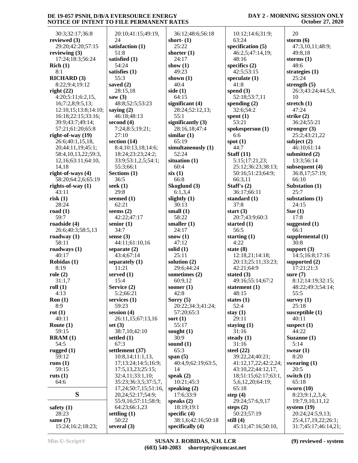#### **DAY 2 - MORNING SESSION ONLY October 27, 2020**

| 30:3;32:17;36:8                      | 20:10;41:15;49:19,    | 36:12;48:6;         |
|--------------------------------------|-----------------------|---------------------|
| reviewed (3)                         | 24                    | short- $(1)$        |
| 29:20;42:20;57:15                    | satisfaction (1)      | 25:22               |
| reviewing $(3)$                      | 51:8                  | shorter $(1)$       |
| 17:24;18:3;56:24                     | satisfied (1)         | 24:17               |
| Rich(1)                              | 54:24                 | show $(1)$          |
| 8:1                                  | satisfies (1)<br>55:3 | 49:23               |
| <b>RICHARD (3)</b><br>8:22;9:4;19:12 | saved $(2)$           | shown $(1)$<br>40:4 |
| right(22)                            | 28:15,18              | side $(1)$          |
| 4:20;5:11;6:2,15,                    | saw $(3)$             | 64:15               |
| 16;7:2,8;9:5,13;                     | 48:8;52:5;53:23       | significant (4      |
| 12:10,15;13:8;14:10;                 | saying $(2)$          | 28:24;52:12         |
| 16:18;22:15;33:16;                   | 46:18;48:13           | 55:1                |
| 39:9;43:7;49:14;                     | second $(4)$          | significantly       |
| 57:21;61:20;65:8                     | 7:24;8:5;19:21;       | 28:16,18;47         |
| right-of-way (19)                    | 27:10                 | similar $(1)$       |
| 26:6;40:1,15,18,                     | section (14)          | 65:19               |
| 20;44:11,19;45:1;                    | 8:4;10:13,18;14:6;    | simultaneous        |
| 58:4,10,13,22;59:3,                  | 18:24;23:23;24:2;     | 52:24               |
| 12,16;63:11;64:10,                   | 33:9;53:1,2,5;54:1;   | situation (1)       |
| 14,18                                | 55:3;66:1             | 60:4                |
| right-of-ways (4)                    | Sections (1)          | six(1)              |
| 58:20;64:2,6;65:19                   | 36:5                  | 66:8                |
| rights-of-way $(1)$                  | seek (1)              | Skoglund (3)        |
| 43:11                                | 29:8                  | 6:1,3,4             |
| risk(1)                              | seemed (1)            | slightly (1)        |
| 28:24                                | 62:21                 | 30:13               |
| road $(1)$                           | seems $(2)$           | small $(1)$         |
| 59:7                                 | 42:22;47:17           | 58:22               |
| roadside (4)                         | senior (1)            | smaller $(1)$       |
| 26:6;40:3;58:5,13                    | 34:7                  | 24:17               |
| roadway (1)                          | sense $(3)$           | snow $(1)$          |
| 58:11                                | 44:11;61:10,16        | 47:12               |
| roadways (1)                         | separate $(2)$        | solid (1)           |
| 40:17                                | 43:4;67:14            | 25:11               |
| Robidas (1)                          | separately (1)        | solution (2)        |
| 8:19                                 | 11:21                 | 29:6;44:24          |
| role(2)                              | served $(1)$          | sometimes (2        |
| 31:1,7                               | 15:4                  | 60:9,12             |
| roll(1)                              | Service (2)           | sooner (1)          |
| 4:13                                 | 5:2;66:21             | 42:8                |
| Ron(1)                               | services (1)          | Sorry $(5)$         |
| 8:9                                  | 59:23                 | 20:22;34:3;         |
| rot(1)                               | session (4)           | 57:20;65:3          |
| 40:11                                | 26:11,15;67:13,16     | sort $(1)$          |
| Route $(1)$                          | set $(3)$             | 55:17               |
| 59:15                                | 38:7,10;42:10         | sought $(1)$        |
| RRAM(1)                              | settled (1)           | 30:9                |
| 54:5                                 | 67:3                  | sound $(1)$         |
| rugged $(1)$                         | settlement (37)       | 65:3                |
| 59:12                                | 10:8,14;11:1,13,      | span $(5)$          |
| runs $(1)$                           | 17;13:24;14:5;16:9;   | 40:4,9;62:1         |
| 59:15                                | 17:5, 13, 23; 25: 15; | 14                  |
| ruts $(1)$                           | 32:4,11;33:1,10;      | speak $(2)$         |
| 64:6                                 | 35:23;36:3,5;37:5,7,  | 10:21;45:3          |
|                                      | 17,24;50:7,15;51:16,  | speaking $(2)$      |
| S                                    | 20,24;52:17;54:9;     | 17:6;33:9           |
|                                      | 55:9,16;57:11;58:9;   | speaks $(2)$        |
| safety $(1)$                         | 64:23;66:1,23         | 18:19;19:1          |
| 28:23                                | settling (1)          | specific $(4)$      |
| same $(7)$                           | 50:22                 | 38:1,6;42:1         |
| 15:24;16:2;18:23;                    | several $(3)$         | specifically (4     |

 36:12;48:6;56:18 **short- (1)** 25:22 **shorter (1)** 24:17 **show (1)** 49:23 **shown (1)** 40:4 **side (1)** 64:15 **significant (4)** 28:24;52:12,13; 55:1 **significantly (3)** 28:16,18;47:4 **similar (1)** 65:19 **simultaneously (1)** 52:24 **situation (1)** 60:4 **six (1)** 66:8 **Skoglund (3)** 6:1,3,4 **slightly (1)** 30:13 **small (1)** 58:22 **smaller (1)** 24:17 **snow (1)** 47:12 **solid (1)** 25:11 **solution (2)** 29:6;44:24 **sometimes (2)** 60:9,12 **sooner (1)** 42:8 **Sorry (5)** 20:22;34:3;41:24; 57:20;65:3 55:17 **sought (1)** 30:9 **sound (1)** 65:3 **span (5)** 40:4,9;62:19;63:5, 14 **speak (2)** 10:21;45:3 **speaking (2)** 17:6;33:9 **speaks (2)** 18:19;19:1 **specific (4)** 38:1,6;42:16;50:18 **specifically (4)**

 10:12;14:6;31:9; 63:24 **specification (5)** 46:2,5;47:14,19; 48:16 **specifics (2)** 42:5;53:15 **speculate (1)** 41:8 **spend (3)** 52:18;53:7,11 **spending (2)** 32:6;54:2 **spent (1)** 53:21 **spokesperson (1)** 6:6 **spot (1)** 44:7 **Staff (11)** 5:15;17:21,23; 25:12;36:23;38:13; 50:16;51:23;64:9; 66:3,11 **Staff's (2)** 36:17;66:11 **standard (1)** 37:8 **start (3)** 20:7;43:9;60:3 **started (1)** 56:5 **starting (1)** 4:22 **state (8)** 12:18,21;14:18; 20:13;25:11;33:23; 42:21;64:9 **stated (3)** 49:16;55:14;67:2 **statement (1)** 48:15 **states (1)** 52:4 **stay (1)** 29:11 **staying (1)** 31:16 **steady (1)** 31:16 **steel (22)** 39:22,24;40:21; 41:12,17,22;42:2,24; 43:10,22;44:12,17, 18;51:15;62:17;63:1, 5,6,12,20;64:19; 65:18 **step (4)** 29:24;57:6,9,17 **steps (2)** 50:23;57:19 **still (4)** 45:11;47:16;50:10,

 20 **storm (6)** 47:3,10,11;48:9; 49:8,18 **storms (1)** 48:6 **strategies (1)** 25:24 **strength (5)** 26:3;43:24;44:5,9, 10 **stretch (1)** 47:24 **strike (2)** 36:24;55:21 **stronger (3)** 25:2;43:21,22 **subject (2)** 46:10;61:14 **submitted (2)** 13:3;56:14 **subsequent (4)** 36:8,17;57:19; 66:10 **Substation (1)** 25:7 **substations (1)** 24:15 **Sue (1)** 17:8 **suggested (1)** 66:1 **supplemental (1)** 30:8 **support (3)** 14:5;16:8;17:16 **supported (2)** 17:21;21:3 **sure (7)** 8:12;14:19;32:15; 48:22;49:3;54:14; 55:5 **survey (1)** 25:18 **susceptible (1)** 40:11 **suspect (1)** 44:22 **Suzanne (1)** 5:14 **swear (1)** 8:20 **swearing (1)** 20:5 **switch (1)** 65:18 **sworn (10)** 8:23;9:1,2,3,4; 19:7,9,10,11,12 **system (19)** 20:24;24:5,9,13; 25:4,17,19,22;26:1; 31:7;45:17;46:14,21;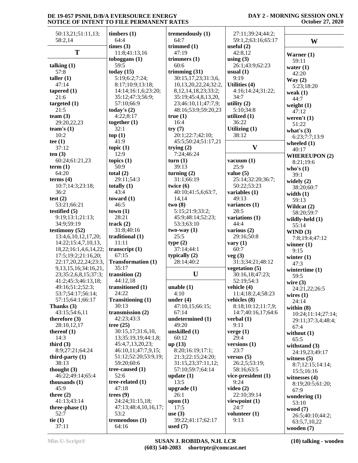# **DAY 2 - MORNING SESSION ONLY October 27, 2020**

| 50:13,21;51:11,13;         | timbers $(1)$             | tremendously (1)          | 27:11;39:24;44:2;  |                      |
|----------------------------|---------------------------|---------------------------|--------------------|----------------------|
| 58:2,14                    | 64:4                      | 64:7                      | 59:1,2;63:16;65:17 | W                    |
|                            | times (3)                 | trimmed (1)               | useful $(2)$       |                      |
| T                          | 11:8;41:13,16             | 47:19                     | 42:8,12            | Warner $(1)$         |
|                            | toboggans $(1)$           | trimmers (1)              | using $(3)$        | 59:11                |
| talking $(1)$              | 59:5                      | 60:6                      | 26:1;43:9;62:23    | water $(1)$          |
| 57:8                       | today $(15)$              | trimming $(31)$           | usual(1)           | 42:20                |
| taller $(1)$               | 5:19;6:2;7:24;            | 30:15,17,23;31:3,6,       | 9:19               | Way(2)               |
| 47:14                      | 8:17;10:9;13:18;          | 10,13,20,22,24;32:2,      | Utilities (4)      | 5:23;18:20           |
| tapered $(1)$              | 14:14;16:1,6;23:20;       | 8, 12, 14, 18, 23; 33: 2; | 4:16;14:24;31:22;  | weak $(1)$           |
| 21:6                       | 35:12;47:3;56:9;          | 35:19;45:4,8,13,20,       | 34:7               | 44:7                 |
| targeted $(1)$             | 57:10;66:9                | 23;46:10,11;47:7,9;       | utility $(2)$      | weight $(1)$         |
| 21:5                       | today's $(2)$             | 48:16;53:9;59:20,23       | 5:10;34:8          | 47:12                |
| team $(3)$                 | 4:22;8:17                 | true(1)                   | utilized $(1)$     | weren't $(1)$        |
| 29:20,22,23                | together $(1)$            | 16:4                      | 36:22              | 51:22                |
| team's $(1)$               | 32:1                      | try(7)                    | Utilizing (1)      | what's $(3)$         |
| 10:2                       | top(1)                    | 20:1;22:7;42:10;          | 38:12              | 6:23;7:7;13:9        |
| tee $(1)$                  | 41:9                      | 45:5;50:24;51:17,21       |                    | wheeled $(1)$        |
| 37:12                      | topic $(1)$               | trying $(2)$              | $\mathbf{V}$       | 40:17                |
| ten(3)                     | 12:9                      | 7:24;46:24                |                    | <b>WHEREUPON (2)</b> |
| 60:24;61:21,23             | topics $(1)$              | turn(1)                   | vacuum $(1)$       | 8:21;19:6            |
| term(1)                    | 50:9                      | 39:13                     | 25:9               | who's $(1)$          |
| 64:20                      | total $(2)$               | turning $(2)$             | value $(5)$        | 39:1                 |
| terms $(4)$                | 29:11:54:3                | 31:1;66:19                | 25:14;32:20;36:7;  | widely $(2)$         |
| 10:7;14:3;23:18;           | totally $(1)$             | twice $(6)$               | 50:22;53:23        | 38:20;60:7           |
| 36:2                       | 43:4                      | 40:10;41:5,6;63:7,        | variables (1)      | width $(1)$          |
| test $(2)$                 | toward $(1)$              | 14,14                     | 49:13              | 59:13                |
| 53:21;66:21                | 46:5                      | two(8)                    | variances (1)      | Wildcat (2)          |
| testified (5)              | town(1)                   | 5:15;21:9;33:2;           | 28:5               | 58:20;59:7           |
| 9:19;13:1;21:13;           | 28:21                     | 45:9;48:14;52:23;         | variations (1)     | wildly-held (1)      |
| 34:9;59:19                 | track(2)                  | 53:3;63:10                | 44:4               | 55:14                |
| testimony (52)             | 31:8;40:16                | $two-way(1)$              | various (2)        | WIND(3)              |
| 13:4,6,10,12,17,20;        | traditional (1)           | 25:5                      | 29:16;50:8         | 7:8;19:4;47:12       |
| 14:22;15:4,7,10,13,        | 11:11                     | type(2)                   | vary $(1)$         | winner $(1)$         |
| 18,22;16:1,4,6,14,22;      | transcript $(1)$          | 37:14;44:1                | 60:7               | 9:15                 |
| 17:5;19:2;21:16,20;        | 67:15                     | typically $(2)$           | veg(3)             | winter $(1)$         |
| 22:17,20,22,24;23:3,       | <b>Transformation (1)</b> | 28:14;40:2                | 31:3;34:21;48:12   | 47:3                 |
| 9, 13, 15, 16; 34: 16, 21, | 35:17                     |                           | vegetation $(5)$   | wintertime $(1)$     |
| 23;35:2,6,8,15;37:3;       | transition (2)            | U                         | 30:16,18;47:23;    | 59:5                 |
| 41:2;45:3;46:13,18;        | 44:12,18                  |                           | 52:19;54:3         | wire $(3)$           |
| 49:16;51:2;52:3;           | transitioned (1)          | unable(1)                 | vehicle (4)        | 24:21,22;26:5        |
| 53:7;54:17;56:14;          | 24:22                     | 4:10                      | 11:4;18:2,4;58:23  | wires $(1)$          |
| 57:15;64:1;66:17           | <b>Transitioning (1)</b>  | under $(4)$               | vehicles (8)       | 24:14                |
| Thanks (3)                 | 30:13                     | 47:10,15;66:15;           | 8:18;10:12;11:7,9; | within $(8)$         |
| 43:15;54:6,11              | transmission $(2)$        | 67:14                     | 14:7;40:16,17;64:6 | 10:24;11:14;27:14;   |
| therefore $(3)$            | 42:23;43:3                | undetermined (1)          | verbal $(1)$       | 29:11;37:3,4;48:4;   |
| 28:10,12,17                | tree $(25)$               | 49:20                     | 9:11               | 67:4                 |
| thereof $(1)$              | 30:15,17;31:6,10,         | unskilled (1)             | verge $(1)$        | without $(1)$        |
| 14:3                       | 13;35:19,19;44:1,8;       | 60:12                     | 29:4               | 65:5                 |
| third $(3)$                | 45:4,7,13,20,23;          | up(13)                    | versions $(1)$     | withstand $(3)$      |
| 8:9;27:21;64:24            | 46:10,11;47:7,9,15;       | 8:20;16:19;17:1;          | 23:7               | 24:19,23;49:17       |
| third-party $(1)$          | 51:12;52:20;53:9,19;      | 21:3;22:15;24:20;         | versus $(5)$       | witness $(5)$        |
| 38:13                      | 59:20;60:6                | 31:15,23;37:11,12;        | 26:2,5;53:19;      | 8:7;12:15;14:14;     |
| thought $(3)$              | tree-caused $(1)$         | 57:10;59:7;64:14          | 58:16;63:5         | 15:5;16:16           |
| 46:22;49:14;65:4           | 52:6                      | update(1)                 | vice-president (1) | witnesses $(4)$      |
| thousands $(1)$            | tree-related $(1)$        | 13:5                      | 9:24               | 8:19;20:5;61:20;     |
| 45:9                       | 47:18                     | upgrade $(1)$             | video $(2)$        | 67:9                 |
| three $(2)$                | trees $(9)$               | 26:1                      | 22:10;39:14        | wondering $(1)$      |
| 41:13;43:14                | 24:24;31:15,18;           | upon $(1)$                | viewpoint (1)      | 53:10                |
| three-phase $(1)$          | 47:13;48:4,10,16,17;      | 17:5                      | 24:7               | wood $(7)$           |
| 52:7                       | 53:2                      | use $(3)$                 | volunteer $(1)$    | 26:5;40:10;44:2;     |
| tie $(1)$                  | tremendous $(1)$          | 39:22;41:17;62:17         | 9:13               | 63:5,7,10,22         |
| 37:11                      | 64:16                     | used $(7)$                |                    | wooden (7)           |